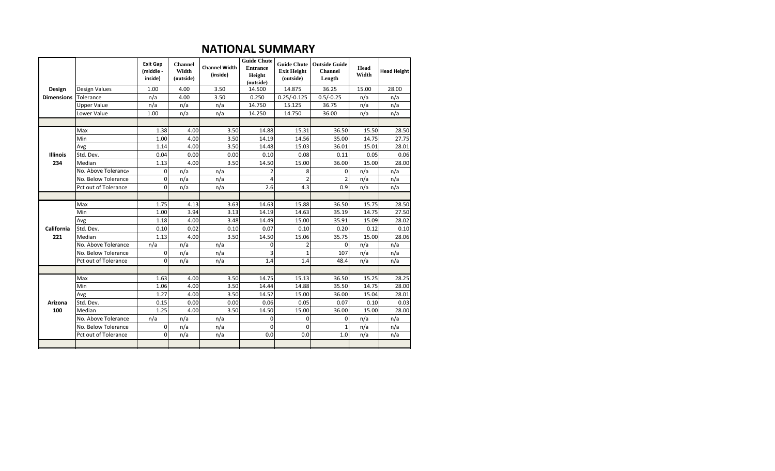#### **NATIONAL SUMMARY**

|                   |                      | <b>Exit Gap</b><br>(middle -<br>inside) | <b>Channel</b><br>Width<br>(outside) | <b>Channel Width</b><br>(inside) | <b>Guide Chute</b><br><b>Entrance</b><br>Height<br>(outside) | <b>Guide Chute</b><br><b>Exit Height</b><br>(outside) | <b>Outside Guide</b><br><b>Channel</b><br>Length | Head<br>Width | <b>Head Height</b> |
|-------------------|----------------------|-----------------------------------------|--------------------------------------|----------------------------------|--------------------------------------------------------------|-------------------------------------------------------|--------------------------------------------------|---------------|--------------------|
| Design            | Design Values        | 1.00                                    | 4.00                                 | 3.50                             | 14.500                                                       | 14.875                                                | 36.25                                            | 15.00         | 28.00              |
| <b>Dimensions</b> | Tolerance            | n/a                                     | 4.00                                 | 3.50                             | 0.250                                                        | $0.25/-0.125$                                         | $0.5/-0.25$                                      | n/a           | n/a                |
|                   | <b>Upper Value</b>   | n/a                                     | n/a                                  | n/a                              | 14.750                                                       | 15.125                                                | 36.75                                            | n/a           | n/a                |
|                   | Lower Value          | 1.00                                    | n/a                                  | n/a                              | 14.250                                                       | 14.750                                                | 36.00                                            | n/a           | n/a                |
|                   |                      |                                         |                                      |                                  |                                                              |                                                       |                                                  |               |                    |
|                   | Max                  | 1.38                                    | 4.00                                 | 3.50                             | 14.88                                                        | 15.31                                                 | 36.50                                            | 15.50         | 28.50              |
|                   | Min                  | 1.00                                    | 4.00                                 | 3.50                             | 14.19                                                        | 14.56                                                 | 35.00                                            | 14.75         | 27.75              |
|                   | Avg                  | 1.14                                    | 4.00                                 | 3.50                             | 14.48                                                        | 15.03                                                 | 36.01                                            | 15.01         | 28.01              |
| <b>Illinois</b>   | Std. Dev.            | 0.04                                    | 0.00                                 | 0.00                             | 0.10                                                         | 0.08                                                  | 0.11                                             | 0.05          | 0.06               |
| 234               | Median               | 1.13                                    | 4.00                                 | 3.50                             | 14.50                                                        | 15.00                                                 | 36.00                                            | 15.00         | 28.00              |
|                   | No. Above Tolerance  | $\mathbf 0$                             | n/a                                  | n/a                              | $\overline{2}$                                               | 8                                                     | $\Omega$                                         | n/a           | n/a                |
|                   | No. Below Tolerance  | 0                                       | n/a                                  | n/a                              | Δ                                                            | $\overline{2}$                                        | $\overline{2}$                                   | n/a           | n/a                |
|                   | Pct out of Tolerance | 0                                       | n/a                                  | n/a                              | 2.6                                                          | 4.3                                                   | 0.9                                              | n/a           | n/a                |
|                   |                      |                                         |                                      |                                  |                                                              |                                                       |                                                  |               |                    |
|                   | Max                  | 1.75                                    | 4.13                                 | 3.63                             | 14.63                                                        | 15.88                                                 | 36.50                                            | 15.75         | 28.50              |
|                   | Min                  | 1.00                                    | 3.94                                 | 3.13                             | 14.19                                                        | 14.63                                                 | 35.19                                            | 14.75         | 27.50              |
|                   | Avg                  | 1.18                                    | 4.00                                 | 3.48                             | 14.49                                                        | 15.00                                                 | 35.91                                            | 15.09         | 28.02              |
| California        | Std. Dev.            | 0.10                                    | 0.02                                 | 0.10                             | 0.07                                                         | 0.10                                                  | 0.20                                             | 0.12          | 0.10               |
| 221               | Median               | 1.13                                    | 4.00                                 | 3.50                             | 14.50                                                        | 15.06                                                 | 35.75                                            | 15.00         | 28.06              |
|                   | No. Above Tolerance  | n/a                                     | n/a                                  | n/a                              | $\mathbf 0$                                                  | 2                                                     | 0                                                | n/a           | n/a                |
|                   | No. Below Tolerance  | 0                                       | n/a                                  | n/a                              | 3                                                            | $\mathbf{1}$                                          | 107                                              | n/a           | n/a                |
|                   | Pct out of Tolerance | $\Omega$                                | n/a                                  | n/a                              | 1.4                                                          | 1.4                                                   | 48.4                                             | n/a           | n/a                |
|                   |                      |                                         |                                      |                                  |                                                              |                                                       |                                                  |               |                    |
|                   | Max                  | 1.63                                    | 4.00                                 | 3.50                             | 14.75                                                        | 15.13                                                 | 36.50                                            | 15.25         | 28.25              |
|                   | Min                  | 1.06                                    | 4.00                                 | 3.50                             | 14.44                                                        | 14.88                                                 | 35.50                                            | 14.75         | 28.00              |
|                   | Avg                  | 1.27                                    | 4.00                                 | 3.50                             | 14.52                                                        | 15.00                                                 | 36.00                                            | 15.04         | 28.01              |
| Arizona           | Std. Dev.            | 0.15                                    | 0.00                                 | 0.00                             | 0.06                                                         | 0.05                                                  | 0.07                                             | 0.10          | 0.03               |
| 100               | Median               | 1.25                                    | 4.00                                 | 3.50                             | 14.50                                                        | 15.00                                                 | 36.00                                            | 15.00         | 28.00              |
|                   | No. Above Tolerance  | n/a                                     | n/a                                  | n/a                              | $\Omega$                                                     | $\Omega$                                              | 0                                                | n/a           | n/a                |
|                   | No. Below Tolerance  | 0                                       | n/a                                  | n/a                              | $\Omega$                                                     | $\Omega$                                              | $\mathbf{1}$                                     | n/a           | n/a                |
|                   | Pct out of Tolerance | $\Omega$                                | n/a                                  | n/a                              | 0.0                                                          | 0.0                                                   | 1.0                                              | n/a           | n/a                |
|                   |                      |                                         |                                      |                                  |                                                              |                                                       |                                                  |               |                    |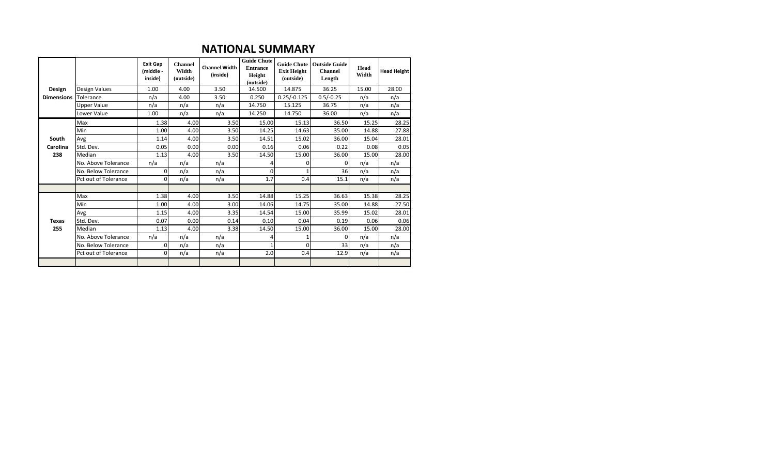### **NATIONAL SUMMARY**

|                   |                      | <b>Exit Gap</b><br>(middle -<br>inside) | <b>Channel</b><br>Width<br>(outside) | <b>Channel Width</b><br>(inside) | <b>Guide Chute</b><br><b>Entrance</b><br>Height<br>(outside) | <b>Guide Chute</b><br><b>Exit Height</b><br>(outside) | <b>Outside Guide</b><br><b>Channel</b><br>Length | Head<br>Width | <b>Head Height</b> |
|-------------------|----------------------|-----------------------------------------|--------------------------------------|----------------------------------|--------------------------------------------------------------|-------------------------------------------------------|--------------------------------------------------|---------------|--------------------|
| Design            | Design Values        | 1.00                                    | 4.00                                 | 3.50                             | 14.500                                                       | 14.875                                                | 36.25                                            | 15.00         | 28.00              |
| <b>Dimensions</b> | Tolerance            | n/a                                     | 4.00                                 | 3.50                             | 0.250                                                        | $0.25/-0.125$                                         | $0.5/-0.25$                                      | n/a           | n/a                |
|                   | <b>Upper Value</b>   | n/a                                     | n/a                                  | n/a                              | 14.750                                                       | 15.125                                                | 36.75                                            | n/a           | n/a                |
|                   | Lower Value          | 1.00                                    | n/a                                  | n/a                              | 14.250                                                       | 14.750                                                | 36.00                                            | n/a           | n/a                |
|                   | Max                  | 1.38                                    | 4.00                                 | 3.50                             | 15.00                                                        | 15.13                                                 | 36.50                                            | 15.25         | 28.25              |
|                   | Min                  | 1.00                                    | 4.00                                 | 3.50                             | 14.25                                                        | 14.63                                                 | 35.00                                            | 14.88         | 27.88              |
| South             | Avg                  | 1.14                                    | 4.00                                 | 3.50                             | 14.51                                                        | 15.02                                                 | 36.00                                            | 15.04         | 28.01              |
| Carolina          | Std. Dev.            | 0.05                                    | 0.00                                 | 0.00                             | 0.16                                                         | 0.06                                                  | 0.22                                             | 0.08          | 0.05               |
| 238               | Median               | 1.13                                    | 4.00                                 | 3.50                             | 14.50                                                        | 15.00                                                 | 36.00                                            | 15.00         | 28.00              |
|                   | No. Above Tolerance  | n/a                                     | n/a                                  | n/a                              | 4                                                            | 0                                                     | 0                                                | n/a           | n/a                |
|                   | No. Below Tolerance  | $\Omega$                                | n/a                                  | n/a                              | $\Omega$                                                     |                                                       | 36                                               | n/a           | n/a                |
|                   | Pct out of Tolerance | 0                                       | n/a                                  | n/a                              | 1.7                                                          | 0.4                                                   | 15.1                                             | n/a           | n/a                |
|                   |                      |                                         |                                      |                                  |                                                              |                                                       |                                                  |               |                    |
|                   | Max                  | 1.38                                    | 4.00                                 | 3.50                             | 14.88                                                        | 15.25                                                 | 36.63                                            | 15.38         | 28.25              |
|                   | Min                  | 1.00                                    | 4.00                                 | 3.00                             | 14.06                                                        | 14.75                                                 | 35.00                                            | 14.88         | 27.50              |
|                   | Avg                  | 1.15                                    | 4.00                                 | 3.35                             | 14.54                                                        | 15.00                                                 | 35.99                                            | 15.02         | 28.01              |
| <b>Texas</b>      | Std. Dev.            | 0.07                                    | 0.00                                 | 0.14                             | 0.10                                                         | 0.04                                                  | 0.19                                             | 0.06          | 0.06               |
| 255               | Median               | 1.13                                    | 4.00                                 | 3.38                             | 14.50                                                        | 15.00                                                 | 36.00                                            | 15.00         | 28.00              |
|                   | No. Above Tolerance  | n/a                                     | n/a                                  | n/a                              | $\prime$                                                     |                                                       | 0                                                | n/a           | n/a                |
|                   | No. Below Tolerance  | 0                                       | n/a                                  | n/a                              |                                                              | $\Omega$                                              | 33                                               | n/a           | n/a                |
|                   | Pct out of Tolerance | 0                                       | n/a                                  | n/a                              | 2.0                                                          | 0.4                                                   | 12.9                                             | n/a           | n/a                |
|                   |                      |                                         |                                      |                                  |                                                              |                                                       |                                                  |               |                    |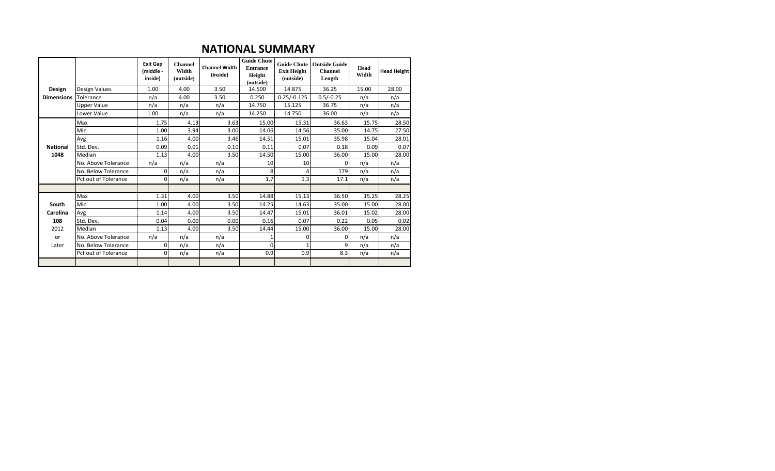### **NATIONAL SUMMARY**

|                   |                      | <b>Exit Gap</b><br>(middle -<br>inside) | <b>Channel</b><br>Width<br>(outside) | <b>Channel Width</b><br>(inside) | <b>Guide Chute</b><br><b>Entrance</b><br>Height<br>(outside) | <b>Exit Height</b><br>(outside) | Guide Chute   Outside Guide<br><b>Channel</b><br>Length | Head<br>Width | <b>Head Height</b> |
|-------------------|----------------------|-----------------------------------------|--------------------------------------|----------------------------------|--------------------------------------------------------------|---------------------------------|---------------------------------------------------------|---------------|--------------------|
| Design            | Design Values        | 1.00                                    | 4.00                                 | 3.50                             | 14.500                                                       | 14.875                          | 36.25                                                   | 15.00         | 28.00              |
| <b>Dimensions</b> | Tolerance            | n/a                                     | 4.00                                 | 3.50                             | 0.250                                                        | $0.25/-0.125$                   | $0.5/-0.25$                                             | n/a           | n/a                |
|                   | <b>Upper Value</b>   | n/a                                     | n/a                                  | n/a                              | 14.750                                                       | 15.125                          | 36.75                                                   | n/a           | n/a                |
|                   | Lower Value          | 1.00                                    | n/a                                  | n/a                              | 14.250                                                       | 14.750                          | 36.00                                                   | n/a           | n/a                |
|                   | Max                  | 1.75                                    | 4.13                                 | 3.63                             | 15.00                                                        | 15.31                           | 36.63                                                   | 15.75         | 28.50              |
|                   | Min                  | 1.00                                    | 3.94                                 | 3.00                             | 14.06                                                        | 14.56                           | 35.00                                                   | 14.75         | 27.50              |
|                   | Avg                  | 1.16                                    | 4.00                                 | 3.46                             | 14.51                                                        | 15.01                           | 35.98                                                   | 15.04         | 28.01              |
| <b>National</b>   | Std. Dev.            | 0.09                                    | 0.01                                 | 0.10                             | 0.11                                                         | 0.07                            | 0.18                                                    | 0.09          | 0.07               |
| 1048              | Median               | 1.13                                    | 4.00                                 | 3.50                             | 14.50                                                        | 15.00                           | 36.00                                                   | 15.00         | 28.00              |
|                   | No. Above Tolerance  | n/a                                     | n/a                                  | n/a                              | 10                                                           | 10                              | 0                                                       | n/a           | n/a                |
|                   | No. Below Tolerance  | $\Omega$                                | n/a                                  | n/a                              | 8                                                            |                                 | 179                                                     | n/a           | n/a                |
|                   | Pct out of Tolerance | $\Omega$                                | n/a                                  | n/a                              | 1.7                                                          | 1.3                             | 17.1                                                    | n/a           | n/a                |
|                   |                      |                                         |                                      |                                  |                                                              |                                 |                                                         |               |                    |
|                   | Max                  | 1.31                                    | 4.00                                 | 3.50                             | 14.88                                                        | 15.13                           | 36.50                                                   | 15.25         | 28.25              |
| South             | Min                  | 1.00                                    | 4.00                                 | 3.50                             | 14.25                                                        | 14.63                           | 35.00                                                   | 15.00         | 28.00              |
| Carolina          | Avg                  | 1.14                                    | 4.00                                 | 3.50                             | 14.47                                                        | 15.01                           | 36.01                                                   | 15.02         | 28.00              |
| 108               | Std. Dev.            | 0.04                                    | 0.00                                 | 0.00                             | 0.16                                                         | 0.07                            | 0.22                                                    | 0.05          | 0.02               |
| 2012              | Median               | 1.13                                    | 4.00                                 | 3.50                             | 14.44                                                        | 15.00                           | 36.00                                                   | 15.00         | 28.00              |
| or                | No. Above Tolerance  | n/a                                     | n/a                                  | n/a                              |                                                              | $\Omega$                        | $\Omega$                                                | n/a           | n/a                |
| Later             | No. Below Tolerance  | $\Omega$                                | n/a                                  | n/a                              | $\Omega$                                                     |                                 | 9                                                       | n/a           | n/a                |
|                   | Pct out of Tolerance | $\Omega$                                | n/a                                  | n/a                              | 0.9                                                          | 0.9                             | 8.3                                                     | n/a           | n/a                |
|                   |                      |                                         |                                      |                                  |                                                              |                                 |                                                         |               |                    |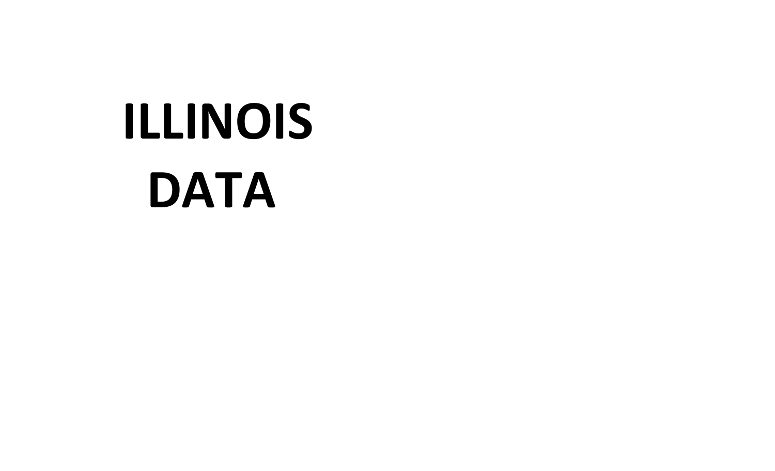## **ILLINOIS DATA**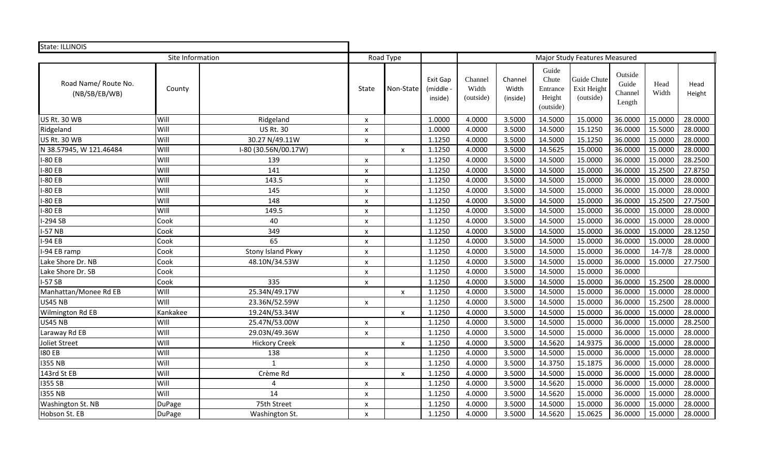| State: ILLINOIS                       |                  |                      |                    |                           |                                |                               |                              |                                                   |                                         |                                       |               |                |
|---------------------------------------|------------------|----------------------|--------------------|---------------------------|--------------------------------|-------------------------------|------------------------------|---------------------------------------------------|-----------------------------------------|---------------------------------------|---------------|----------------|
|                                       | Site Information |                      |                    | Road Type                 |                                |                               |                              |                                                   | Major Study Features Measured           |                                       |               |                |
| Road Name/ Route No.<br>(NB/SB/EB/WB) | County           |                      | State              | Non-State                 | Exit Gap<br>(middle<br>inside) | Channel<br>Width<br>(outside) | Channel<br>Width<br>(inside) | Guide<br>Chute<br>Entrance<br>Height<br>(outside) | Guide Chute<br>Exit Height<br>(outside) | Outside<br>Guide<br>Channel<br>Length | Head<br>Width | Head<br>Height |
| <b>US Rt. 30 WB</b>                   | Will             | Ridgeland            | X                  |                           | 1.0000                         | 4.0000                        | 3.5000                       | 14.5000                                           | 15.0000                                 | 36.0000                               | 15.0000       | 28.0000        |
| Ridgeland                             | Will             | <b>US Rt. 30</b>     | X                  |                           | 1.0000                         | 4.0000                        | 3.5000                       | 14.5000                                           | 15.1250                                 | 36.0000                               | 15.5000       | 28.0000        |
| <b>US Rt. 30 WB</b>                   | Will             | 30.27 N/49.11W       | X                  |                           | 1.1250                         | 4.0000                        | 3.5000                       | 14.5000                                           | 15.1250                                 | 36.0000                               | 15.0000       | 28.0000        |
| N 38.57945, W 121.46484               | WIII             | I-80 (30.56N/00.17W) |                    | X                         | 1.1250                         | 4.0000                        | 3.5000                       | 14.5625                                           | 15.0000                                 | 36.0000                               | 15.0000       | 28.0000        |
| <b>I-80 EB</b>                        | WIII             | 139                  | X                  |                           | 1.1250                         | 4.0000                        | 3.5000                       | 14.5000                                           | 15.0000                                 | 36.0000                               | 15.0000       | 28.2500        |
| I-80 EB                               | WIII             | 141                  | X                  |                           | 1.1250                         | 4.0000                        | 3.5000                       | 14.5000                                           | 15.0000                                 | 36.0000                               | 15.2500       | 27.8750        |
| $-80EB$                               | WIll             | 143.5                | $\pmb{\mathsf{x}}$ |                           | 1.1250                         | 4.0000                        | 3.5000                       | 14.5000                                           | 15.0000                                 | 36.0000                               | 15.0000       | 28.0000        |
| $-80EB$                               | WIll             | 145                  | X                  |                           | 1.1250                         | 4.0000                        | 3.5000                       | 14.5000                                           | 15.0000                                 | 36.0000                               | 15.0000       | 28.0000        |
| $-80EB$                               | WIll             | 148                  | $\pmb{\times}$     |                           | 1.1250                         | 4.0000                        | 3.5000                       | 14.5000                                           | 15.0000                                 | 36.0000                               | 15.2500       | 27.7500        |
| -80 EB                                | WIII             | 149.5                | X                  |                           | 1.1250                         | 4.0000                        | 3.5000                       | 14.5000                                           | 15.0000                                 | 36.0000                               | 15.0000       | 28.0000        |
| $-294$ SB                             | Cook             | 40                   | X                  |                           | 1.1250                         | 4.0000                        | 3.5000                       | 14.5000                                           | 15.0000                                 | 36.0000                               | 15.0000       | 28.0000        |
| $I-57$ NB                             | Cook             | 349                  | $\pmb{\mathsf{x}}$ |                           | 1.1250                         | 4.0000                        | 3.5000                       | 14.5000                                           | 15.0000                                 | 36.0000                               | 15.0000       | 28.1250        |
| $I-94EB$                              | Cook             | 65                   | X                  |                           | 1.1250                         | 4.0000                        | 3.5000                       | 14.5000                                           | 15.0000                                 | 36.0000                               | 15.0000       | 28.0000        |
| I-94 EB ramp                          | Cook             | Stony Island Pkwy    | X                  |                           | 1.1250                         | 4.0000                        | 3.5000                       | 14.5000                                           | 15.0000                                 | 36.0000                               | $14 - 7/8$    | 28.0000        |
| Lake Shore Dr. NB                     | Cook             | 48.10N/34.53W        | X                  |                           | 1.1250                         | 4.0000                        | 3.5000                       | 14.5000                                           | 15.0000                                 | 36.0000                               | 15.0000       | 27.7500        |
| Lake Shore Dr. SB                     | Cook             |                      | $\pmb{\mathsf{x}}$ |                           | 1.1250                         | 4.0000                        | 3.5000                       | 14.5000                                           | 15.0000                                 | 36.0000                               |               |                |
| $I-57SB$                              | Cook             | 335                  | $\pmb{\mathsf{x}}$ |                           | 1.1250                         | 4.0000                        | 3.5000                       | 14.5000                                           | 15.0000                                 | 36.0000                               | 15.2500       | 28.0000        |
| Manhattan/Monee Rd EB                 | WIII             | 25.34N/49.17W        |                    | $\pmb{\mathsf{x}}$        | 1.1250                         | 4.0000                        | 3.5000                       | 14.5000                                           | 15.0000                                 | 36.0000                               | 15.0000       | 28.0000        |
| <b>US45 NB</b>                        | WIII             | 23.36N/52.59W        | $\pmb{\mathsf{x}}$ |                           | 1.1250                         | 4.0000                        | 3.5000                       | 14.5000                                           | 15.0000                                 | 36.0000                               | 15.2500       | 28.0000        |
| Wilmington Rd EB                      | Kankakee         | 19.24N/53.34W        |                    | $\pmb{\mathsf{x}}$        | 1.1250                         | 4.0000                        | 3.5000                       | 14.5000                                           | 15.0000                                 | 36.0000                               | 15.0000       | 28.0000        |
| <b>US45 NB</b>                        | WIII             | 25.47N/53.00W        | $\pmb{\mathsf{x}}$ |                           | 1.1250                         | 4.0000                        | 3.5000                       | 14.5000                                           | 15.0000                                 | 36.0000                               | 15.0000       | 28.2500        |
| Laraway Rd EB                         | WIII             | 29.03N/49.36W        | $\pmb{\mathsf{x}}$ |                           | 1.1250                         | 4.0000                        | 3.5000                       | 14.5000                                           | 15.0000                                 | 36.0000                               | 15.0000       | 28.0000        |
| Joliet Street                         | WIII             | <b>Hickory Creek</b> |                    | $\boldsymbol{\mathsf{x}}$ | 1.1250                         | 4.0000                        | 3.5000                       | 14.5620                                           | 14.9375                                 | 36.0000                               | 15.0000       | 28.0000        |
| <b>180 EB</b>                         | WIII             | 138                  | X                  |                           | 1.1250                         | 4.0000                        | 3.5000                       | 14.5000                                           | 15.0000                                 | 36.0000                               | 15.0000       | 28.0000        |
| <b>I355 NB</b>                        | Will             | $\mathbf{1}$         | X                  |                           | 1.1250                         | 4.0000                        | 3.5000                       | 14.3750                                           | 15.1875                                 | 36.0000                               | 15.0000       | 28.0000        |
| 143rd St EB                           | Will             | Crème Rd             |                    | $\pmb{\mathsf{x}}$        | 1.1250                         | 4.0000                        | 3.5000                       | 14.5000                                           | 15.0000                                 | 36.0000                               | 15.0000       | 28.0000        |
| 1355 SB                               | Will             | $\overline{a}$       | $\pmb{\mathsf{x}}$ |                           | 1.1250                         | 4.0000                        | 3.5000                       | 14.5620                                           | 15.0000                                 | 36.0000                               | 15.0000       | 28.0000        |
| <b>I355 NB</b>                        | Will             | 14                   | $\pmb{\mathsf{x}}$ |                           | 1.1250                         | 4.0000                        | 3.5000                       | 14.5620                                           | 15.0000                                 | 36.0000                               | 15.0000       | 28.0000        |
| Washington St. NB                     | <b>DuPage</b>    | 75th Street          | X                  |                           | 1.1250                         | 4.0000                        | 3.5000                       | 14.5000                                           | 15.0000                                 | 36.0000                               | 15.0000       | 28.0000        |
| Hobson St. EB                         | DuPage           | Washington St.       | x                  |                           | 1.1250                         | 4.0000                        | 3.5000                       | 14.5620                                           | 15.0625                                 | 36.0000                               | 15.0000       | 28.0000        |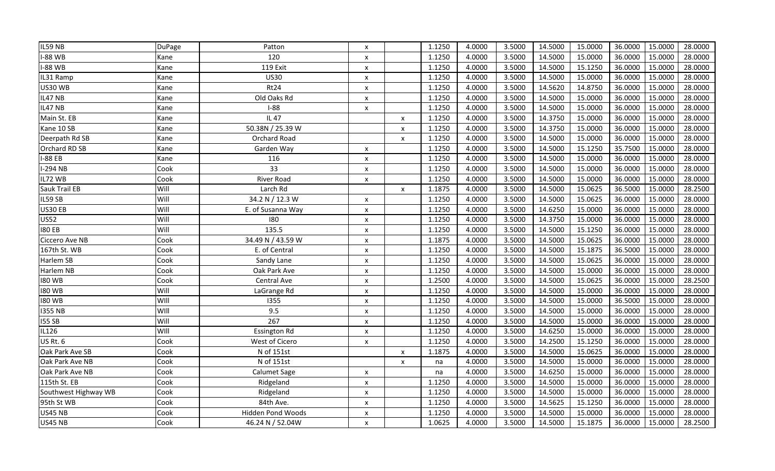| IL59 NB              | <b>DuPage</b> | Patton              | X                         |                           | 1.1250 | 4.0000 | 3.5000 | 14.5000 | 15.0000 | 36.0000 | 15.0000 | 28.0000 |
|----------------------|---------------|---------------------|---------------------------|---------------------------|--------|--------|--------|---------|---------|---------|---------|---------|
| <b>I-88 WB</b>       | Kane          | 120                 | $\pmb{\mathsf{x}}$        |                           | 1.1250 | 4.0000 | 3.5000 | 14.5000 | 15.0000 | 36.0000 | 15.0000 | 28.0000 |
| <b>-88 WB</b>        | Kane          | 119 Exit            | $\pmb{\times}$            |                           | 1.1250 | 4.0000 | 3.5000 | 14.5000 | 15.1250 | 36.0000 | 15.0000 | 28.0000 |
| IL31 Ramp            | Kane          | <b>US30</b>         | $\pmb{\times}$            |                           | 1.1250 | 4.0000 | 3.5000 | 14.5000 | 15.0000 | 36.0000 | 15.0000 | 28.0000 |
| <b>US30 WB</b>       | Kane          | Rt24                | $\pmb{\times}$            |                           | 1.1250 | 4.0000 | 3.5000 | 14.5620 | 14.8750 | 36.0000 | 15.0000 | 28.0000 |
| IL47 NB              | Kane          | Old Oaks Rd         | $\pmb{\mathsf{x}}$        |                           | 1.1250 | 4.0000 | 3.5000 | 14.5000 | 15.0000 | 36.0000 | 15.0000 | 28.0000 |
| IL47 NB              | Kane          | $I-88$              | $\pmb{\times}$            |                           | 1.1250 | 4.0000 | 3.5000 | 14.5000 | 15.0000 | 36.0000 | 15.0000 | 28.0000 |
| Main St. EB          | Kane          | <b>IL47</b>         |                           | $\pmb{\times}$            | 1.1250 | 4.0000 | 3.5000 | 14.3750 | 15.0000 | 36.0000 | 15.0000 | 28.0000 |
| Kane 10 SB           | Kane          | 50.38N / 25.39 W    |                           | $\pmb{\times}$            | 1.1250 | 4.0000 | 3.5000 | 14.3750 | 15.0000 | 36.0000 | 15.0000 | 28.0000 |
| Deerpath Rd SB       | Kane          | Orchard Road        |                           | $\pmb{\times}$            | 1.1250 | 4.0000 | 3.5000 | 14.5000 | 15.0000 | 36.0000 | 15.0000 | 28.0000 |
| Orchard RD SB        | Kane          | Garden Way          | $\pmb{\times}$            |                           | 1.1250 | 4.0000 | 3.5000 | 14.5000 | 15.1250 | 35.7500 | 15.0000 | 28.0000 |
| <b>I-88 EB</b>       | Kane          | 116                 | $\pmb{\times}$            |                           | 1.1250 | 4.0000 | 3.5000 | 14.5000 | 15.0000 | 36.0000 | 15.0000 | 28.0000 |
| <b>I-294 NB</b>      | Cook          | 33                  | $\boldsymbol{\mathsf{x}}$ |                           | 1.1250 | 4.0000 | 3.5000 | 14.5000 | 15.0000 | 36.0000 | 15.0000 | 28.0000 |
| IL72 WB              | Cook          | <b>River Road</b>   | X                         |                           | 1.1250 | 4.0000 | 3.5000 | 14.5000 | 15.0000 | 36.0000 | 15.0000 | 28.0000 |
| Sauk Trail EB        | Will          | Larch Rd            |                           | $\boldsymbol{\mathsf{x}}$ | 1.1875 | 4.0000 | 3.5000 | 14.5000 | 15.0625 | 36.5000 | 15.0000 | 28.2500 |
| IL59 SB              | Will          | 34.2 N / 12.3 W     | $\pmb{\times}$            |                           | 1.1250 | 4.0000 | 3.5000 | 14.5000 | 15.0625 | 36.0000 | 15.0000 | 28.0000 |
| <b>US30 EB</b>       | Will          | E. of Susanna Way   | $\pmb{\mathsf{x}}$        |                           | 1.1250 | 4.0000 | 3.5000 | 14.6250 | 15.0000 | 36.0000 | 15.0000 | 28.0000 |
| <b>US52</b>          | Will          | 180                 | $\pmb{\mathsf{x}}$        |                           | 1.1250 | 4.0000 | 3.5000 | 14.3750 | 15.0000 | 36.0000 | 15.0000 | 28.0000 |
| <b>180 EB</b>        | Will          | 135.5               | $\pmb{\times}$            |                           | 1.1250 | 4.0000 | 3.5000 | 14.5000 | 15.1250 | 36.0000 | 15.0000 | 28.0000 |
| Ciccero Ave NB       | Cook          | 34.49 N / 43.59 W   | $\pmb{\times}$            |                           | 1.1875 | 4.0000 | 3.5000 | 14.5000 | 15.0625 | 36.0000 | 15.0000 | 28.0000 |
| 167th St. WB         | Cook          | E. of Central       | $\boldsymbol{\mathsf{x}}$ |                           | 1.1250 | 4.0000 | 3.5000 | 14.5000 | 15.1875 | 36.5000 | 15.0000 | 28.0000 |
| Harlem SB            | Cook          | Sandy Lane          | X                         |                           | 1.1250 | 4.0000 | 3.5000 | 14.5000 | 15.0625 | 36.0000 | 15.0000 | 28.0000 |
| Harlem NB            | Cook          | Oak Park Ave        | $\pmb{\times}$            |                           | 1.1250 | 4.0000 | 3.5000 | 14.5000 | 15.0000 | 36.0000 | 15.0000 | 28.0000 |
| <b>180 WB</b>        | Cook          | Central Ave         | $\pmb{\mathsf{x}}$        |                           | 1.2500 | 4.0000 | 3.5000 | 14.5000 | 15.0625 | 36.0000 | 15.0000 | 28.2500 |
| <b>180 WB</b>        | Will          | LaGrange Rd         | $\pmb{\times}$            |                           | 1.1250 | 4.0000 | 3.5000 | 14.5000 | 15.0000 | 36.0000 | 15.0000 | 28.0000 |
| <b>180 WB</b>        | WIII          | 1355                | X                         |                           | 1.1250 | 4.0000 | 3.5000 | 14.5000 | 15.0000 | 36.5000 | 15.0000 | 28.0000 |
| <b>1355 NB</b>       | WIll          | 9.5                 | $\pmb{\times}$            |                           | 1.1250 | 4.0000 | 3.5000 | 14.5000 | 15.0000 | 36.0000 | 15.0000 | 28.0000 |
| <b>I55 SB</b>        | Will          | 267                 | $\boldsymbol{\mathsf{x}}$ |                           | 1.1250 | 4.0000 | 3.5000 | 14.5000 | 15.0000 | 36.0000 | 15.0000 | 28.0000 |
| IL126                | WIII          | <b>Essington Rd</b> | X                         |                           | 1.1250 | 4.0000 | 3.5000 | 14.6250 | 15.0000 | 36.0000 | 15.0000 | 28.0000 |
| <b>US Rt. 6</b>      | Cook          | West of Cicero      | X                         |                           | 1.1250 | 4.0000 | 3.5000 | 14.2500 | 15.1250 | 36.0000 | 15.0000 | 28.0000 |
| Oak Park Ave SB      | Cook          | N of 151st          |                           | $\pmb{\times}$            | 1.1875 | 4.0000 | 3.5000 | 14.5000 | 15.0625 | 36.0000 | 15.0000 | 28.0000 |
| Oak Park Ave NB      | Cook          | N of 151st          |                           | $\pmb{\times}$            | na     | 4.0000 | 3.5000 | 14.5000 | 15.0000 | 36.0000 | 15.0000 | 28.0000 |
| Oak Park Ave NB      | Cook          | Calumet Sage        | X                         |                           | na     | 4.0000 | 3.5000 | 14.6250 | 15.0000 | 36.0000 | 15.0000 | 28.0000 |
| 115th St. EB         | Cook          | Ridgeland           | X                         |                           | 1.1250 | 4.0000 | 3.5000 | 14.5000 | 15.0000 | 36.0000 | 15.0000 | 28.0000 |
| Southwest Highway WB | Cook          | Ridgeland           | $\pmb{\times}$            |                           | 1.1250 | 4.0000 | 3.5000 | 14.5000 | 15.0000 | 36.0000 | 15.0000 | 28.0000 |
| 95th St WB           | Cook          | 84th Ave.           | X                         |                           | 1.1250 | 4.0000 | 3.5000 | 14.5625 | 15.1250 | 36.0000 | 15.0000 | 28.0000 |
| <b>US45 NB</b>       | Cook          | Hidden Pond Woods   | X                         |                           | 1.1250 | 4.0000 | 3.5000 | 14.5000 | 15.0000 | 36.0000 | 15.0000 | 28.0000 |
| <b>US45 NB</b>       | Cook          | 46.24 N / 52.04W    | X                         |                           | 1.0625 | 4.0000 | 3.5000 | 14.5000 | 15.1875 | 36.0000 | 15.0000 | 28.2500 |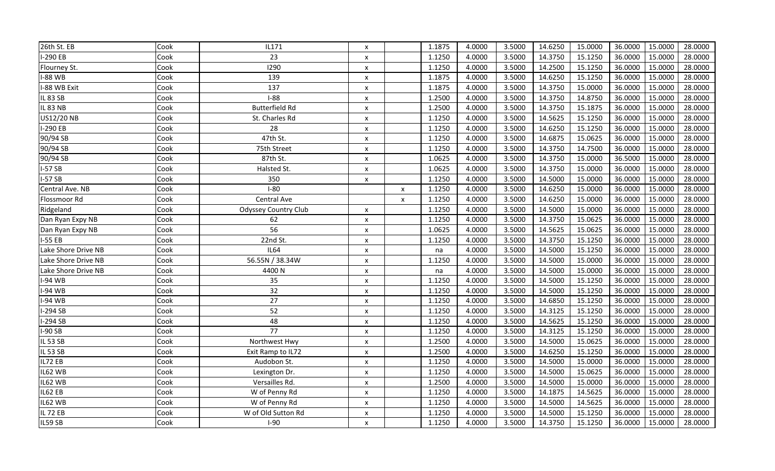| 26th St. EB         | Cook | IL171                       | $\boldsymbol{\mathsf{x}}$ |                           | 1.1875 | 4.0000 | 3.5000 | 14.6250 | 15.0000 | 36.0000 | 15.0000 | 28.0000 |
|---------------------|------|-----------------------------|---------------------------|---------------------------|--------|--------|--------|---------|---------|---------|---------|---------|
| $-290EB$            | Cook | 23                          | X                         |                           | 1.1250 | 4.0000 | 3.5000 | 14.3750 | 15.1250 | 36.0000 | 15.0000 | 28.0000 |
| Flourney St.        | Cook | 1290                        | $\pmb{\chi}$              |                           | 1.1250 | 4.0000 | 3.5000 | 14.2500 | 15.1250 | 36.0000 | 15.0000 | 28.0000 |
| -88 WB              | Cook | 139                         | $\pmb{\mathsf{X}}$        |                           | 1.1875 | 4.0000 | 3.5000 | 14.6250 | 15.1250 | 36.0000 | 15.0000 | 28.0000 |
| -88 WB Exit         | Cook | 137                         | $\pmb{\mathsf{X}}$        |                           | 1.1875 | 4.0000 | 3.5000 | 14.3750 | 15.0000 | 36.0000 | 15.0000 | 28.0000 |
| IL 83 SB            | Cook | $I-88$                      | $\boldsymbol{\mathsf{x}}$ |                           | 1.2500 | 4.0000 | 3.5000 | 14.3750 | 14.8750 | 36.0000 | 15.0000 | 28.0000 |
| <b>IL 83 NB</b>     | Cook | <b>Butterfield Rd</b>       | $\pmb{\mathsf{X}}$        |                           | 1.2500 | 4.0000 | 3.5000 | 14.3750 | 15.1875 | 36.0000 | 15.0000 | 28.0000 |
| US12/20 NB          | Cook | St. Charles Rd              | $\pmb{\mathsf{X}}$        |                           | 1.1250 | 4.0000 | 3.5000 | 14.5625 | 15.1250 | 36.0000 | 15.0000 | 28.0000 |
| I-290 EB            | Cook | 28                          | $\boldsymbol{\mathsf{x}}$ |                           | 1.1250 | 4.0000 | 3.5000 | 14.6250 | 15.1250 | 36.0000 | 15.0000 | 28.0000 |
| 90/94 SB            | Cook | 47th St.                    | X                         |                           | 1.1250 | 4.0000 | 3.5000 | 14.6875 | 15.0625 | 36.0000 | 15.0000 | 28.0000 |
| 90/94 SB            | Cook | 75th Street                 | $\boldsymbol{\mathsf{x}}$ |                           | 1.1250 | 4.0000 | 3.5000 | 14.3750 | 14.7500 | 36.0000 | 15.0000 | 28.0000 |
| 90/94 SB            | Cook | 87th St.                    | $\boldsymbol{\mathsf{x}}$ |                           | 1.0625 | 4.0000 | 3.5000 | 14.3750 | 15.0000 | 36.5000 | 15.0000 | 28.0000 |
| $I-57SB$            | Cook | Halsted St.                 | $\boldsymbol{\mathsf{x}}$ |                           | 1.0625 | 4.0000 | 3.5000 | 14.3750 | 15.0000 | 36.0000 | 15.0000 | 28.0000 |
| $I-57SB$            | Cook | 350                         | $\boldsymbol{\mathsf{x}}$ |                           | 1.1250 | 4.0000 | 3.5000 | 14.5000 | 15.0000 | 36.0000 | 15.0000 | 28.0000 |
| Central Ave. NB     | Cook | $I-80$                      |                           | $\pmb{\chi}$              | 1.1250 | 4.0000 | 3.5000 | 14.6250 | 15.0000 | 36.0000 | 15.0000 | 28.0000 |
| Flossmoor Rd        | Cook | Central Ave                 |                           | $\boldsymbol{\mathsf{x}}$ | 1.1250 | 4.0000 | 3.5000 | 14.6250 | 15.0000 | 36.0000 | 15.0000 | 28.0000 |
| Ridgeland           | Cook | <b>Odyssey Country Club</b> | X                         |                           | 1.1250 | 4.0000 | 3.5000 | 14.5000 | 15.0000 | 36.0000 | 15.0000 | 28.0000 |
| Dan Ryan Expy NB    | Cook | 62                          | X                         |                           | 1.1250 | 4.0000 | 3.5000 | 14.3750 | 15.0625 | 36.0000 | 15.0000 | 28.0000 |
| Dan Ryan Expy NB    | Cook | 56                          | $\pmb{\mathsf{X}}$        |                           | 1.0625 | 4.0000 | 3.5000 | 14.5625 | 15.0625 | 36.0000 | 15.0000 | 28.0000 |
| $I-55EB$            | Cook | 22nd St.                    | $\boldsymbol{\mathsf{x}}$ |                           | 1.1250 | 4.0000 | 3.5000 | 14.3750 | 15.1250 | 36.0000 | 15.0000 | 28.0000 |
| Lake Shore Drive NB | Cook | <b>IL64</b>                 | $\boldsymbol{\mathsf{x}}$ |                           | na     | 4.0000 | 3.5000 | 14.5000 | 15.1250 | 36.0000 | 15.0000 | 28.0000 |
| Lake Shore Drive NB | Cook | 56.55N / 38.34W             | $\boldsymbol{\mathsf{x}}$ |                           | 1.1250 | 4.0000 | 3.5000 | 14.5000 | 15.0000 | 36.0000 | 15.0000 | 28.0000 |
| Lake Shore Drive NB | Cook | 4400N                       | $\pmb{\mathsf{X}}$        |                           | na     | 4.0000 | 3.5000 | 14.5000 | 15.0000 | 36.0000 | 15.0000 | 28.0000 |
| I-94 WB             | Cook | 35                          | $\pmb{\mathsf{X}}$        |                           | 1.1250 | 4.0000 | 3.5000 | 14.5000 | 15.1250 | 36.0000 | 15.0000 | 28.0000 |
| I-94 WB             | Cook | 32                          | $\pmb{\mathsf{x}}$        |                           | 1.1250 | 4.0000 | 3.5000 | 14.5000 | 15.1250 | 36.0000 | 15.0000 | 28.0000 |
| 1-94 WB             | Cook | 27                          | $\boldsymbol{\mathsf{x}}$ |                           | 1.1250 | 4.0000 | 3.5000 | 14.6850 | 15.1250 | 36.0000 | 15.0000 | 28.0000 |
| $-294$ SB           | Cook | 52                          | $\boldsymbol{\mathsf{x}}$ |                           | 1.1250 | 4.0000 | 3.5000 | 14.3125 | 15.1250 | 36.0000 | 15.0000 | 28.0000 |
| -294 SB             | Cook | 48                          | $\boldsymbol{\mathsf{x}}$ |                           | 1.1250 | 4.0000 | 3.5000 | 14.5625 | 15.1250 | 36.0000 | 15.0000 | 28.0000 |
| I-90 SB             | Cook | $\overline{77}$             | $\boldsymbol{\mathsf{x}}$ |                           | 1.1250 | 4.0000 | 3.5000 | 14.3125 | 15.1250 | 36.0000 | 15.0000 | 28.0000 |
| IL 53 SB            | Cook | Northwest Hwy               | X                         |                           | 1.2500 | 4.0000 | 3.5000 | 14.5000 | 15.0625 | 36.0000 | 15.0000 | 28.0000 |
| IL 53 SB            | Cook | Exit Ramp to IL72           | $\pmb{\mathsf{X}}$        |                           | 1.2500 | 4.0000 | 3.5000 | 14.6250 | 15.1250 | 36.0000 | 15.0000 | 28.0000 |
| IL72 EB             | Cook | Audobon St.                 | $\boldsymbol{\mathsf{x}}$ |                           | 1.1250 | 4.0000 | 3.5000 | 14.5000 | 15.0000 | 36.0000 | 15.0000 | 28.0000 |
| IL62 WB             | Cook | Lexington Dr.               | $\pmb{\mathsf{X}}$        |                           | 1.1250 | 4.0000 | 3.5000 | 14.5000 | 15.0625 | 36.0000 | 15.0000 | 28.0000 |
| IL62 WB             | Cook | Versailles Rd.              | $\boldsymbol{\mathsf{x}}$ |                           | 1.2500 | 4.0000 | 3.5000 | 14.5000 | 15.0000 | 36.0000 | 15.0000 | 28.0000 |
| IL62 EB             | Cook | W of Penny Rd               | $\pmb{\mathsf{X}}$        |                           | 1.1250 | 4.0000 | 3.5000 | 14.1875 | 14.5625 | 36.0000 | 15.0000 | 28.0000 |
| IL62 WB             | Cook | W of Penny Rd               | $\boldsymbol{\mathsf{x}}$ |                           | 1.1250 | 4.0000 | 3.5000 | 14.5000 | 14.5625 | 36.0000 | 15.0000 | 28.0000 |
| IL 72 EB            | Cook | W of Old Sutton Rd          | X                         |                           | 1.1250 | 4.0000 | 3.5000 | 14.5000 | 15.1250 | 36.0000 | 15.0000 | 28.0000 |
| IL59 SB             | Cook | $I-90$                      | X                         |                           | 1.1250 | 4.0000 | 3.5000 | 14.3750 | 15.1250 | 36.0000 | 15.0000 | 28.0000 |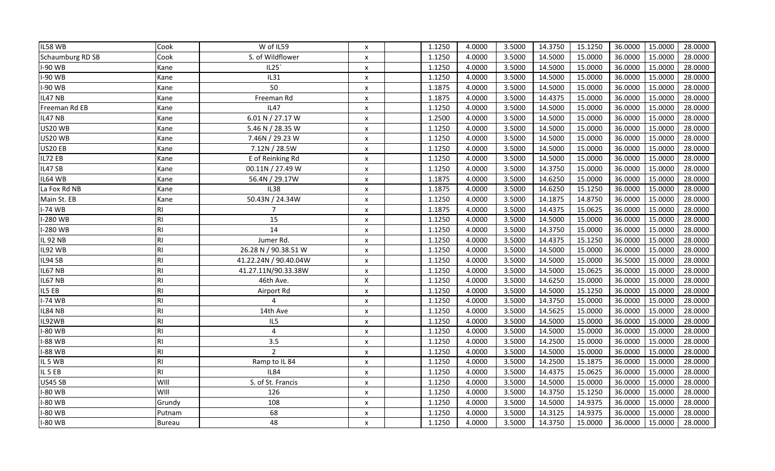| IL58 WB                 | Cook          | W of IL59             | $\boldsymbol{\mathsf{x}}$ | 1.1250 | 4.0000 | 3.5000 | 14.3750 | 15.1250 | 36.0000 | 15.0000 | 28.0000 |
|-------------------------|---------------|-----------------------|---------------------------|--------|--------|--------|---------|---------|---------|---------|---------|
| <b>Schaumburg RD SB</b> | Cook          | S. of Wildflower      | $\boldsymbol{\mathsf{x}}$ | 1.1250 | 4.0000 | 3.5000 | 14.5000 | 15.0000 | 36.0000 | 15.0000 | 28.0000 |
| <b>I-90 WB</b>          | Kane          | IL25'                 | $\pmb{\mathsf{X}}$        | 1.1250 | 4.0000 | 3.5000 | 14.5000 | 15.0000 | 36.0000 | 15.0000 | 28.0000 |
| I-90 WB                 | Kane          | <b>IL31</b>           | $\boldsymbol{\mathsf{x}}$ | 1.1250 | 4.0000 | 3.5000 | 14.5000 | 15.0000 | 36.0000 | 15.0000 | 28.0000 |
| I-90 WB                 | Kane          | 50                    | $\boldsymbol{\mathsf{x}}$ | 1.1875 | 4.0000 | 3.5000 | 14.5000 | 15.0000 | 36.0000 | 15.0000 | 28.0000 |
| IL47 NB                 | Kane          | Freeman Rd            | X                         | 1.1875 | 4.0000 | 3.5000 | 14.4375 | 15.0000 | 36.0000 | 15.0000 | 28.0000 |
| Freeman Rd EB           | Kane          | $\overline{1147}$     | $\pmb{\mathsf{x}}$        | 1.1250 | 4.0000 | 3.5000 | 14.5000 | 15.0000 | 36.0000 | 15.0000 | 28.0000 |
| IL47 NB                 | Kane          | 6.01 N / 27.17 W      | X                         | 1.2500 | 4.0000 | 3.5000 | 14.5000 | 15.0000 | 36.0000 | 15.0000 | 28.0000 |
| <b>US20 WB</b>          | Kane          | 5.46 N / 28.35 W      | $\boldsymbol{\mathsf{x}}$ | 1.1250 | 4.0000 | 3.5000 | 14.5000 | 15.0000 | 36.0000 | 15.0000 | 28.0000 |
| <b>US20 WB</b>          | Kane          | 7.46N / 29.23 W       | $\boldsymbol{\mathsf{x}}$ | 1.1250 | 4.0000 | 3.5000 | 14.5000 | 15.0000 | 36.0000 | 15.0000 | 28.0000 |
| US20 EB                 | Kane          | 7.12N / 28.5W         | $\boldsymbol{\mathsf{x}}$ | 1.1250 | 4.0000 | 3.5000 | 14.5000 | 15.0000 | 36.0000 | 15.0000 | 28.0000 |
| IL72 EB                 | Kane          | E of Reinking Rd      | $\boldsymbol{\mathsf{x}}$ | 1.1250 | 4.0000 | 3.5000 | 14.5000 | 15.0000 | 36.0000 | 15.0000 | 28.0000 |
| IL47 SB                 | Kane          | 00.11N / 27.49 W      | X                         | 1.1250 | 4.0000 | 3.5000 | 14.3750 | 15.0000 | 36.0000 | 15.0000 | 28.0000 |
| IL64 WB                 | Kane          | 56.4N / 29.17W        | $\pmb{\mathsf{X}}$        | 1.1875 | 4.0000 | 3.5000 | 14.6250 | 15.0000 | 36.0000 | 15.0000 | 28.0000 |
| La Fox Rd NB            | Kane          | <b>IL38</b>           | $\boldsymbol{\mathsf{x}}$ | 1.1875 | 4.0000 | 3.5000 | 14.6250 | 15.1250 | 36.0000 | 15.0000 | 28.0000 |
| Main St. EB             | Kane          | 50.43N / 24.34W       | $\boldsymbol{\mathsf{x}}$ | 1.1250 | 4.0000 | 3.5000 | 14.1875 | 14.8750 | 36.0000 | 15.0000 | 28.0000 |
| $I-74$ WB               | RI            | $\overline{7}$        | $\boldsymbol{\mathsf{x}}$ | 1.1875 | 4.0000 | 3.5000 | 14.4375 | 15.0625 | 36.0000 | 15.0000 | 28.0000 |
| -280 WB                 | <b>RI</b>     | 15                    | $\boldsymbol{\mathsf{x}}$ | 1.1250 | 4.0000 | 3.5000 | 14.5000 | 15.0000 | 36.0000 | 15.0000 | 28.0000 |
| I-280 WB                | <b>RI</b>     | 14                    | $\boldsymbol{\mathsf{x}}$ | 1.1250 | 4.0000 | 3.5000 | 14.3750 | 15.0000 | 36.0000 | 15.0000 | 28.0000 |
| IL 92 NB                | <b>RI</b>     | Jumer Rd.             | $\boldsymbol{\mathsf{x}}$ | 1.1250 | 4.0000 | 3.5000 | 14.4375 | 15.1250 | 36.0000 | 15.0000 | 28.0000 |
| IL92 WB                 | <b>RI</b>     | 26.28 N / 90.38.51 W  | $\boldsymbol{\mathsf{x}}$ | 1.1250 | 4.0000 | 3.5000 | 14.5000 | 15.0000 | 36.0000 | 15.0000 | 28.0000 |
| IL94 SB                 | <b>RI</b>     | 41.22.24N / 90.40.04W | $\boldsymbol{\mathsf{x}}$ | 1.1250 | 4.0000 | 3.5000 | 14.5000 | 15.0000 | 36.5000 | 15.0000 | 28.0000 |
| IL67 NB                 | <b>RI</b>     | 41.27.11N/90.33.38W   | X                         | 1.1250 | 4.0000 | 3.5000 | 14.5000 | 15.0625 | 36.0000 | 15.0000 | 28.0000 |
| IL67 NB                 | <b>RI</b>     | 46th Ave.             | $\boldsymbol{\mathsf{X}}$ | 1.1250 | 4.0000 | 3.5000 | 14.6250 | 15.0000 | 36.0000 | 15.0000 | 28.0000 |
| IL5 EB                  | <b>RI</b>     | Airport Rd            | $\pmb{\mathsf{X}}$        | 1.1250 | 4.0000 | 3.5000 | 14.5000 | 15.1250 | 36.0000 | 15.0000 | 28.0000 |
| <b>I-74 WB</b>          | <b>RI</b>     | 4                     | $\boldsymbol{\mathsf{x}}$ | 1.1250 | 4.0000 | 3.5000 | 14.3750 | 15.0000 | 36.0000 | 15.0000 | 28.0000 |
| IL84 NB                 | <b>RI</b>     | 14th Ave              | $\boldsymbol{\mathsf{x}}$ | 1.1250 | 4.0000 | 3.5000 | 14.5625 | 15.0000 | 36.0000 | 15.0000 | 28.0000 |
| IL92WB                  | <b>RI</b>     | IL5                   | $\boldsymbol{\mathsf{x}}$ | 1.1250 | 4.0000 | 3.5000 | 14.5000 | 15.0000 | 36.0000 | 15.0000 | 28.0000 |
| -80 WB                  | <b>RI</b>     | 4                     | $\boldsymbol{\mathsf{x}}$ | 1.1250 | 4.0000 | 3.5000 | 14.5000 | 15.0000 | 36.0000 | 15.0000 | 28.0000 |
| -88 WB                  | <b>RI</b>     | 3.5                   | $\boldsymbol{\mathsf{x}}$ | 1.1250 | 4.0000 | 3.5000 | 14.2500 | 15.0000 | 36.0000 | 15.0000 | 28.0000 |
| -88 WB                  | <b>RI</b>     | $\overline{2}$        | X                         | 1.1250 | 4.0000 | 3.5000 | 14.5000 | 15.0000 | 36.0000 | 15.0000 | 28.0000 |
| IL 5 WB                 | <b>RI</b>     | Ramp to IL 84         | $\pmb{\mathsf{X}}$        | 1.1250 | 4.0000 | 3.5000 | 14.2500 | 15.1875 | 36.0000 | 15.0000 | 28.0000 |
| IL 5 EB                 | RI            | <b>IL84</b>           | $\boldsymbol{\mathsf{x}}$ | 1.1250 | 4.0000 | 3.5000 | 14.4375 | 15.0625 | 36.0000 | 15.0000 | 28.0000 |
| <b>US45 SB</b>          | WIII          | S. of St. Francis     | $\boldsymbol{\mathsf{x}}$ | 1.1250 | 4.0000 | 3.5000 | 14.5000 | 15.0000 | 36.0000 | 15.0000 | 28.0000 |
| -80 WB                  | WIII          | 126                   | $\boldsymbol{\mathsf{x}}$ | 1.1250 | 4.0000 | 3.5000 | 14.3750 | 15.1250 | 36.0000 | 15.0000 | 28.0000 |
| -80 WB                  | Grundy        | 108                   | $\boldsymbol{\mathsf{x}}$ | 1.1250 | 4.0000 | 3.5000 | 14.5000 | 14.9375 | 36.0000 | 15.0000 | 28.0000 |
| -80 WB                  | Putnam        | 68                    | X                         | 1.1250 | 4.0000 | 3.5000 | 14.3125 | 14.9375 | 36.0000 | 15.0000 | 28.0000 |
| <b>I-80 WB</b>          | <b>Bureau</b> | 48                    | X                         | 1.1250 | 4.0000 | 3.5000 | 14.3750 | 15.0000 | 36.0000 | 15.0000 | 28.0000 |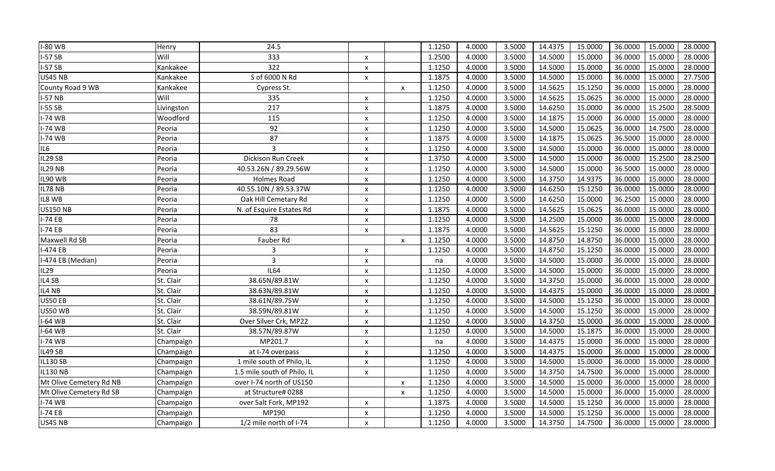| <b>I-80 WB</b>          | Henry      | 24.5                        |                           |                           | 1.1250 | 4.0000 | 3.5000 | 14.4375 | 15.0000 | 36.0000 | 15.0000 | 28.0000 |
|-------------------------|------------|-----------------------------|---------------------------|---------------------------|--------|--------|--------|---------|---------|---------|---------|---------|
| $-57S$                  | Will       | 333                         | $\boldsymbol{\mathsf{x}}$ |                           | 1.2500 | 4.0000 | 3.5000 | 14.5000 | 15.0000 | 36.0000 | 15.0000 | 28.0000 |
| $I-57SB$                | Kankakee   | 322                         | $\pmb{\chi}$              |                           | 1.1250 | 4.0000 | 3.5000 | 14.5000 | 15.0000 | 36.0000 | 15.0000 | 28.0000 |
| <b>US45 NB</b>          | Kankakee   | S of 6000 N Rd              | $\pmb{\times}$            |                           | 1.1875 | 4.0000 | 3.5000 | 14.5000 | 15.0000 | 36.0000 | 15.0000 | 27.7500 |
| County Road 9 WB        | Kankakee   | Cypress St.                 |                           | $\boldsymbol{\mathsf{x}}$ | 1.1250 | 4.0000 | 3.5000 | 14.5625 | 15.1250 | 36.0000 | 15.0000 | 28.0000 |
| <b>I-57 NB</b>          | Will       | 335                         | $\boldsymbol{\mathsf{x}}$ |                           | 1.1250 | 4.0000 | 3.5000 | 14.5625 | 15.0625 | 36.0000 | 15.0000 | 28.0000 |
| $I-55SB$                | Livingston | 217                         | $\pmb{\mathsf{X}}$        |                           | 1.1875 | 4.0000 | 3.5000 | 14.6250 | 15.0000 | 36.0000 | 15.2500 | 28.5000 |
| <b>I-74 WB</b>          | Woodford   | 115                         | $\pmb{\mathsf{X}}$        |                           | 1.1250 | 4.0000 | 3.5000 | 14.1875 | 15.0000 | 36.0000 | 15.0000 | 28.0000 |
| <b>I-74 WB</b>          | Peoria     | $\overline{92}$             | $\pmb{\mathsf{X}}$        |                           | 1.1250 | 4.0000 | 3.5000 | 14.5000 | 15.0625 | 36.0000 | 14.7500 | 28.0000 |
| <b>I-74 WB</b>          | Peoria     | 87                          | $\pmb{\times}$            |                           | 1.1875 | 4.0000 | 3.5000 | 14.1875 | 15.0625 | 36.5000 | 15.0000 | 28.0000 |
| IL6                     | Peoria     | 3                           | $\boldsymbol{\mathsf{x}}$ |                           | 1.1250 | 4.0000 | 3.5000 | 14.5000 | 15.0000 | 36.0000 | 15.0000 | 28.0000 |
| IL29 SB                 | Peoria     | Dickison Run Creek          | $\boldsymbol{\mathsf{x}}$ |                           | 1.3750 | 4.0000 | 3.5000 | 14.5000 | 15.0000 | 36.0000 | 15.2500 | 28.2500 |
| IL29 NB                 | Peoria     | 40.53.26N / 89.29.56W       | $\boldsymbol{\mathsf{x}}$ |                           | 1.1250 | 4.0000 | 3.5000 | 14.5000 | 15.0000 | 36.5000 | 15.0000 | 28.0000 |
| IL90 WB                 | Peoria     | <b>Holmes Road</b>          | X                         |                           | 1.1250 | 4.0000 | 3.5000 | 14.3750 | 14.9375 | 36.0000 | 15.0000 | 28.0000 |
| IL78 NB                 | Peoria     | 40.55.10N / 89.53.37W       | $\boldsymbol{\mathsf{x}}$ |                           | 1.1250 | 4.0000 | 3.5000 | 14.6250 | 15.1250 | 36.0000 | 15.0000 | 28.0000 |
| IL8 WB                  | Peoria     | Oak Hill Cemetary Rd        | $\pmb{\times}$            |                           | 1.1250 | 4.0000 | 3.5000 | 14.6250 | 15.0000 | 36.2500 | 15.0000 | 28.0000 |
| <b>US150 NB</b>         | Peoria     | N. of Esquire Estates Rd    | X                         |                           | 1.1875 | 4.0000 | 3.5000 | 14.5625 | 15.0625 | 36.0000 | 15.0000 | 28.0000 |
| $I-74EB$                | Peoria     | 78                          | X                         |                           | 1.1250 | 4.0000 | 3.5000 | 14.2500 | 15.0000 | 36.0000 | 15.0000 | 28.0000 |
| $I-74EB$                | Peoria     | 83                          | $\boldsymbol{\mathsf{x}}$ |                           | 1.1875 | 4.0000 | 3.5000 | 14.5625 | 15.1250 | 36.0000 | 15.0000 | 28.0000 |
| Maxwell Rd SB           | Peoria     | Fauber Rd                   |                           | $\boldsymbol{\mathsf{x}}$ | 1.1250 | 4.0000 | 3.5000 | 14.8750 | 14.8750 | 36.0000 | 15.0000 | 28.0000 |
| I-474 EB                | Peoria     | 3                           | $\boldsymbol{\mathsf{x}}$ |                           | 1.1250 | 4.0000 | 3.5000 | 14.8750 | 15.1250 | 36.0000 | 15.0000 | 28.0000 |
| I-474 EB (Median)       | Peoria     | 3                           | $\boldsymbol{\mathsf{x}}$ |                           | na     | 4.0000 | 3.5000 | 14.5000 | 15.0000 | 36.0000 | 15.0000 | 28.0000 |
| IL29                    | Peoria     | <b>IL64</b>                 | $\pmb{\times}$            |                           | 1.1250 | 4.0000 | 3.5000 | 14.5000 | 15.0000 | 36.0000 | 15.0000 | 28.0000 |
| IL4 SB                  | St. Clair  | 38.65N/89.81W               | $\pmb{\mathsf{X}}$        |                           | 1.1250 | 4.0000 | 3.5000 | 14.3750 | 15.0000 | 36.0000 | 15.0000 | 28.0000 |
| IL4 NB                  | St. Clair  | 38.63N/89.81W               | $\pmb{\mathsf{x}}$        |                           | 1.1250 | 4.0000 | 3.5000 | 14.4375 | 15.0000 | 36.0000 | 15.0000 | 28.0000 |
| <b>US50 EB</b>          | St. Clair  | 38.61N/89.75W               | $\boldsymbol{\mathsf{x}}$ |                           | 1.1250 | 4.0000 | 3.5000 | 14.5000 | 15.1250 | 36.0000 | 15.0000 | 28.0000 |
| <b>US50 WB</b>          | St. Clair  | 38.59N/89.81W               | $\boldsymbol{\mathsf{x}}$ |                           | 1.1250 | 4.0000 | 3.5000 | 14.5000 | 15.1250 | 36.0000 | 15.0000 | 28.0000 |
| -64 WB                  | St. Clair  | Over Silver Crk, MP22       | $\boldsymbol{\mathsf{x}}$ |                           | 1.1250 | 4.0000 | 3.5000 | 14.3750 | 15.0000 | 36.0000 | 15.0000 | 28.0000 |
| $-64$ WB                | St. Clair  | 38.57N/89.87W               | X                         |                           | 1.1250 | 4.0000 | 3.5000 | 14.5000 | 15.1875 | 36.0000 | 15.0000 | 28.0000 |
| <b>I-74 WB</b>          | Champaign  | MP201.7                     | X                         |                           | na     | 4.0000 | 3.5000 | 14.4375 | 15.0000 | 36.0000 | 15.0000 | 28.0000 |
| IL49 SB                 | Champaign  | at I-74 overpass            | $\pmb{\mathsf{X}}$        |                           | 1.1250 | 4.0000 | 3.5000 | 14.4375 | 15.0000 | 36.0000 | 15.0000 | 28.0000 |
| <b>IL130 SB</b>         | Champaign  | 1 mile south of Philo, IL   | $\boldsymbol{\mathsf{x}}$ |                           | 1.1250 | 4.0000 | 3.5000 | 14.5000 | 15.0000 | 36.0000 | 15.0000 | 28.0000 |
| <b>IL130 NB</b>         | Champaign  | 1.5 mile south of Philo, IL | $\pmb{\times}$            |                           | 1.1250 | 4.0000 | 3.5000 | 14.3750 | 14.7500 | 36.0000 | 15.0000 | 28.0000 |
| Mt Olive Cemetery Rd NB | Champaign  | over I-74 north of US150    |                           | $\boldsymbol{\mathsf{x}}$ | 1.1250 | 4.0000 | 3.5000 | 14.5000 | 15.0000 | 36.0000 | 15.0000 | 28.0000 |
| Mt Olive Cemetery Rd SB | Champaign  | at Structure# 0288          |                           | $\boldsymbol{\mathsf{x}}$ | 1.1250 | 4.0000 | 3.5000 | 14.5000 | 15.0000 | 36.0000 | 15.0000 | 28.0000 |
| <b>I-74 WB</b>          | Champaign  | over Salt Fork, MP192       | $\boldsymbol{\mathsf{x}}$ |                           | 1.1875 | 4.0000 | 3.5000 | 14.5000 | 15.1250 | 36.0000 | 15.0000 | 28.0000 |
| $I-74EB$                | Champaign  | MP190                       | X                         |                           | 1.1250 | 4.0000 | 3.5000 | 14.5000 | 15.1250 | 36.0000 | 15.0000 | 28.0000 |
| <b>US45 NB</b>          | Champaign  | 1/2 mile north of I-74      | x                         |                           | 1.1250 | 4.0000 | 3.5000 | 14.3750 | 14.7500 | 36.0000 | 15.0000 | 28.0000 |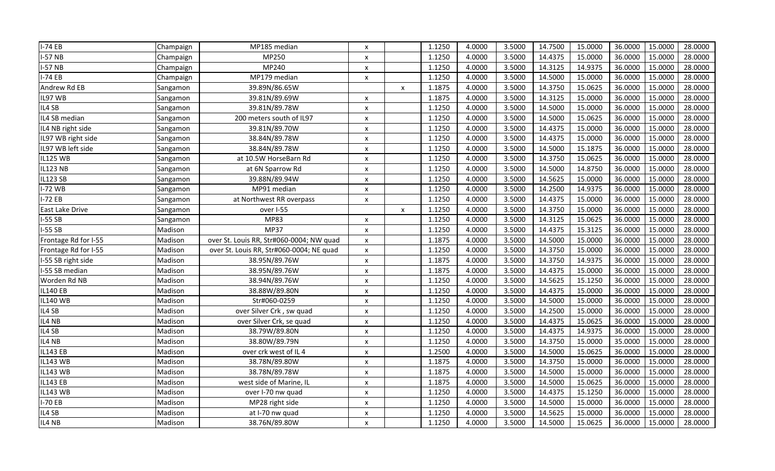| $I-74EB$             | Champaign | MP185 median                             | x                         |                    | 1.1250 | 4.0000 | 3.5000 | 14.7500 | 15.0000 | 36.0000 | 15.0000 | 28.0000 |
|----------------------|-----------|------------------------------------------|---------------------------|--------------------|--------|--------|--------|---------|---------|---------|---------|---------|
| <b>I-57 NB</b>       | Champaign | MP250                                    | $\pmb{\mathsf{X}}$        |                    | 1.1250 | 4.0000 | 3.5000 | 14.4375 | 15.0000 | 36.0000 | 15.0000 | 28.0000 |
| $I-57NB$             | Champaign | MP240                                    | $\pmb{\mathsf{x}}$        |                    | 1.1250 | 4.0000 | 3.5000 | 14.3125 | 14.9375 | 36.0000 | 15.0000 | 28.0000 |
| $I-74EB$             | Champaign | MP179 median                             | $\pmb{\chi}$              |                    | 1.1250 | 4.0000 | 3.5000 | 14.5000 | 15.0000 | 36.0000 | 15.0000 | 28.0000 |
| Andrew Rd EB         | Sangamon  | 39.89N/86.65W                            |                           | $\pmb{\mathsf{X}}$ | 1.1875 | 4.0000 | 3.5000 | 14.3750 | 15.0625 | 36.0000 | 15.0000 | 28.0000 |
| IL97 WB              | Sangamon  | 39.81N/89.69W                            | $\boldsymbol{\mathsf{x}}$ |                    | 1.1875 | 4.0000 | 3.5000 | 14.3125 | 15.0000 | 36.0000 | 15.0000 | 28.0000 |
| IL4 SB               | Sangamon  | 39.81N/89.78W                            | $\pmb{\times}$            |                    | 1.1250 | 4.0000 | 3.5000 | 14.5000 | 15.0000 | 36.0000 | 15.0000 | 28.0000 |
| IL4 SB median        | Sangamon  | 200 meters south of IL97                 | $\pmb{\times}$            |                    | 1.1250 | 4.0000 | 3.5000 | 14.5000 | 15.0625 | 36.0000 | 15.0000 | 28.0000 |
| IL4 NB right side    | Sangamon  | 39.81N/89.70W                            | $\pmb{\mathsf{X}}$        |                    | 1.1250 | 4.0000 | 3.5000 | 14.4375 | 15.0000 | 36.0000 | 15.0000 | 28.0000 |
| IL97 WB right side   | Sangamon  | 38.84N/89.78W                            | $\pmb{\times}$            |                    | 1.1250 | 4.0000 | 3.5000 | 14.4375 | 15.0000 | 36.0000 | 15.0000 | 28.0000 |
| IL97 WB left side    | Sangamon  | 38.84N/89.78W                            | $\boldsymbol{\mathsf{x}}$ |                    | 1.1250 | 4.0000 | 3.5000 | 14.5000 | 15.1875 | 36.0000 | 15.0000 | 28.0000 |
| <b>IL125 WB</b>      | Sangamon  | at 10.5W HorseBarn Rd                    | $\boldsymbol{\mathsf{x}}$ |                    | 1.1250 | 4.0000 | 3.5000 | 14.3750 | 15.0625 | 36.0000 | 15.0000 | 28.0000 |
| <b>IL123 NB</b>      | Sangamon  | at 6N Sparrow Rd                         | $\boldsymbol{\mathsf{x}}$ |                    | 1.1250 | 4.0000 | 3.5000 | 14.5000 | 14.8750 | 36.0000 | 15.0000 | 28.0000 |
| <b>IL123 SB</b>      | Sangamon  | 39.88N/89.94W                            | $\boldsymbol{\mathsf{x}}$ |                    | 1.1250 | 4.0000 | 3.5000 | 14.5625 | 15.0000 | 36.0000 | 15.0000 | 28.0000 |
| $I-72$ WB            | Sangamon  | MP91 median                              | $\boldsymbol{\mathsf{x}}$ |                    | 1.1250 | 4.0000 | 3.5000 | 14.2500 | 14.9375 | 36.0000 | 15.0000 | 28.0000 |
| $I-72EB$             | Sangamon  | at Northwest RR overpass                 | $\pmb{\mathsf{X}}$        |                    | 1.1250 | 4.0000 | 3.5000 | 14.4375 | 15.0000 | 36.0000 | 15.0000 | 28.0000 |
| East Lake Drive      | Sangamon  | over I-55                                |                           | $\pmb{\times}$     | 1.1250 | 4.0000 | 3.5000 | 14.3750 | 15.0000 | 36.0000 | 15.0000 | 28.0000 |
| $I-55SB$             | Sangamon  | <b>MP83</b>                              | $\boldsymbol{\mathsf{x}}$ |                    | 1.1250 | 4.0000 | 3.5000 | 14.3125 | 15.0625 | 36.0000 | 15.0000 | 28.0000 |
| <b>I-55 SB</b>       | Madison   | <b>MP37</b>                              | $\boldsymbol{\mathsf{x}}$ |                    | 1.1250 | 4.0000 | 3.5000 | 14.4375 | 15.3125 | 36.0000 | 15.0000 | 28.0000 |
| Frontage Rd for I-55 | Madison   | over St. Louis RR, Str#060-0004; NW quad | $\boldsymbol{\mathsf{x}}$ |                    | 1.1875 | 4.0000 | 3.5000 | 14.5000 | 15.0000 | 36.0000 | 15.0000 | 28.0000 |
|                      |           |                                          |                           |                    |        |        |        |         |         |         |         |         |
| Frontage Rd for I-55 | Madison   | over St. Louis RR, Str#060-0004; NE quad | $\boldsymbol{\mathsf{x}}$ |                    | 1.1250 | 4.0000 | 3.5000 | 14.3750 | 15.0000 | 36.0000 | 15.0000 | 28.0000 |
| I-55 SB right side   | Madison   | 38.95N/89.76W                            | $\boldsymbol{\mathsf{x}}$ |                    | 1.1875 | 4.0000 | 3.5000 | 14.3750 | 14.9375 | 36.0000 | 15.0000 | 28.0000 |
| I-55 SB median       | Madison   | 38.95N/89.76W                            | $\pmb{\times}$            |                    | 1.1875 | 4.0000 | 3.5000 | 14.4375 | 15.0000 | 36.0000 | 15.0000 | 28.0000 |
| Worden Rd NB         | Madison   | 38.94N/89.76W                            | $\pmb{\times}$            |                    | 1.1250 | 4.0000 | 3.5000 | 14.5625 | 15.1250 | 36.0000 | 15.0000 | 28.0000 |
| <b>IL140 EB</b>      | Madison   | 38.88W/89.80N                            | $\pmb{\mathsf{X}}$        |                    | 1.1250 | 4.0000 | 3.5000 | 14.4375 | 15.0000 | 36.0000 | 15.0000 | 28.0000 |
| <b>IL140 WB</b>      | Madison   | Str#060-0259                             | $\boldsymbol{\mathsf{x}}$ |                    | 1.1250 | 4.0000 | 3.5000 | 14.5000 | 15.0000 | 36.0000 | 15.0000 | 28.0000 |
| IL4 SB               | Madison   | over Silver Crk, sw quad                 | $\pmb{\times}$            |                    | 1.1250 | 4.0000 | 3.5000 | 14.2500 | 15.0000 | 36.0000 | 15.0000 | 28.0000 |
| IL4 NB               | Madison   | over Silver Crk, se quad                 | $\boldsymbol{\mathsf{x}}$ |                    | 1.1250 | 4.0000 | 3.5000 | 14.4375 | 15.0625 | 36.0000 | 15.0000 | 28.0000 |
| IL4 SB               | Madison   | 38.79W/89.80N                            | $\boldsymbol{\mathsf{x}}$ |                    | 1.1250 | 4.0000 | 3.5000 | 14.4375 | 14.9375 | 36.0000 | 15.0000 | 28.0000 |
| IL4 NB               | Madison   | 38.80W/89.79N                            | X                         |                    | 1.1250 | 4.0000 | 3.5000 | 14.3750 | 15.0000 | 35.0000 | 15.0000 | 28.0000 |
| <b>IL143 EB</b>      | Madison   | over crk west of IL4                     | $\pmb{\times}$            |                    | 1.2500 | 4.0000 | 3.5000 | 14.5000 | 15.0625 | 36.0000 | 15.0000 | 28.0000 |
| <b>IL143 WB</b>      | Madison   | 38.78N/89.80W                            | $\pmb{\times}$            |                    | 1.1875 | 4.0000 | 3.5000 | 14.3750 | 15.0000 | 36.0000 | 15.0000 | 28.0000 |
| <b>IL143 WB</b>      | Madison   | 38.78N/89.78W                            | $\pmb{\chi}$              |                    | 1.1875 | 4.0000 | 3.5000 | 14.5000 | 15.0000 | 36.0000 | 15.0000 | 28.0000 |
| <b>IL143 EB</b>      | Madison   | west side of Marine, IL                  | $\pmb{\times}$            |                    | 1.1875 | 4.0000 | 3.5000 | 14.5000 | 15.0625 | 36.0000 | 15.0000 | 28.0000 |
| <b>IL143 WB</b>      | Madison   | over I-70 nw quad                        | $\pmb{\chi}$              |                    | 1.1250 | 4.0000 | 3.5000 | 14.4375 | 15.1250 | 36.0000 | 15.0000 | 28.0000 |
| I-70 EB              | Madison   | MP28 right side                          | X                         |                    | 1.1250 | 4.0000 | 3.5000 | 14.5000 | 15.0000 | 36.0000 | 15.0000 | 28.0000 |
| IL4 SB               | Madison   | at I-70 nw quad                          | X                         |                    | 1.1250 | 4.0000 | 3.5000 | 14.5625 | 15.0000 | 36.0000 | 15.0000 | 28.0000 |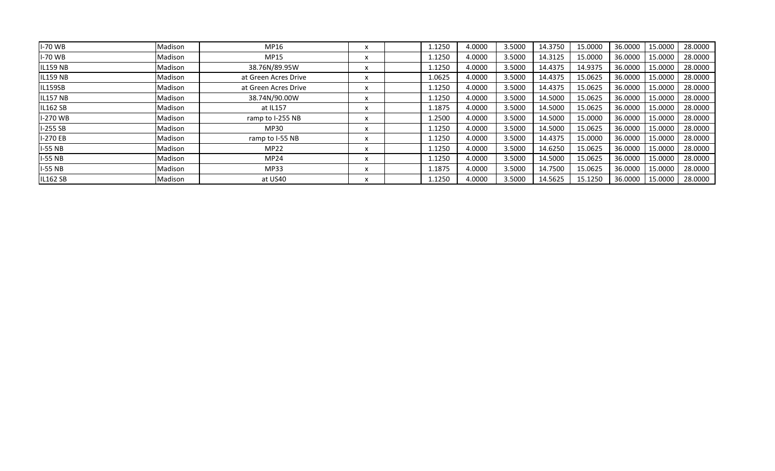| <b>I-70 WB</b>  | Madison | MP16                 | x | 1.1250 | 4.0000 | 3.5000 | 14.3750 | 15.0000 | 36.0000 | 15.0000 | 28.0000 |
|-----------------|---------|----------------------|---|--------|--------|--------|---------|---------|---------|---------|---------|
| <b>I-70 WB</b>  | Madison | <b>MP15</b>          | x | 1.1250 | 4.0000 | 3.5000 | 14.3125 | 15.0000 | 36.0000 | 15.0000 | 28.0000 |
| <b>IL159 NB</b> | Madison | 38.76N/89.95W        | x | 1.1250 | 4.0000 | 3.5000 | 14.4375 | 14.9375 | 36.0000 | 15.0000 | 28.0000 |
| <b>IL159 NB</b> | Madison | at Green Acres Drive | x | 1.0625 | 4.0000 | 3.5000 | 14.4375 | 15.0625 | 36.0000 | 15,0000 | 28.0000 |
| IL159SB         | Madison | at Green Acres Drive | X | 1.1250 | 4.0000 | 3.5000 | 14.4375 | 15.0625 | 36.0000 | 15.0000 | 28.0000 |
| <b>IL157 NB</b> | Madison | 38.74N/90.00W        | x | 1.1250 | 4.0000 | 3.5000 | 14.5000 | 15.0625 | 36.0000 | 15.0000 | 28.0000 |
| <b>IL162 SB</b> | Madison | at IL157             | x | 1.1875 | 4.0000 | 3.5000 | 14.5000 | 15.0625 | 36.0000 | 15.0000 | 28.0000 |
| I-270 WB        | Madison | ramp to I-255 NB     | X | 1.2500 | 4.0000 | 3.5000 | 14.5000 | 15.0000 | 36.0000 | 15.0000 | 28.0000 |
| $I-255SB$       | Madison | MP30                 | x | 1.1250 | 4.0000 | 3.5000 | 14.5000 | 15.0625 | 36.0000 | 15.0000 | 28.0000 |
| I-270 EB        | Madison | ramp to I-55 NB      | x | 1.1250 | 4.0000 | 3.5000 | 14.4375 | 15.0000 | 36.0000 | 15.0000 | 28.0000 |
| $I-55 NB$       | Madison | MP22                 | x | 1.1250 | 4.0000 | 3.5000 | 14.6250 | 15.0625 | 36.0000 | 15.0000 | 28.0000 |
| $I-55 NB$       | Madison | <b>MP24</b>          | x | 1.1250 | 4.0000 | 3.5000 | 14.5000 | 15.0625 | 36.0000 | 15.0000 | 28.0000 |
| <b>I-55 NB</b>  | Madison | MP33                 | x | 1.1875 | 4.0000 | 3.5000 | 14.7500 | 15.0625 | 36.0000 | 15.0000 | 28.0000 |
| <b>IL162 SB</b> | Madison | at US40              | x | 1.1250 | 4.0000 | 3.5000 | 14.5625 | 15.1250 | 36.0000 | 15.0000 | 28.0000 |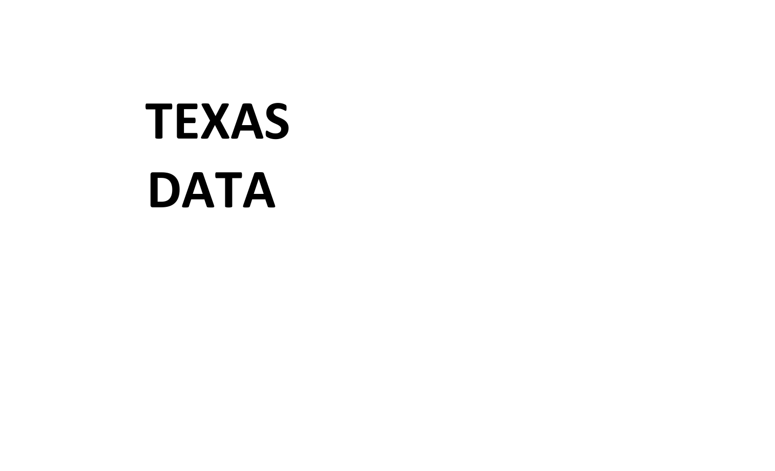### **TEXAS DATA**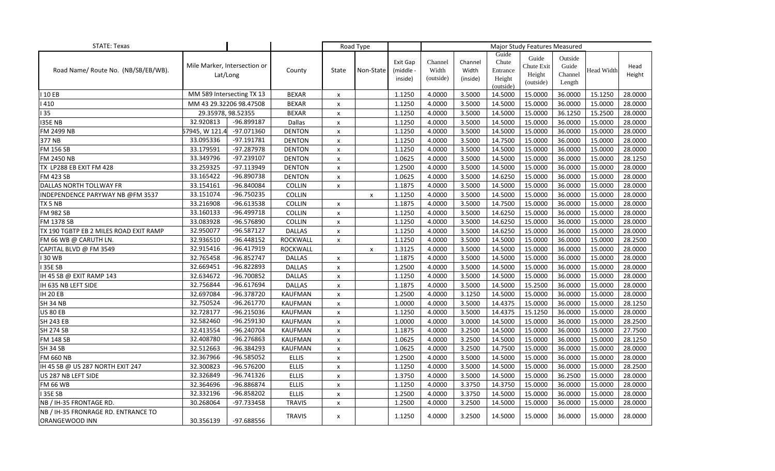| <b>STATE: Texas</b>                    |                                          |              |                 | Road Type      |                    |                                  |                               |                              | Major Study Features Measured                     |                                            |                                       |                   |                |
|----------------------------------------|------------------------------------------|--------------|-----------------|----------------|--------------------|----------------------------------|-------------------------------|------------------------------|---------------------------------------------------|--------------------------------------------|---------------------------------------|-------------------|----------------|
| Road Name/ Route No. (NB/SB/EB/WB).    | Mile Marker, Intersection or<br>Lat/Long |              | County          | State          | Non-State          | Exit Gap<br>(middle -<br>inside) | Channel<br>Width<br>(outside) | Channel<br>Width<br>(inside) | Guide<br>Chute<br>Entrance<br>Height<br>(outside) | Guide<br>Chute Exit<br>Height<br>(outside) | Outside<br>Guide<br>Channel<br>Length | <b>Head Width</b> | Head<br>Height |
| 10 EB                                  | MM 589 Intersecting TX 13                |              | <b>BEXAR</b>    | X              |                    | 1.1250                           | 4.0000                        | 3.5000                       | 14.5000                                           | 15.0000                                    | 36.0000                               | 15.1250           | 28.0000        |
| 410                                    | MM 43 29.32206 98.47508                  |              | <b>BEXAR</b>    | x              |                    | 1.1250                           | 4.0000                        | 3.5000                       | 14.5000                                           | 15.0000                                    | 36.0000                               | 15.0000           | 28.0000        |
| 35                                     | 29.35978, 98.52355                       |              | <b>BEXAR</b>    | X              |                    | 1.1250                           | 4.0000                        | 3.5000                       | 14.5000                                           | 15.0000                                    | 36.1250                               | 15.2500           | 28.0000        |
| <b>I35E NB</b>                         | 32.920813                                | -96.899187   | Dallas          | $\pmb{\times}$ |                    | 1.1250                           | 4.0000                        | 3.5000                       | 14.5000                                           | 15.0000                                    | 36.0000                               | 15.0000           | 28.0000        |
| FM 2499 NB                             | 57945, W 121.4                           | -97.071360   | <b>DENTON</b>   | $\pmb{\times}$ |                    | 1.1250                           | 4.0000                        | 3.5000                       | 14.5000                                           | 15.0000                                    | 36.0000                               | 15.0000           | 28.0000        |
| 377 NB                                 | 33.095336                                | $-97.191781$ | <b>DENTON</b>   | x              |                    | 1.1250                           | 4.0000                        | 3.5000                       | 14.7500                                           | 15.0000                                    | 36.0000                               | 15.0000           | 28.0000        |
| <b>FM 156 SB</b>                       | 33.179591                                | -97.287978   | <b>DENTON</b>   | $\pmb{\times}$ |                    | 1.1250                           | 4.0000                        | 3.5000                       | 14.5000                                           | 15.0000                                    | 36.0000                               | 15.0000           | 28.0000        |
| FM 2450 NB                             | 33.349796                                | $-97.239107$ | <b>DENTON</b>   | $\pmb{\times}$ |                    | 1.0625                           | 4.0000                        | 3.5000                       | 14.5000                                           | 15.0000                                    | 36.0000                               | 15.0000           | 28.1250        |
| TX LP288 EB EXIT FM 428                | 33.259325                                | -97.113949   | <b>DENTON</b>   | $\pmb{\times}$ |                    | 1.2500                           | 4.0000                        | 3.5000                       | 14.5000                                           | 15.0000                                    | 36.0000                               | 15.0000           | 28.0000        |
| <b>FM 423 SB</b>                       | 33.165422                                | -96.890738   | <b>DENTON</b>   | x              |                    | 1.0625                           | 4.0000                        | 3.5000                       | 14.6250                                           | 15.0000                                    | 36.0000                               | 15.0000           | 28.0000        |
| DALLAS NORTH TOLLWAY FR                | 33.154161                                | -96.840084   | <b>COLLIN</b>   | X              |                    | 1.1875                           | 4.0000                        | 3.5000                       | 14.5000                                           | 15.0000                                    | 36.0000                               | 15.0000           | 28.0000        |
| INDEPENDENCE PARYWAY NB @FM 3537       | 33.151074                                | -96.750235   | COLLIN          |                | X                  | 1.1250                           | 4.0000                        | 3.5000                       | 14.5000                                           | 15.0000                                    | 36.0000                               | 15.0000           | 28.0000        |
| TX 5 NB                                | 33.216908                                | -96.613538   | <b>COLLIN</b>   | X              |                    | 1.1875                           | 4.0000                        | 3.5000                       | 14.7500                                           | 15.0000                                    | 36.0000                               | 15.0000           | 28.0000        |
| <b>FM 982 SB</b>                       | 33.160133                                | -96.499718   | COLLIN          | X              |                    | 1.1250                           | 4.0000                        | 3.5000                       | 14.6250                                           | 15.0000                                    | 36.0000                               | 15.0000           | 28.0000        |
| FM 1378 SB                             | 33.083928                                | -96.576890   | <b>COLLIN</b>   | X              |                    | 1.1250                           | 4.0000                        | 3.5000                       | 14.6250                                           | 15.0000                                    | 36.0000                               | 15.0000           | 28.0000        |
| TX 190 TGBTP EB 2 MILES ROAD EXIT RAMP | 32.950077                                | -96.587127   | <b>DALLAS</b>   | $\pmb{\times}$ |                    | 1.1250                           | 4.0000                        | 3.5000                       | 14.6250                                           | 15.0000                                    | 36.0000                               | 15.0000           | 28.0000        |
| FM 66 WB @ CARUTH LN.                  | 32.936510                                | $-96.448152$ | ROCKWALL        | $\pmb{\times}$ |                    | 1.1250                           | 4.0000                        | 3.5000                       | 14.5000                                           | 15.0000                                    | 36.0000                               | 15.0000           | 28.2500        |
| CAPITAL BLVD @ FM 3549                 | 32.915416                                | -96.417919   | <b>ROCKWALL</b> |                | $\pmb{\mathsf{x}}$ | 1.3125                           | 4.0000                        | 3.5000                       | 14.5000                                           | 15.0000                                    | 36.0000                               | 15.0000           | 28.0000        |
| 30 WB                                  | 32.765458                                | -96.852747   | <b>DALLAS</b>   | x              |                    | 1.1875                           | 4.0000                        | 3.5000                       | 14.5000                                           | 15.0000                                    | 36.0000                               | 15.0000           | 28.0000        |
| 35E SB                                 | 32.669451                                | -96.822893   | <b>DALLAS</b>   | x              |                    | 1.2500                           | 4.0000                        | 3.5000                       | 14.5000                                           | 15.0000                                    | 36.0000                               | 15.0000           | 28.0000        |
| IH 45 SB @ EXIT RAMP 143               | 32.634672                                | -96.700852   | <b>DALLAS</b>   | $\pmb{\times}$ |                    | 1.1250                           | 4.0000                        | 3.5000                       | 14.5000                                           | 15.0000                                    | 36.0000                               | 15.0000           | 28.0000        |
| IH 635 NB LEFT SIDE                    | 32.756844                                | -96.617694   | <b>DALLAS</b>   | $\pmb{\times}$ |                    | 1.1875                           | 4.0000                        | 3.5000                       | 14.5000                                           | 15.2500                                    | 36.0000                               | 15.0000           | 28.0000        |
| <b>IH 20 EB</b>                        | 32.697084                                | -96.378720   | <b>KAUFMAN</b>  | x              |                    | 1.2500                           | 4.0000                        | 3.1250                       | 14.5000                                           | 15.0000                                    | 36.0000                               | 15.0000           | 28.0000        |
| <b>SH 34 NB</b>                        | 32.750524                                | $-96.261770$ | KAUFMAN         | X              |                    | 1.0000                           | 4.0000                        | 3.5000                       | 14.4375                                           | 15.0000                                    | 36.0000                               | 15.0000           | 28.1250        |
| <b>US 80 EB</b>                        | 32.728177                                | -96.215036   | <b>KAUFMAN</b>  | $\pmb{\times}$ |                    | 1.1250                           | 4.0000                        | 3.5000                       | 14.4375                                           | 15.1250                                    | 36.0000                               | 15.0000           | 28.0000        |
| <b>SH 243 EB</b>                       | 32.582460                                | -96.259130   | <b>KAUFMAN</b>  | $\pmb{\times}$ |                    | 1.0000                           | 4.0000                        | 3.0000                       | 14.5000                                           | 15.0000                                    | 36.0000                               | 15.0000           | 28.2500        |
| <b>SH 274 SB</b>                       | 32.413554                                | -96.240704   | <b>KAUFMAN</b>  | X              |                    | 1.1875                           | 4.0000                        | 3.2500                       | 14.5000                                           | 15.0000                                    | 36.0000                               | 15.0000           | 27.7500        |
| <b>FM 148 SB</b>                       | 32.408780                                | -96.276863   | KAUFMAN         | X              |                    | 1.0625                           | 4.0000                        | 3.2500                       | 14.5000                                           | 15.0000                                    | 36.0000                               | 15.0000           | 28.1250        |
| SH 34 SB                               | 32.512663                                | -96.384293   | <b>KAUFMAN</b>  | $\pmb{\times}$ |                    | 1.0625                           | 4.0000                        | 3.2500                       | 14.7500                                           | 15.0000                                    | 36.0000                               | 15.0000           | 28.0000        |
| <b>FM 660 NB</b>                       | 32.367966                                | -96.585052   | <b>ELLIS</b>    | $\pmb{\times}$ |                    | 1.2500                           | 4.0000                        | 3.5000                       | 14.5000                                           | 15.0000                                    | 36.0000                               | 15.0000           | 28.0000        |
| IH 45 SB @ US 287 NORTH EXIT 247       | 32.300823                                | $-96.576200$ | <b>ELLIS</b>    | x              |                    | 1.1250                           | 4.0000                        | 3.5000                       | 14.5000                                           | 15.0000                                    | 36.0000                               | 15.0000           | 28.2500        |
| US 287 NB LEFT SIDE                    | 32.326849                                | -96.741326   | <b>ELLIS</b>    | x              |                    | 1.3750                           | 4.0000                        | 3.5000                       | 14.5000                                           | 15.0000                                    | 36.2500                               | 15.0000           | 28.0000        |
| <b>FM 66 WB</b>                        | 32.364696                                | -96.886874   | <b>ELLIS</b>    | $\pmb{\times}$ |                    | 1.1250                           | 4.0000                        | 3.3750                       | 14.3750                                           | 15.0000                                    | 36.0000                               | 15.0000           | 28.0000        |
| 35E SB                                 | 32.332196                                | -96.858202   | <b>ELLIS</b>    | $\pmb{\times}$ |                    | 1.2500                           | 4.0000                        | 3.3750                       | 14.5000                                           | 15.0000                                    | 36.0000                               | 15.0000           | 28.0000        |
| NB / IH-35 FRONTAGE RD.                | 30.268064                                | -97.733458   | <b>TRAVIS</b>   | $\pmb{\times}$ |                    | 1.2500                           | 4.0000                        | 3.2500                       | 14.5000                                           | 15.0000                                    | 36.0000                               | 15.0000           | 28.0000        |
| NB / IH-35 FRONRAGE RD. ENTRANCE TO    |                                          |              | <b>TRAVIS</b>   | x              |                    | 1.1250                           | 4.0000                        | 3.2500                       | 14.5000                                           | 15.0000                                    | 36.0000                               | 15.0000           | 28.0000        |
| ORANGEWOOD INN                         | 30.356139                                | -97.688556   |                 |                |                    |                                  |                               |                              |                                                   |                                            |                                       |                   |                |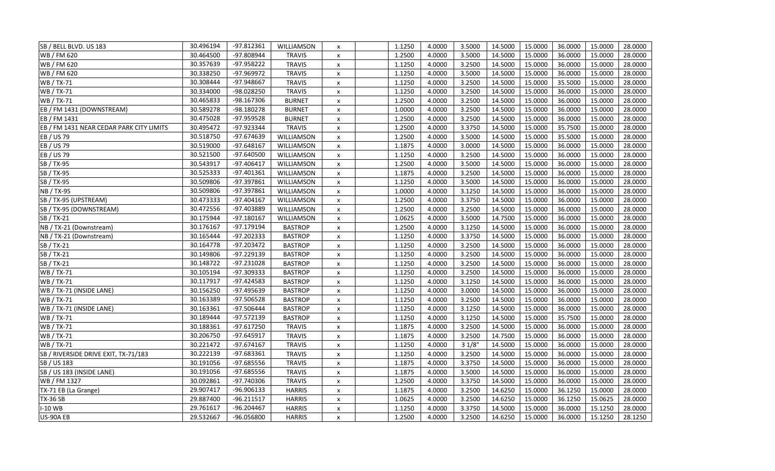| SB / BELL BLVD. US 183                   | 30.496194 | $-97.812361$ | WILLIAMSON     | X                         | 1.1250 | 4.0000 | 3.5000 | 14.5000 | 15.0000 | 36.0000 | 15.0000 | 28.0000 |
|------------------------------------------|-----------|--------------|----------------|---------------------------|--------|--------|--------|---------|---------|---------|---------|---------|
| WB / FM 620                              | 30.464500 | -97.808944   | <b>TRAVIS</b>  | $\pmb{\times}$            | 1.2500 | 4.0000 | 3.5000 | 14.5000 | 15.0000 | 36.0000 | 15.0000 | 28.0000 |
| WB / FM 620                              | 30.357639 | -97.958222   | <b>TRAVIS</b>  | $\pmb{\times}$            | 1.1250 | 4.0000 | 3.2500 | 14.5000 | 15.0000 | 36.0000 | 15.0000 | 28.0000 |
| WB / FM 620                              | 30.338250 | -97.969972   | <b>TRAVIS</b>  | $\pmb{\times}$            | 1.1250 | 4.0000 | 3.5000 | 14.5000 | 15.0000 | 36.0000 | 15.0000 | 28.0000 |
| WB / TX-71                               | 30.308444 | -97.948667   | <b>TRAVIS</b>  | X                         | 1.1250 | 4.0000 | 3.2500 | 14.5000 | 15.0000 | 35.5000 | 15.0000 | 28.0000 |
| WB / TX-71                               | 30.334000 | -98.028250   | <b>TRAVIS</b>  | $\pmb{\times}$            | 1.1250 | 4.0000 | 3.2500 | 14.5000 | 15.0000 | 36.0000 | 15.0000 | 28.0000 |
| WB / TX-71                               | 30.465833 | -98.167306   | <b>BURNET</b>  | $\pmb{\times}$            | 1.2500 | 4.0000 | 3.2500 | 14.5000 | 15.0000 | 36.0000 | 15.0000 | 28.0000 |
| EB / FM 1431 (DOWNSTREAM)                | 30.589278 | -98.180278   | <b>BURNET</b>  | $\pmb{\times}$            | 1.0000 | 4.0000 | 3.2500 | 14.5000 | 15.0000 | 36.0000 | 15.0000 | 28.0000 |
| EB / FM 1431                             | 30.475028 | -97.959528   | <b>BURNET</b>  | $\pmb{\times}$            | 1.2500 | 4.0000 | 3.2500 | 14.5000 | 15.0000 | 36.0000 | 15.0000 | 28.0000 |
| EB / FM 1431 NEAR CEDAR PARK CITY LIMITS | 30.495472 | -97.923344   | <b>TRAVIS</b>  | X                         | 1.2500 | 4.0000 | 3.3750 | 14.5000 | 15.0000 | 35.7500 | 15.0000 | 28.0000 |
| EB / US 79                               | 30.518750 | -97.674639   | WILLIAMSON     | $\pmb{\mathsf{x}}$        | 1.2500 | 4.0000 | 3.5000 | 14.5000 | 15.0000 | 35.5000 | 15.0000 | 28.0000 |
| EB / US 79                               | 30.519000 | $-97.648167$ | WILLIAMSON     | $\pmb{\times}$            | 1.1875 | 4.0000 | 3.0000 | 14.5000 | 15.0000 | 36.0000 | 15.0000 | 28.0000 |
| EB / US 79                               | 30.521500 | $-97.640500$ | WILLIAMSON     | $\pmb{\mathsf{x}}$        | 1.1250 | 4.0000 | 3.2500 | 14.5000 | 15.0000 | 36.0000 | 15.0000 | 28.0000 |
| SB / TX-95                               | 30.543917 | -97.406417   | WILLIAMSON     | $\pmb{\times}$            | 1.2500 | 4.0000 | 3.5000 | 14.5000 | 15.0000 | 36.0000 | 15.0000 | 28.0000 |
| SB / TX-95                               | 30.525333 | $-97.401361$ | WILLIAMSON     | X                         | 1.1875 | 4.0000 | 3.2500 | 14.5000 | 15.0000 | 36.0000 | 15.0000 | 28.0000 |
| SB / TX-95                               | 30.509806 | -97.397861   | WILLIAMSON     | X                         | 1.1250 | 4.0000 | 3.5000 | 14.5000 | 15.0000 | 36.0000 | 15.0000 | 28.0000 |
| <b>NB</b> / TX-95                        | 30.509806 | -97.397861   | WILLIAMSON     | $\pmb{\times}$            | 1.0000 | 4.0000 | 3.1250 | 14.5000 | 15.0000 | 36.0000 | 15.0000 | 28.0000 |
| SB / TX-95 (UPSTREAM)                    | 30.473333 | $-97.404167$ | WILLIAMSON     | $\pmb{\times}$            | 1.2500 | 4.0000 | 3.3750 | 14.5000 | 15.0000 | 36.0000 | 15.0000 | 28.0000 |
| SB / TX-95 (DOWNSTREAM)                  | 30.472556 | -97.403889   | WILLIAMSON     | X                         | 1.2500 | 4.0000 | 3.2500 | 14.5000 | 15.0000 | 36.0000 | 15.0000 | 28.0000 |
| SB / TX-21                               | 30.175944 | $-97.180167$ | WILLIAMSON     | $\pmb{\times}$            | 1.0625 | 4.0000 | 3.5000 | 14.7500 | 15.0000 | 36.0000 | 15.0000 | 28.0000 |
| NB / TX-21 (Downstream)                  | 30.176167 | $-97.179194$ | <b>BASTROP</b> | $\pmb{\times}$            | 1.2500 | 4.0000 | 3.1250 | 14.5000 | 15.0000 | 36.0000 | 15.0000 | 28.0000 |
| NB / TX-21 (Downstream)                  | 30.165444 | $-97.202333$ | <b>BASTROP</b> | $\pmb{\times}$            | 1.1250 | 4.0000 | 3.3750 | 14.5000 | 15.0000 | 36.0000 | 15.0000 | 28.0000 |
| SB / TX-21                               | 30.164778 | -97.203472   | <b>BASTROP</b> | $\pmb{\times}$            | 1.1250 | 4.0000 | 3.2500 | 14.5000 | 15.0000 | 36.0000 | 15.0000 | 28.0000 |
| SB / TX-21                               | 30.149806 | -97.229139   | <b>BASTROP</b> | $\pmb{\times}$            | 1.1250 | 4.0000 | 3.2500 | 14.5000 | 15.0000 | 36.0000 | 15.0000 | 28.0000 |
| SB / TX-21                               | 30.148722 | $-97.231028$ | <b>BASTROP</b> | $\pmb{\times}$            | 1.1250 | 4.0000 | 3.2500 | 14.5000 | 15.0000 | 36.0000 | 15.0000 | 28.0000 |
| WB / TX-71                               | 30.105194 | -97.309333   | <b>BASTROP</b> | X                         | 1.1250 | 4.0000 | 3.2500 | 14.5000 | 15.0000 | 36.0000 | 15.0000 | 28.0000 |
| WB / TX-71                               | 30.117917 | $-97.424583$ | <b>BASTROP</b> | $\pmb{\times}$            | 1.1250 | 4.0000 | 3.1250 | 14.5000 | 15.0000 | 36.0000 | 15.0000 | 28.0000 |
| WB / TX-71 (INSIDE LANE)                 | 30.156250 | -97.495639   | <b>BASTROP</b> | $\pmb{\times}$            | 1.1250 | 4.0000 | 3.0000 | 14.5000 | 15.0000 | 36.0000 | 15.0000 | 28.0000 |
| WB / TX-71                               | 30.163389 | -97.506528   | <b>BASTROP</b> | $\pmb{\times}$            | 1.1250 | 4.0000 | 3.2500 | 14.5000 | 15.0000 | 36.0000 | 15.0000 | 28.0000 |
| WB / TX-71 (INSIDE LANE)                 | 30.163361 | -97.506444   | <b>BASTROP</b> | $\pmb{\times}$            | 1.1250 | 4.0000 | 3.1250 | 14.5000 | 15.0000 | 36.0000 | 15.0000 | 28.0000 |
| WB / TX-71                               | 30.189444 | $-97.572139$ | <b>BASTROP</b> | $\pmb{\times}$            | 1.1250 | 4.0000 | 3.1250 | 14.5000 | 15.0000 | 35.7500 | 15.0000 | 28.0000 |
| WB / TX-71                               | 30.188361 | $-97.617250$ | <b>TRAVIS</b>  | $\pmb{\times}$            | 1.1875 | 4.0000 | 3.2500 | 14.5000 | 15.0000 | 36.0000 | 15.0000 | 28.0000 |
| WB / TX-71                               | 30.206750 | -97.645917   | <b>TRAVIS</b>  | $\pmb{\times}$            | 1.1875 | 4.0000 | 3.2500 | 14.7500 | 15.0000 | 36.0000 | 15.0000 | 28.0000 |
| WB / TX-71                               | 30.221472 | $-97.674167$ | <b>TRAVIS</b>  | $\pmb{\mathsf{x}}$        | 1.1250 | 4.0000 | 31/8"  | 14.5000 | 15.0000 | 36.0000 | 15.0000 | 28.0000 |
| SB / RIVERSIDE DRIVE EXIT, TX-71/183     | 30.222139 | -97.683361   | <b>TRAVIS</b>  | X                         | 1.1250 | 4.0000 | 3.2500 | 14.5000 | 15.0000 | 36.0000 | 15.0000 | 28.0000 |
| SB / US 183                              | 30.191056 | -97.685556   | <b>TRAVIS</b>  | $\pmb{\times}$            | 1.1875 | 4.0000 | 3.3750 | 14.5000 | 15.0000 | 36.0000 | 15.0000 | 28.0000 |
| SB / US 183 (INSIDE LANE)                | 30.191056 | -97.685556   | <b>TRAVIS</b>  | $\pmb{\times}$            | 1.1875 | 4.0000 | 3.5000 | 14.5000 | 15.0000 | 36.0000 | 15.0000 | 28.0000 |
| WB / FM 1327                             | 30.092861 | -97.740306   | <b>TRAVIS</b>  | $\pmb{\times}$            | 1.2500 | 4.0000 | 3.3750 | 14.5000 | 15.0000 | 36.0000 | 15.0000 | 28.0000 |
| TX-71 EB (La Grange)                     | 29.907417 | -96.906133   | <b>HARRIS</b>  | $\pmb{\times}$            | 1.1875 | 4.0000 | 3.2500 | 14.6250 | 15.0000 | 36.1250 | 15.0000 | 28.0000 |
| <b>TX-36 SB</b>                          | 29.887400 | $-96.211517$ | <b>HARRIS</b>  | X                         | 1.0625 | 4.0000 | 3.2500 | 14.6250 | 15.0000 | 36.1250 | 15.0625 | 28.0000 |
| I-10 WB                                  | 29.761617 | $-96.204467$ | <b>HARRIS</b>  | X                         | 1.1250 | 4.0000 | 3.3750 | 14.5000 | 15.0000 | 36.0000 | 15.1250 | 28.0000 |
| US-90A EB                                | 29.532667 | -96.056800   | <b>HARRIS</b>  | $\boldsymbol{\mathsf{x}}$ | 1.2500 | 4.0000 | 3.2500 | 14.6250 | 15.0000 | 36.0000 | 15.1250 | 28.1250 |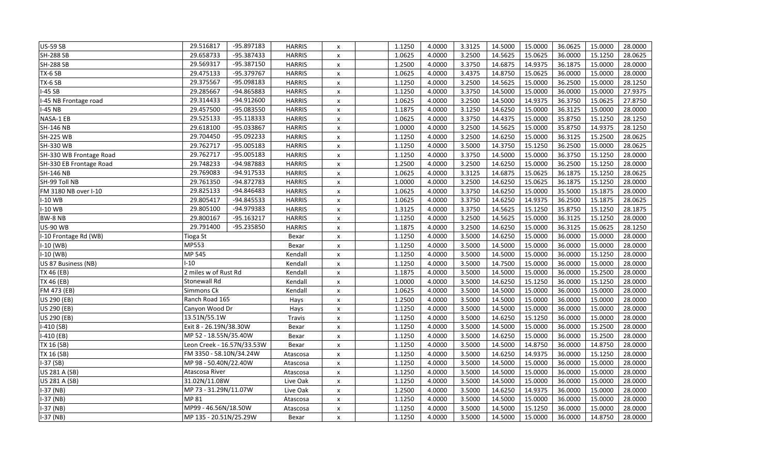| <b>US-59 SB</b>         | 29.516817                  | -95.897183   | <b>HARRIS</b> | X                  | 1.1250 | 4.0000 | 3.3125 | 14.5000 | 15.0000 | 36.0625 | 15.0000 | 28.0000 |
|-------------------------|----------------------------|--------------|---------------|--------------------|--------|--------|--------|---------|---------|---------|---------|---------|
| <b>SH-288 SB</b>        | 29.658733                  | -95.387433   | <b>HARRIS</b> | $\pmb{\times}$     | 1.0625 | 4.0000 | 3.2500 | 14.5625 | 15.0625 | 36.0000 | 15.1250 | 28.0625 |
| <b>SH-288 SB</b>        | 29.569317                  | -95.387150   | <b>HARRIS</b> | X                  | 1.2500 | 4.0000 | 3.3750 | 14.6875 | 14.9375 | 36.1875 | 15.0000 | 28.0000 |
| TX-6 SB                 | 29.475133                  | -95.379767   | <b>HARRIS</b> | $\pmb{\times}$     | 1.0625 | 4.0000 | 3.4375 | 14.8750 | 15.0625 | 36.0000 | 15.0000 | 28.0000 |
| TX-6 SB                 | 29.375567                  | -95.098183   | <b>HARRIS</b> | x                  | 1.1250 | 4.0000 | 3.2500 | 14.5625 | 15.0000 | 36.2500 | 15.0000 | 28.1250 |
| $I-45SB$                | 29.285667                  | -94.865883   | <b>HARRIS</b> | $\pmb{\times}$     | 1.1250 | 4.0000 | 3.3750 | 14.5000 | 15.0000 | 36.0000 | 15.0000 | 27.9375 |
| I-45 NB Frontage road   | 29.314433                  | -94.912600   | <b>HARRIS</b> | $\pmb{\times}$     | 1.0625 | 4.0000 | 3.2500 | 14.5000 | 14.9375 | 36.3750 | 15.0625 | 27.8750 |
| <b>I-45 NB</b>          | 29.457500                  | -95.083550   | <b>HARRIS</b> | $\pmb{\times}$     | 1.1875 | 4.0000 | 3.1250 | 14.6250 | 15.0000 | 36.3125 | 15.0000 | 28.0000 |
| NASA-1 EB               | 29.525133                  | $-95.118333$ | <b>HARRIS</b> | $\pmb{\times}$     | 1.0625 | 4.0000 | 3.3750 | 14.4375 | 15.0000 | 35.8750 | 15.1250 | 28.1250 |
| <b>SH-146 NB</b>        | 29.618100                  | -95.033867   | <b>HARRIS</b> | X                  | 1.0000 | 4.0000 | 3.2500 | 14.5625 | 15.0000 | 35.8750 | 14.9375 | 28.1250 |
| <b>SH-225 WB</b>        | 29.704450                  | -95.092233   | <b>HARRIS</b> | $\pmb{\mathsf{x}}$ | 1.1250 | 4.0000 | 3.2500 | 14.6250 | 15.0000 | 36.3125 | 15.2500 | 28.0625 |
| SH-330 WB               | 29.762717                  | -95.005183   | <b>HARRIS</b> | $\pmb{\times}$     | 1.1250 | 4.0000 | 3.5000 | 14.3750 | 15.1250 | 36.2500 | 15.0000 | 28.0625 |
| SH-330 WB Frontage Road | 29.762717                  | -95.005183   | <b>HARRIS</b> | $\pmb{\times}$     | 1.1250 | 4.0000 | 3.3750 | 14.5000 | 15.0000 | 36.3750 | 15.1250 | 28.0000 |
| SH-330 EB Frontage Road | 29.748233                  | -94.987883   | <b>HARRIS</b> | $\pmb{\times}$     | 1.2500 | 4.0000 | 3.2500 | 14.6250 | 15.0000 | 36.2500 | 15.1250 | 28.0000 |
| <b>SH-146 NB</b>        | 29.769083                  | -94.917533   | <b>HARRIS</b> | $\pmb{\times}$     | 1.0625 | 4.0000 | 3.3125 | 14.6875 | 15.0625 | 36.1875 | 15.1250 | 28.0625 |
| SH-99 Toll NB           | 29.761350                  | -94.872783   | <b>HARRIS</b> | $\pmb{\times}$     | 1.0000 | 4.0000 | 3.2500 | 14.6250 | 15.0625 | 36.1875 | 15.1250 | 28.0000 |
| FM 3180 NB over I-10    | 29.825133                  | -94.846483   | <b>HARRIS</b> | $\pmb{\chi}$       | 1.0625 | 4.0000 | 3.3750 | 14.6250 | 15.0000 | 35.5000 | 15.1875 | 28.0000 |
| I-10 WB                 | 29.805417                  | -94.845533   | <b>HARRIS</b> | $\pmb{\times}$     | 1.0625 | 4.0000 | 3.3750 | 14.6250 | 14.9375 | 36.2500 | 15.1875 | 28.0625 |
| $I-10$ WB               | 29.805100                  | -94.979383   | <b>HARRIS</b> | X                  | 1.3125 | 4.0000 | 3.3750 | 14.5625 | 15.1250 | 35.8750 | 15.1250 | 28.1875 |
| BW-8 NB                 | 29.800167                  | $-95.163217$ | <b>HARRIS</b> | $\pmb{\mathsf{x}}$ | 1.1250 | 4.0000 | 3.2500 | 14.5625 | 15.0000 | 36.3125 | 15.1250 | 28.0000 |
| <b>US-90 WB</b>         | 29.791400                  | -95.235850   | <b>HARRIS</b> | $\pmb{\mathsf{x}}$ | 1.1875 | 4.0000 | 3.2500 | 14.6250 | 15.0000 | 36.3125 | 15.0625 | 28.1250 |
| I-10 Frontage Rd (WB)   | Tioga St                   |              | Bexar         | X                  | 1.1250 | 4.0000 | 3.5000 | 14.6250 | 15.0000 | 36.0000 | 15.0000 | 28.0000 |
| $I-10$ (WB)             | MP553                      |              | Bexar         | $\pmb{\times}$     | 1.1250 | 4.0000 | 3.5000 | 14.5000 | 15.0000 | 36.0000 | 15.0000 | 28.0000 |
| $I-10$ (WB)             | MP 545                     |              | Kendall       | X                  | 1.1250 | 4.0000 | 3.5000 | 14.5000 | 15.0000 | 36.0000 | 15.1250 | 28.0000 |
| US 87 Business (NB)     | $-10$                      |              | Kendall       | $\pmb{\times}$     | 1.1250 | 4.0000 | 3.5000 | 14.7500 | 15.0000 | 36.0000 | 15.0000 | 28.0000 |
| TX 46 (EB)              | 2 miles w of Rust Rd       |              | Kendall       | $\pmb{\mathsf{x}}$ | 1.1875 | 4.0000 | 3.5000 | 14.5000 | 15.0000 | 36.0000 | 15.2500 | 28.0000 |
| TX 46 (EB)              | Stonewall Rd               |              | Kendall       | $\pmb{\times}$     | 1.0000 | 4.0000 | 3.5000 | 14.6250 | 15.1250 | 36.0000 | 15.1250 | 28.0000 |
| FM 473 (EB)             | Simmons Ck                 |              | Kendall       | $\pmb{\times}$     | 1.0625 | 4.0000 | 3.5000 | 14.5000 | 15.0000 | 36.0000 | 15.0000 | 28.0000 |
| US 290 (EB)             | Ranch Road 165             |              | Hays          | $\pmb{\times}$     | 1.2500 | 4.0000 | 3.5000 | 14.5000 | 15.0000 | 36.0000 | 15.0000 | 28.0000 |
| US 290 (EB)             | Canyon Wood Dr             |              | Hays          | $\pmb{\mathsf{x}}$ | 1.1250 | 4.0000 | 3.5000 | 14.5000 | 15.0000 | 36.0000 | 15.0000 | 28.0000 |
| US 290 (EB)             | 13.51N/55.1W               |              | <b>Travis</b> | X                  | 1.1250 | 4.0000 | 3.5000 | 14.6250 | 15.1250 | 36.0000 | 15.0000 | 28.0000 |
| $I-410(SB)$             | Exit 8 - 26.19N/38.30W     |              | Bexar         | $\pmb{\times}$     | 1.1250 | 4.0000 | 3.5000 | 14.5000 | 15.0000 | 36.0000 | 15.2500 | 28.0000 |
| $I-410(EB)$             | MP 52 - 18.55N/35.40W      |              | Bexar         | X                  | 1.1250 | 4.0000 | 3.5000 | 14.6250 | 15.0000 | 36.0000 | 15.2500 | 28.0000 |
| TX 16 (SB)              | Leon Creek - 16.57N/33.53W |              | Bexar         | $\pmb{\mathsf{x}}$ | 1.1250 | 4.0000 | 3.5000 | 14.5000 | 14.8750 | 36.0000 | 14.8750 | 28.0000 |
| TX 16 (SB)              | FM 3350 - 58.10N/34.24W    |              | Atascosa      | $\pmb{\times}$     | 1.1250 | 4.0000 | 3.5000 | 14.6250 | 14.9375 | 36.0000 | 15.1250 | 28.0000 |
| $I-37(SB)$              | MP 98 - 50.40N/22.40W      |              | Atascosa      | X                  | 1.1250 | 4.0000 | 3.5000 | 14.5000 | 15.0000 | 36.0000 | 15.0000 | 28.0000 |
| US 281 A (SB)           | Atascosa River             |              | Atascosa      | X                  | 1.1250 | 4.0000 | 3.5000 | 14.5000 | 15.0000 | 36.0000 | 15.0000 | 28.0000 |
| US 281 A (SB)           | 31.02N/11.08W              |              | Live Oak      | X                  | 1.1250 | 4.0000 | 3.5000 | 14.5000 | 15.0000 | 36.0000 | 15.0000 | 28.0000 |
| I-37 (NB)               | MP 73 - 31.29N/11.07W      |              | Live Oak      | $\pmb{\mathsf{x}}$ | 1.2500 | 4.0000 | 3.5000 | 14.6250 | 14.9375 | 36.0000 | 15.0000 | 28.0000 |
| I-37 (NB)               | MP 81                      |              | Atascosa      | $\pmb{\times}$     | 1.1250 | 4.0000 | 3.5000 | 14.5000 | 15.0000 | 36.0000 | 15.0000 | 28.0000 |
| $I-37$ (NB)             | MP99 - 46.56N/18.50W       |              | Atascosa      | $\pmb{\times}$     | 1.1250 | 4.0000 | 3.5000 | 14.5000 | 15.1250 | 36.0000 | 15.0000 | 28.0000 |
| $I-37(NB)$              | MP 135 - 20.51N/25.29W     |              | Bexar         | $\pmb{\chi}$       | 1.1250 | 4.0000 | 3.5000 | 14.5000 | 15.0000 | 36.0000 | 14.8750 | 28.0000 |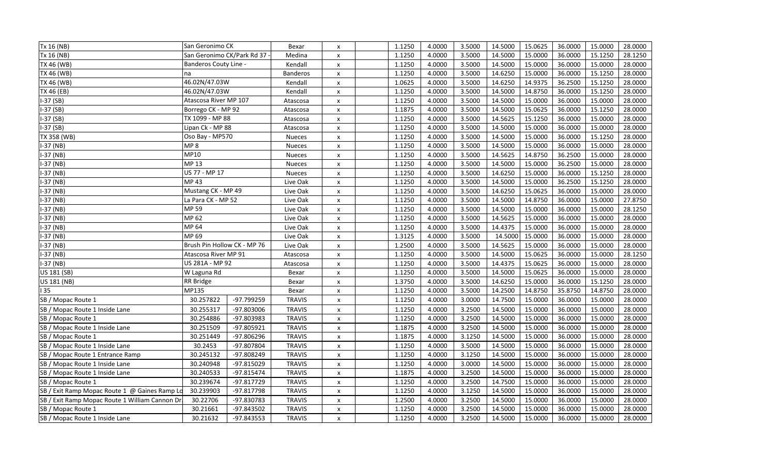| Tx 16 (NB)                                     | San Geronimo CK             |              | Bexar           | X                  | 1.1250 | 4.0000 | 3.5000 | 14.5000 | 15.0625 | 36.0000 | 15.0000 | 28.0000 |
|------------------------------------------------|-----------------------------|--------------|-----------------|--------------------|--------|--------|--------|---------|---------|---------|---------|---------|
| Tx 16 (NB)                                     | San Geronimo CK/Park Rd 37  |              | Medina          | $\mathsf{x}$       | 1.1250 | 4.0000 | 3.5000 | 14.5000 | 15.0000 | 36.0000 | 15.1250 | 28.1250 |
| TX 46 (WB)                                     | Banderos Couty Line -       |              | Kendall         | $\pmb{\times}$     | 1.1250 | 4.0000 | 3.5000 | 14.5000 | 15.0000 | 36.0000 | 15.0000 | 28.0000 |
| TX 46 (WB)                                     | na                          |              | <b>Banderos</b> | $\pmb{\times}$     | 1.1250 | 4.0000 | 3.5000 | 14.6250 | 15.0000 | 36.0000 | 15.1250 | 28.0000 |
| TX 46 (WB)                                     | 46.02N/47.03W               |              | Kendall         | $\pmb{\times}$     | 1.0625 | 4.0000 | 3.5000 | 14.6250 | 14.9375 | 36.2500 | 15.1250 | 28.0000 |
| TX 46 (EB)                                     | 46.02N/47.03W               |              | Kendall         | $\pmb{\times}$     | 1.1250 | 4.0000 | 3.5000 | 14.5000 | 14.8750 | 36.0000 | 15.1250 | 28.0000 |
| $-37(SB)$                                      | Atascosa River MP 107       |              | Atascosa        | X                  | 1.1250 | 4.0000 | 3.5000 | 14.5000 | 15.0000 | 36.0000 | 15.0000 | 28.0000 |
| I-37 (SB)                                      | Borrego CK - MP 92          |              | Atascosa        | $\pmb{\mathsf{x}}$ | 1.1875 | 4.0000 | 3.5000 | 14.5000 | 15.0625 | 36.0000 | 15.1250 | 28.0000 |
| $1-37(SB)$                                     | TX 1099 - MP 88             |              | Atascosa        | $\pmb{\times}$     | 1.1250 | 4.0000 | 3.5000 | 14.5625 | 15.1250 | 36.0000 | 15.0000 | 28.0000 |
| $1-37(SB)$                                     | Lipan Ck - MP 88            |              | Atascosa        | x                  | 1.1250 | 4.0000 | 3.5000 | 14.5000 | 15.0000 | 36.0000 | 15.0000 | 28.0000 |
| TX 358 (WB)                                    | Oso Bay - MP570             |              | <b>Nueces</b>   | $\pmb{\times}$     | 1.1250 | 4.0000 | 3.5000 | 14.5000 | 15.0000 | 36.0000 | 15.1250 | 28.0000 |
| $-37$ (NB)                                     | MP <sub>8</sub>             |              | Nueces          | $\pmb{\times}$     | 1.1250 | 4.0000 | 3.5000 | 14.5000 | 15.0000 | 36.0000 | 15.0000 | 28.0000 |
| I-37 (NB)                                      | MP10                        |              | Nueces          | $\pmb{\times}$     | 1.1250 | 4.0000 | 3.5000 | 14.5625 | 14.8750 | 36.2500 | 15.0000 | 28.0000 |
| I-37 (NB)                                      | MP 13                       |              | <b>Nueces</b>   | $\pmb{\times}$     | 1.1250 | 4.0000 | 3.5000 | 14.5000 | 15.0000 | 36.2500 | 15.0000 | 28.0000 |
| $-37$ (NB)                                     | US 77 - MP 17               |              | <b>Nueces</b>   | $\pmb{\times}$     | 1.1250 | 4.0000 | 3.5000 | 14.6250 | 15.0000 | 36.0000 | 15.1250 | 28.0000 |
| $-37$ (NB)                                     | MP 43                       |              | Live Oak        | $\pmb{\times}$     | 1.1250 | 4.0000 | 3.5000 | 14.5000 | 15.0000 | 36.2500 | 15.1250 | 28.0000 |
| $-37$ (NB)                                     | Mustang CK - MP 49          |              | Live Oak        | $\pmb{\times}$     | 1.1250 | 4.0000 | 3.5000 | 14.6250 | 15.0625 | 36.0000 | 15.0000 | 28.0000 |
| I-37 (NB)                                      | La Para CK - MP 52          |              | Live Oak        | $\pmb{\times}$     | 1.1250 | 4.0000 | 3.5000 | 14.5000 | 14.8750 | 36.0000 | 15.0000 | 27.8750 |
| I-37 (NB)                                      | MP 59                       |              | Live Oak        | $\pmb{\times}$     | 1.1250 | 4.0000 | 3.5000 | 14.5000 | 15.0000 | 36.0000 | 15.0000 | 28.1250 |
| $-37(NB)$                                      | MP 62                       |              | Live Oak        | $\pmb{\times}$     | 1.1250 | 4.0000 | 3.5000 | 14.5625 | 15.0000 | 36.0000 | 15.0000 | 28.0000 |
| I-37 (NB)                                      | MP 64                       |              | Live Oak        | X                  | 1.1250 | 4.0000 | 3.5000 | 14.4375 | 15.0000 | 36.0000 | 15.0000 | 28.0000 |
| $-37$ (NB)                                     | MP 69                       |              | Live Oak        | x                  | 1.3125 | 4.0000 | 3.5000 | 14.5000 | 15.0000 | 36.0000 | 15.0000 | 28.0000 |
| $-37$ (NB)                                     | Brush Pin Hollow CK - MP 76 |              | Live Oak        | X                  | 1.2500 | 4.0000 | 3.5000 | 14.5625 | 15.0000 | 36.0000 | 15.0000 | 28.0000 |
| $-37$ (NB)                                     | Atascosa River MP 91        |              | Atascosa        | X                  | 1.1250 | 4.0000 | 3.5000 | 14.5000 | 15.0625 | 36.0000 | 15.0000 | 28.1250 |
| $-37$ (NB)                                     | US 281A - MP 92             |              | Atascosa        | $\pmb{\times}$     | 1.1250 | 4.0000 | 3.5000 | 14.4375 | 15.0625 | 36.0000 | 15.0000 | 28.0000 |
| US 181 (SB)                                    | W Laguna Rd                 |              | Bexar           | $\pmb{\times}$     | 1.1250 | 4.0000 | 3.5000 | 14.5000 | 15.0625 | 36.0000 | 15.0000 | 28.0000 |
| US 181 (NB)                                    | RR Bridge                   |              | Bexar           | $\pmb{\times}$     | 1.3750 | 4.0000 | 3.5000 | 14.6250 | 15.0000 | 36.0000 | 15.1250 | 28.0000 |
| 35                                             | MP135                       |              | Bexar           | $\pmb{\mathsf{x}}$ | 1.1250 | 4.0000 | 3.5000 | 14.2500 | 14.8750 | 35.8750 | 14.8750 | 28.0000 |
| SB / Mopac Route 1                             | 30.257822                   | -97.799259   | <b>TRAVIS</b>   | $\pmb{\times}$     | 1.1250 | 4.0000 | 3.0000 | 14.7500 | 15.0000 | 36.0000 | 15.0000 | 28.0000 |
| SB / Mopac Route 1 Inside Lane                 | 30.255317                   | -97.803006   | <b>TRAVIS</b>   | $\pmb{\times}$     | 1.1250 | 4.0000 | 3.2500 | 14.5000 | 15.0000 | 36.0000 | 15.0000 | 28.0000 |
| SB / Mopac Route 1                             | 30.254886                   | -97.803983   | <b>TRAVIS</b>   | $\pmb{\times}$     | 1.1250 | 4.0000 | 3.2500 | 14.5000 | 15.0000 | 36.0000 | 15.0000 | 28.0000 |
| SB / Mopac Route 1 Inside Lane                 | 30.251509                   | -97.805921   | <b>TRAVIS</b>   | $\pmb{\times}$     | 1.1875 | 4.0000 | 3.2500 | 14.5000 | 15.0000 | 36.0000 | 15.0000 | 28.0000 |
| SB / Mopac Route 1                             | 30.251449                   | -97.806296   | <b>TRAVIS</b>   | $\pmb{\times}$     | 1.1875 | 4.0000 | 3.1250 | 14.5000 | 15.0000 | 36.0000 | 15.0000 | 28.0000 |
| SB / Mopac Route 1 Inside Lane                 | 30.2453                     | -97.807804   | <b>TRAVIS</b>   | $\pmb{\mathsf{x}}$ | 1.1250 | 4.0000 | 3.5000 | 14.5000 | 15.0000 | 36.0000 | 15.0000 | 28.0000 |
| SB / Mopac Route 1 Entrance Ramp               | 30.245132                   | -97.808249   | <b>TRAVIS</b>   | $\pmb{\times}$     | 1.1250 | 4.0000 | 3.1250 | 14.5000 | 15.0000 | 36.0000 | 15.0000 | 28.0000 |
| SB / Mopac Route 1 Inside Lane                 | 30.240948                   | -97.815029   | <b>TRAVIS</b>   | $\pmb{\times}$     | 1.1250 | 4.0000 | 3.0000 | 14.5000 | 15.0000 | 36.0000 | 15.0000 | 28.0000 |
| SB / Mopac Route 1 Inside Lane                 | 30.240533                   | $-97.815474$ | <b>TRAVIS</b>   | $\pmb{\times}$     | 1.1875 | 4.0000 | 3.2500 | 14.5000 | 15.0000 | 36.0000 | 15.0000 | 28.0000 |
| SB / Mopac Route 1                             | 30.239674                   | $-97.817729$ | <b>TRAVIS</b>   | $\pmb{\times}$     | 1.1250 | 4.0000 | 3.2500 | 14.7500 | 15.0000 | 36.0000 | 15.0000 | 28.0000 |
| SB / Exit Ramp Mopac Route 1 @ Gaines Ramp Lo  | 30.239903                   | $-97.817798$ | <b>TRAVIS</b>   | $\pmb{\mathsf{x}}$ | 1.1250 | 4.0000 | 3.1250 | 14.5000 | 15.0000 | 36.0000 | 15.0000 | 28.0000 |
| SB / Exit Ramp Mopac Route 1 William Cannon Dr | 30.22706                    | -97.830783   | <b>TRAVIS</b>   | $\pmb{\times}$     | 1.2500 | 4.0000 | 3.2500 | 14.5000 | 15.0000 | 36.0000 | 15.0000 | 28.0000 |
| SB / Mopac Route 1                             | 30.21661                    | -97.843502   | <b>TRAVIS</b>   | $\pmb{\times}$     | 1.1250 | 4.0000 | 3.2500 | 14.5000 | 15.0000 | 36.0000 | 15.0000 | 28.0000 |
| SB / Mopac Route 1 Inside Lane                 | 30.21632                    | -97.843553   | <b>TRAVIS</b>   | $\pmb{\times}$     | 1.1250 | 4.0000 | 3.2500 | 14.5000 | 15.0000 | 36.0000 | 15.0000 | 28.0000 |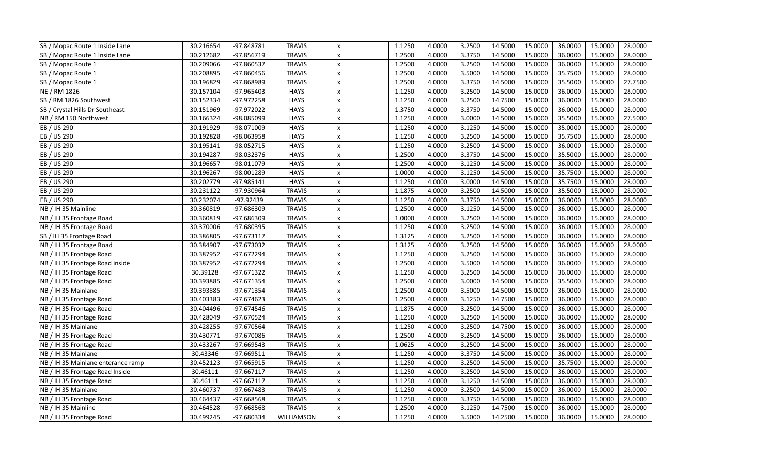| SB / Mopac Route 1 Inside Lane     | 30.216654 | -97.848781   | <b>TRAVIS</b> | X                  | 1.1250 | 4.0000 | 3.2500 | 14.5000 | 15.0000 | 36.0000 | 15.0000 | 28.0000 |
|------------------------------------|-----------|--------------|---------------|--------------------|--------|--------|--------|---------|---------|---------|---------|---------|
| SB / Mopac Route 1 Inside Lane     | 30.212682 | -97.856719   | <b>TRAVIS</b> | $\pmb{\mathsf{x}}$ | 1.2500 | 4.0000 | 3.3750 | 14.5000 | 15.0000 | 36.0000 | 15.0000 | 28.0000 |
| SB / Mopac Route 1                 | 30.209066 | -97.860537   | <b>TRAVIS</b> | $\pmb{\times}$     | 1.2500 | 4.0000 | 3.2500 | 14.5000 | 15.0000 | 36.0000 | 15.0000 | 28.0000 |
| SB / Mopac Route 1                 | 30.208895 | -97.860456   | <b>TRAVIS</b> | X                  | 1.2500 | 4.0000 | 3.5000 | 14.5000 | 15.0000 | 35.7500 | 15.0000 | 28.0000 |
| SB / Mopac Route 1                 | 30.196829 | -97.868989   | <b>TRAVIS</b> | X                  | 1.2500 | 4.0000 | 3.3750 | 14.5000 | 15.0000 | 35.5000 | 15.0000 | 27.7500 |
| NE / RM 1826                       | 30.157104 | -97.965403   | <b>HAYS</b>   | $\pmb{\times}$     | 1.1250 | 4.0000 | 3.2500 | 14.5000 | 15.0000 | 36.0000 | 15.0000 | 28.0000 |
| SB / RM 1826 Southwest             | 30.152334 | -97.972258   | <b>HAYS</b>   | $\pmb{\times}$     | 1.1250 | 4.0000 | 3.2500 | 14.7500 | 15.0000 | 36.0000 | 15.0000 | 28.0000 |
| SB / Crystal Hills Dr Southeast    | 30.151969 | -97.972022   | <b>HAYS</b>   | $\pmb{\times}$     | 1.3750 | 4.0000 | 3.3750 | 14.5000 | 15.0000 | 36.0000 | 15.0000 | 28.0000 |
| NB / RM 150 Northwest              | 30.166324 | -98.085099   | <b>HAYS</b>   | $\pmb{\times}$     | 1.1250 | 4.0000 | 3.0000 | 14.5000 | 15.0000 | 35.5000 | 15.0000 | 27.5000 |
| EB / US 290                        | 30.191929 | -98.071009   | <b>HAYS</b>   | $\pmb{\times}$     | 1.1250 | 4.0000 | 3.1250 | 14.5000 | 15.0000 | 35.0000 | 15.0000 | 28.0000 |
| EB / US 290                        | 30.192828 | -98.063958   | <b>HAYS</b>   | $\pmb{\mathsf{x}}$ | 1.1250 | 4.0000 | 3.2500 | 14.5000 | 15.0000 | 35.7500 | 15.0000 | 28.0000 |
| EB / US 290                        | 30.195141 | -98.052715   | <b>HAYS</b>   | $\pmb{\times}$     | 1.1250 | 4.0000 | 3.2500 | 14.5000 | 15.0000 | 36.0000 | 15.0000 | 28.0000 |
| EB / US 290                        | 30.194287 | -98.032376   | <b>HAYS</b>   | $\pmb{\times}$     | 1.2500 | 4.0000 | 3.3750 | 14.5000 | 15.0000 | 35.5000 | 15.0000 | 28.0000 |
| EB / US 290                        | 30.196657 | -98.011079   | <b>HAYS</b>   | $\pmb{\times}$     | 1.2500 | 4.0000 | 3.1250 | 14.5000 | 15.0000 | 36.0000 | 15.0000 | 28.0000 |
| EB / US 290                        | 30.196267 | -98.001289   | <b>HAYS</b>   | $\pmb{\mathsf{x}}$ | 1.0000 | 4.0000 | 3.1250 | 14.5000 | 15.0000 | 35.7500 | 15.0000 | 28.0000 |
| EB / US 290                        | 30.202779 | -97.985141   | <b>HAYS</b>   | $\pmb{\times}$     | 1.1250 | 4.0000 | 3.0000 | 14.5000 | 15.0000 | 35.7500 | 15.0000 | 28.0000 |
| EB / US 290                        | 30.231122 | -97.930964   | <b>TRAVIS</b> | $\pmb{\times}$     | 1.1875 | 4.0000 | 3.2500 | 14.5000 | 15.0000 | 35.5000 | 15.0000 | 28.0000 |
| EB / US 290                        | 30.232074 | -97.92439    | <b>TRAVIS</b> | $\pmb{\times}$     | 1.1250 | 4.0000 | 3.3750 | 14.5000 | 15.0000 | 36.0000 | 15.0000 | 28.0000 |
| NB / IH 35 Mainline                | 30.360819 | -97.686309   | <b>TRAVIS</b> | $\pmb{\times}$     | 1.2500 | 4.0000 | 3.1250 | 14.5000 | 15.0000 | 36.0000 | 15.0000 | 28.0000 |
| NB / IH 35 Frontage Road           | 30.360819 | -97.686309   | <b>TRAVIS</b> | $\pmb{\times}$     | 1.0000 | 4.0000 | 3.2500 | 14.5000 | 15.0000 | 36.0000 | 15.0000 | 28.0000 |
| NB / IH 35 Frontage Road           | 30.370006 | -97.680395   | <b>TRAVIS</b> | $\pmb{\times}$     | 1.1250 | 4.0000 | 3.2500 | 14.5000 | 15.0000 | 36.0000 | 15.0000 | 28.0000 |
| SB / IH 35 Frontage Road           | 30.386805 | $-97.673117$ | <b>TRAVIS</b> | $\pmb{\times}$     | 1.3125 | 4.0000 | 3.2500 | 14.5000 | 15.0000 | 36.0000 | 15.0000 | 28.0000 |
| NB / IH 35 Frontage Road           | 30.384907 | -97.673032   | <b>TRAVIS</b> | $\pmb{\times}$     | 1.3125 | 4.0000 | 3.2500 | 14.5000 | 15.0000 | 36.0000 | 15.0000 | 28.0000 |
| NB / IH 35 Frontage Road           | 30.387952 | -97.672294   | <b>TRAVIS</b> | $\pmb{\times}$     | 1.1250 | 4.0000 | 3.2500 | 14.5000 | 15.0000 | 36.0000 | 15.0000 | 28.0000 |
| NB / IH 35 Frontage Road inside    | 30.387952 | $-97.672294$ | <b>TRAVIS</b> | $\pmb{\times}$     | 1.2500 | 4.0000 | 3.5000 | 14.5000 | 15.0000 | 36.0000 | 15.0000 | 28.0000 |
| NB / IH 35 Frontage Road           | 30.39128  | $-97.671322$ | <b>TRAVIS</b> | $\pmb{\times}$     | 1.1250 | 4.0000 | 3.2500 | 14.5000 | 15.0000 | 36.0000 | 15.0000 | 28.0000 |
| NB / IH 35 Frontage Road           | 30.393885 | -97.671354   | <b>TRAVIS</b> | $\pmb{\times}$     | 1.2500 | 4.0000 | 3.0000 | 14.5000 | 15.0000 | 35.5000 | 15.0000 | 28.0000 |
| NB / IH 35 Mainlane                | 30.393885 | -97.671354   | <b>TRAVIS</b> | $\pmb{\times}$     | 1.2500 | 4.0000 | 3.5000 | 14.5000 | 15.0000 | 36.0000 | 15.0000 | 28.0000 |
| NB / IH 35 Frontage Road           | 30.403383 | -97.674623   | <b>TRAVIS</b> | $\pmb{\mathsf{x}}$ | 1.2500 | 4.0000 | 3.1250 | 14.7500 | 15.0000 | 36.0000 | 15.0000 | 28.0000 |
| NB / IH 35 Frontage Road           | 30.404496 | -97.674546   | <b>TRAVIS</b> | $\pmb{\times}$     | 1.1875 | 4.0000 | 3.2500 | 14.5000 | 15.0000 | 36.0000 | 15.0000 | 28.0000 |
| NB / IH 35 Frontage Road           | 30.428049 | -97.670524   | <b>TRAVIS</b> | $\pmb{\times}$     | 1.1250 | 4.0000 | 3.2500 | 14.5000 | 15.0000 | 36.0000 | 15.0000 | 28.0000 |
| NB / IH 35 Mainlane                | 30.428255 | -97.670564   | <b>TRAVIS</b> | $\pmb{\times}$     | 1.1250 | 4.0000 | 3.2500 | 14.7500 | 15.0000 | 36.0000 | 15.0000 | 28.0000 |
| NB / IH 35 Frontage Road           | 30.430771 | -97.670086   | <b>TRAVIS</b> | $\pmb{\times}$     | 1.2500 | 4.0000 | 3.2500 | 14.5000 | 15.0000 | 36.0000 | 15.0000 | 28.0000 |
| NB / IH 35 Frontage Road           | 30.433267 | -97.669543   | <b>TRAVIS</b> | $\pmb{\times}$     | 1.0625 | 4.0000 | 3.2500 | 14.5000 | 15.0000 | 36.0000 | 15.0000 | 28.0000 |
| NB / IH 35 Mainlane                | 30.43346  | $-97.669511$ | <b>TRAVIS</b> | X                  | 1.1250 | 4.0000 | 3.3750 | 14.5000 | 15.0000 | 36.0000 | 15.0000 | 28.0000 |
| NB / IH 35 Mainlane enterance ramp | 30.452123 | -97.665915   | <b>TRAVIS</b> | $\pmb{\times}$     | 1.1250 | 4.0000 | 3.2500 | 14.5000 | 15.0000 | 35.7500 | 15.0000 | 28.0000 |
| NB / IH 35 Frontage Road Inside    | 30.46111  | $-97.667117$ | <b>TRAVIS</b> | $\pmb{\times}$     | 1.1250 | 4.0000 | 3.2500 | 14.5000 | 15.0000 | 36.0000 | 15.0000 | 28.0000 |
| NB / IH 35 Frontage Road           | 30.46111  | $-97.667117$ | <b>TRAVIS</b> | $\pmb{\times}$     | 1.1250 | 4.0000 | 3.1250 | 14.5000 | 15.0000 | 36.0000 | 15.0000 | 28.0000 |
| NB / IH 35 Mainlane                | 30.460737 | -97.667483   | <b>TRAVIS</b> | $\pmb{\times}$     | 1.1250 | 4.0000 | 3.2500 | 14.5000 | 15.0000 | 36.0000 | 15.0000 | 28.0000 |
| NB / IH 35 Frontage Road           | 30.464437 | -97.668568   | <b>TRAVIS</b> | X                  | 1.1250 | 4.0000 | 3.3750 | 14.5000 | 15.0000 | 36.0000 | 15.0000 | 28.0000 |
| NB / IH 35 Mainline                | 30.464528 | -97.668568   | <b>TRAVIS</b> | $\pmb{\times}$     | 1.2500 | 4.0000 | 3.1250 | 14.7500 | 15.0000 | 36.0000 | 15.0000 | 28.0000 |
| NB / IH 35 Frontage Road           | 30.499245 | -97.680334   | WILLIAMSON    | X                  | 1.1250 | 4.0000 | 3.5000 | 14.2500 | 15.0000 | 36.0000 | 15.0000 | 28.0000 |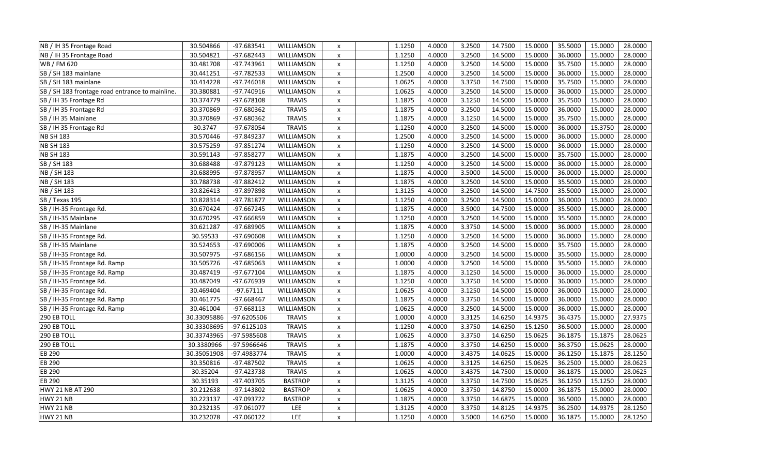| NB / IH 35 Frontage Road                        | 30.504866   | -97.683541   | WILLIAMSON     | $\pmb{\times}$            | 1.1250 | 4.0000 | 3.2500 | 14.7500 | 15.0000 | 35.5000 | 15.0000 | 28.0000 |
|-------------------------------------------------|-------------|--------------|----------------|---------------------------|--------|--------|--------|---------|---------|---------|---------|---------|
| NB / IH 35 Frontage Road                        | 30.504821   | -97.682443   | WILLIAMSON     | $\pmb{\times}$            | 1.1250 | 4.0000 | 3.2500 | 14.5000 | 15.0000 | 36.0000 | 15.0000 | 28.0000 |
| WB / FM 620                                     | 30.481708   | -97.743961   | WILLIAMSON     | $\pmb{\times}$            | 1.1250 | 4.0000 | 3.2500 | 14.5000 | 15.0000 | 35.7500 | 15.0000 | 28.0000 |
| SB / SH 183 mainlane                            | 30.441251   | $-97.782533$ | WILLIAMSON     | X                         | 1.2500 | 4.0000 | 3.2500 | 14.5000 | 15.0000 | 36.0000 | 15.0000 | 28.0000 |
| SB / SH 183 mainlane                            | 30.414228   | $-97.746018$ | WILLIAMSON     | X                         | 1.0625 | 4.0000 | 3.3750 | 14.7500 | 15.0000 | 35.7500 | 15.0000 | 28.0000 |
| SB / SH 183 frontage road entrance to mainline. | 30.380881   | $-97.740916$ | WILLIAMSON     | $\pmb{\times}$            | 1.0625 | 4.0000 | 3.2500 | 14.5000 | 15.0000 | 36.0000 | 15.0000 | 28.0000 |
| SB / IH 35 Frontage Rd                          | 30.374779   | $-97.678108$ | <b>TRAVIS</b>  | $\pmb{\times}$            | 1.1875 | 4.0000 | 3.1250 | 14.5000 | 15.0000 | 35.7500 | 15.0000 | 28.0000 |
| SB / IH 35 Frontage Rd                          | 30.370869   | -97.680362   | <b>TRAVIS</b>  | $\pmb{\times}$            | 1.1875 | 4.0000 | 3.2500 | 14.5000 | 15.0000 | 36.0000 | 15.0000 | 28.0000 |
| SB / IH 35 Mainlane                             | 30.370869   | -97.680362   | <b>TRAVIS</b>  | $\pmb{\times}$            | 1.1875 | 4.0000 | 3.1250 | 14.5000 | 15.0000 | 35.7500 | 15.0000 | 28.0000 |
| SB / IH 35 Frontage Rd                          | 30.3747     | -97.678054   | <b>TRAVIS</b>  | $\pmb{\times}$            | 1.1250 | 4.0000 | 3.2500 | 14.5000 | 15.0000 | 36.0000 | 15.3750 | 28.0000 |
| <b>NB SH 183</b>                                | 30.570446   | -97.849237   | WILLIAMSON     | $\pmb{\times}$            | 1.2500 | 4.0000 | 3.2500 | 14.5000 | 15.0000 | 36.0000 | 15.0000 | 28.0000 |
| <b>NB SH 183</b>                                | 30.575259   | $-97.851274$ | WILLIAMSON     | $\pmb{\times}$            | 1.1250 | 4.0000 | 3.2500 | 14.5000 | 15.0000 | 36.0000 | 15.0000 | 28.0000 |
| <b>NB SH 183</b>                                | 30.591143   | $-97.858277$ | WILLIAMSON     | $\pmb{\times}$            | 1.1875 | 4.0000 | 3.2500 | 14.5000 | 15.0000 | 35.7500 | 15.0000 | 28.0000 |
| SB / SH 183                                     | 30.688488   | -97.879123   | WILLIAMSON     | X                         | 1.1250 | 4.0000 | 3.2500 | 14.5000 | 15.0000 | 36.0000 | 15.0000 | 28.0000 |
| NB / SH 183                                     | 30.688995   | -97.878957   | WILLIAMSON     | $\pmb{\times}$            | 1.1875 | 4.0000 | 3.5000 | 14.5000 | 15.0000 | 36.0000 | 15.0000 | 28.0000 |
| NB / SH 183                                     | 30.788738   | $-97.882412$ | WILLIAMSON     | $\pmb{\times}$            | 1.1875 | 4.0000 | 3.2500 | 14.5000 | 15.0000 | 35.5000 | 15.0000 | 28.0000 |
| NB / SH 183                                     | 30.826413   | -97.897898   | WILLIAMSON     | $\pmb{\times}$            | 1.3125 | 4.0000 | 3.2500 | 14.5000 | 14.7500 | 35.5000 | 15.0000 | 28.0000 |
| SB / Texas 195                                  | 30.828314   | $-97.781877$ | WILLIAMSON     | $\pmb{\times}$            | 1.1250 | 4.0000 | 3.2500 | 14.5000 | 15.0000 | 36.0000 | 15.0000 | 28.0000 |
| SB / IH-35 Frontage Rd.                         | 30.670424   | -97.667245   | WILLIAMSON     | X                         | 1.1875 | 4.0000 | 3.5000 | 14.7500 | 15.0000 | 35.5000 | 15.0000 | 28.0000 |
| SB / IH-35 Mainlane                             | 30.670295   | -97.666859   | WILLIAMSON     | $\pmb{\times}$            | 1.1250 | 4.0000 | 3.2500 | 14.5000 | 15.0000 | 35.5000 | 15.0000 | 28.0000 |
| SB / IH-35 Mainlane                             | 30.621287   | -97.689905   | WILLIAMSON     | $\pmb{\times}$            | 1.1875 | 4.0000 | 3.3750 | 14.5000 | 15.0000 | 36.0000 | 15.0000 | 28.0000 |
| SB / IH-35 Frontage Rd.                         | 30.59533    | -97.690608   | WILLIAMSON     | $\pmb{\times}$            | 1.1250 | 4.0000 | 3.2500 | 14.5000 | 15.0000 | 36.0000 | 15.0000 | 28.0000 |
| SB / IH-35 Mainlane                             | 30.524653   | -97.690006   | WILLIAMSON     | $\pmb{\times}$            | 1.1875 | 4.0000 | 3.2500 | 14.5000 | 15.0000 | 35.7500 | 15.0000 | 28.0000 |
| SB / IH-35 Frontage Rd.                         | 30.507975   | -97.686156   | WILLIAMSON     | $\pmb{\times}$            | 1.0000 | 4.0000 | 3.2500 | 14.5000 | 15.0000 | 35.5000 | 15.0000 | 28.0000 |
| SB / IH-35 Frontage Rd. Ramp                    | 30.505726   | -97.685063   | WILLIAMSON     | $\pmb{\times}$            | 1.0000 | 4.0000 | 3.2500 | 14.5000 | 15.0000 | 35.5000 | 15.0000 | 28.0000 |
| SB / IH-35 Frontage Rd. Ramp                    | 30.487419   | $-97.677104$ | WILLIAMSON     | $\pmb{\chi}$              | 1.1875 | 4.0000 | 3.1250 | 14.5000 | 15.0000 | 36.0000 | 15.0000 | 28.0000 |
| SB / IH-35 Frontage Rd.                         | 30.487049   | -97.676939   | WILLIAMSON     | $\pmb{\times}$            | 1.1250 | 4.0000 | 3.3750 | 14.5000 | 15.0000 | 36.0000 | 15.0000 | 28.0000 |
| SB / IH-35 Frontage Rd.                         | 30.469404   | $-97.67111$  | WILLIAMSON     | $\pmb{\times}$            | 1.0625 | 4.0000 | 3.1250 | 14.5000 | 15.0000 | 36.0000 | 15.0000 | 28.0000 |
| SB / IH-35 Frontage Rd. Ramp                    | 30.461775   | -97.668467   | WILLIAMSON     | $\pmb{\times}$            | 1.1875 | 4.0000 | 3.3750 | 14.5000 | 15.0000 | 36.0000 | 15.0000 | 28.0000 |
| SB / IH-35 Frontage Rd. Ramp                    | 30.461004   | $-97.668113$ | WILLIAMSON     | $\pmb{\times}$            | 1.0625 | 4.0000 | 3.2500 | 14.5000 | 15.0000 | 36.0000 | 15.0000 | 28.0000 |
| 290 EB TOLL                                     | 30.33095886 | -97.6205506  | <b>TRAVIS</b>  | $\boldsymbol{\mathsf{x}}$ | 1.0000 | 4.0000 | 3.3125 | 14.6250 | 14.9375 | 36.4375 | 15.0000 | 27.9375 |
| 290 EB TOLL                                     | 30.33308695 | -97.6125103  | <b>TRAVIS</b>  | $\boldsymbol{\mathsf{x}}$ | 1.1250 | 4.0000 | 3.3750 | 14.6250 | 15.1250 | 36.5000 | 15.0000 | 28.0000 |
| 290 EB TOLL                                     | 30.33743965 | -97.5985608  | <b>TRAVIS</b>  | $\pmb{\times}$            | 1.0625 | 4.0000 | 3.3750 | 14.6250 | 15.0625 | 36.1875 | 15.1875 | 28.0625 |
| 290 EB TOLL                                     | 30.3380966  | -97.5966646  | <b>TRAVIS</b>  | $\boldsymbol{\mathsf{x}}$ | 1.1875 | 4.0000 | 3.3750 | 14.6250 | 15.0000 | 36.3750 | 15.0625 | 28.0000 |
| <b>EB 290</b>                                   | 30.35051908 | -97.4983774  | <b>TRAVIS</b>  | X                         | 1.0000 | 4.0000 | 3.4375 | 14.0625 | 15.0000 | 36.1250 | 15.1875 | 28.1250 |
| EB 290                                          | 30.350816   | -97.487502   | <b>TRAVIS</b>  | $\pmb{\times}$            | 1.0625 | 4.0000 | 3.3125 | 14.6250 | 15.0625 | 36.2500 | 15.0000 | 28.0625 |
| EB 290                                          | 30.35204    | -97.423738   | <b>TRAVIS</b>  | $\pmb{\times}$            | 1.0625 | 4.0000 | 3.4375 | 14.7500 | 15.0000 | 36.1875 | 15.0000 | 28.0625 |
| EB 290                                          | 30.35193    | -97.403705   | <b>BASTROP</b> | $\boldsymbol{\mathsf{x}}$ | 1.3125 | 4.0000 | 3.3750 | 14.7500 | 15.0625 | 36.1250 | 15.1250 | 28.0000 |
| HWY 21 NB AT 290                                | 30.212638   | $-97.143802$ | <b>BASTROP</b> | $\pmb{\times}$            | 1.0625 | 4.0000 | 3.3750 | 14.8750 | 15.0000 | 36.1875 | 15.0000 | 28.0000 |
| HWY 21 NB                                       | 30.223137   | -97.093722   | <b>BASTROP</b> | X                         | 1.1875 | 4.0000 | 3.3750 | 14.6875 | 15.0000 | 36.5000 | 15.0000 | 28.0000 |
| HWY 21 NB                                       | 30.232135   | $-97.061077$ | LEE            | $\boldsymbol{\mathsf{x}}$ | 1.3125 | 4.0000 | 3.3750 | 14.8125 | 14.9375 | 36.2500 | 14.9375 | 28.1250 |
| HWY 21 NB                                       | 30.232078   | $-97.060122$ | LEE            | $\pmb{\chi}$              | 1.1250 | 4.0000 | 3.5000 | 14.6250 | 15.0000 | 36.1875 | 15.0000 | 28.1250 |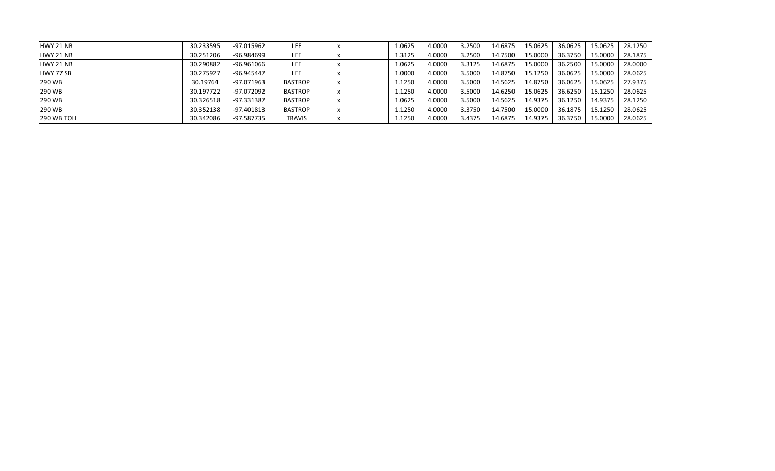| HWY 21 NB        | 30.233595 | -97.015962   | LEE            |  | 1.0625 | 4.0000 | 3.2500 | 14.6875 | 15.0625 | 36.0625 | 15.0625 | 28.1250 |
|------------------|-----------|--------------|----------------|--|--------|--------|--------|---------|---------|---------|---------|---------|
| HWY 21 NB        | 30.251206 | -96.984699   | LEE            |  | 1.3125 | 4.0000 | 3.2500 | 14.7500 | 15.0000 | 36.3750 | 15.0000 | 28.1875 |
| HWY 21 NB        | 30.290882 | -96.961066   | LEE            |  | 1.0625 | 4.0000 | 3.3125 | 14.6875 | 15.0000 | 36.2500 | 15.0000 | 28.0000 |
| <b>HWY 77 SB</b> | 30.275927 | $-96.945447$ | <b>LEE</b>     |  | 1.0000 | 4.0000 | 3.5000 | 14.8750 | 15.1250 | 36.0625 | 15.0000 | 28.0625 |
| 290 WB           | 30.19764  | $-97.071963$ | <b>BASTROP</b> |  | 1.1250 | 4.0000 | 3.5000 | 14.5625 | 14.8750 | 36.0625 | 15.0625 | 27.9375 |
| <b>290 WB</b>    | 30.197722 | -97.072092   | <b>BASTROP</b> |  | 1.1250 | 4.0000 | 3.5000 | 14.6250 | 15.0625 | 36.6250 | 15.1250 | 28.0625 |
| 290 WB           | 30.326518 | -97.331387   | <b>BASTROP</b> |  | 1.0625 | 4.0000 | 3.5000 | 14.5625 | 14.9375 | 36.1250 | 14.9375 | 28.1250 |
| 290 WB           | 30.352138 | -97.401813   | <b>BASTROP</b> |  | 1.1250 | 4.0000 | 3.3750 | 14.7500 | 15.0000 | 36.1875 | 15.1250 | 28.0625 |
| 290 WB TOLL      | 30.342086 | $-97.587735$ | TRAVIS         |  | 1.1250 | 4.0000 | 3.4375 | 14.6875 | 14.9375 | 36.3750 | 15.0000 | 28.0625 |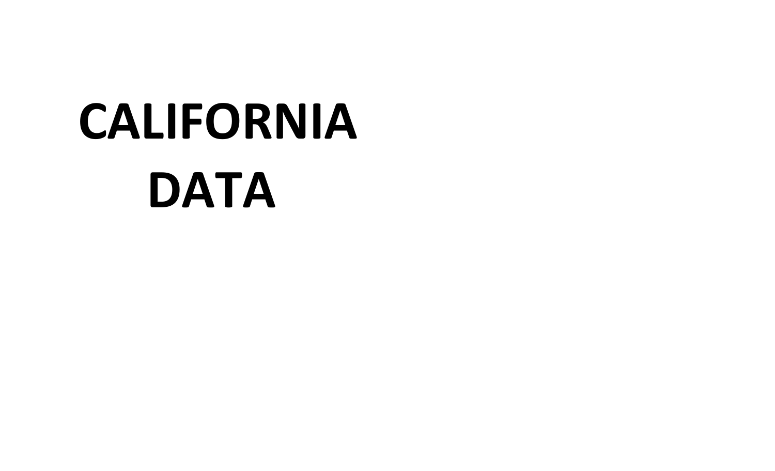# **CALIFORNIA DATA**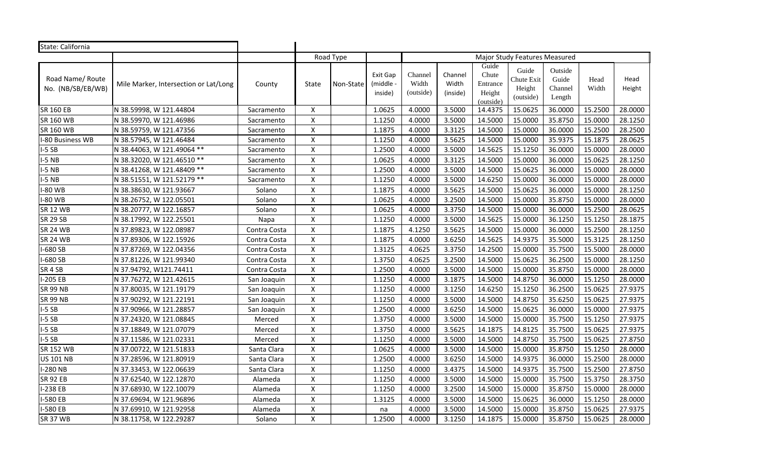| State: California                     |                                       |              |                           |           |                                  |                               |                              |                                                   |                                            |                                       |               |                |
|---------------------------------------|---------------------------------------|--------------|---------------------------|-----------|----------------------------------|-------------------------------|------------------------------|---------------------------------------------------|--------------------------------------------|---------------------------------------|---------------|----------------|
|                                       |                                       |              |                           | Road Type |                                  |                               |                              |                                                   | Major Study Features Measured              |                                       |               |                |
| Road Name/ Route<br>No. (NB/SB/EB/WB) | Mile Marker, Intersection or Lat/Long | County       | State                     | Non-State | Exit Gap<br>(middle -<br>inside) | Channel<br>Width<br>(outside) | Channel<br>Width<br>(inside) | Guide<br>Chute<br>Entrance<br>Height<br>(outside) | Guide<br>Chute Exit<br>Height<br>(outside) | Outside<br>Guide<br>Channel<br>Length | Head<br>Width | Head<br>Height |
| <b>SR 160 EB</b>                      | N 38.59998, W 121.44804               | Sacramento   | $\pmb{\times}$            |           | 1.0625                           | 4.0000                        | 3.5000                       | 14.4375                                           | 15.0625                                    | 36.0000                               | 15.2500       | 28.0000        |
| SR 160 WB                             | N 38.59970, W 121.46986               | Sacramento   | $\pmb{\mathsf{X}}$        |           | 1.1250                           | 4.0000                        | 3.5000                       | 14.5000                                           | 15.0000                                    | 35.8750                               | 15.0000       | 28.1250        |
| SR 160 WB                             | N 38.59759, W 121.47356               | Sacramento   | $\mathsf{X}$              |           | 1.1875                           | 4.0000                        | 3.3125                       | 14.5000                                           | 15.0000                                    | 36.0000                               | 15.2500       | 28.2500        |
| I-80 Business WB                      | N 38.57945, W 121.46484               | Sacramento   | $\pmb{\chi}$              |           | 1.1250                           | 4.0000                        | 3.5625                       | 14.5000                                           | 15.0000                                    | 35.9375                               | 15.1875       | 28.0625        |
| $I-5SB$                               | N 38.44063, W 121.49064 **            | Sacramento   | $\pmb{\mathsf{X}}$        |           | 1.2500                           | 4.0000                        | 3.5000                       | 14.5625                                           | 15.1250                                    | 36.0000                               | 15.0000       | 28.0000        |
| $I-5NB$                               | N 38.32020, W 121.46510 **            | Sacramento   | $\pmb{\mathsf{X}}$        |           | 1.0625                           | 4.0000                        | 3.3125                       | 14.5000                                           | 15.0000                                    | 36.0000                               | 15.0625       | 28.1250        |
| $I-5NB$                               | N 38.41268, W 121.48409 **            | Sacramento   | $\pmb{\mathsf{X}}$        |           | 1.2500                           | 4.0000                        | 3.5000                       | 14.5000                                           | 15.0625                                    | 36.0000                               | 15.0000       | 28.0000        |
| $I-5$ NB                              | N 38.51551, W 121.52179 **            | Sacramento   | $\pmb{\mathsf{X}}$        |           | 1.1250                           | 4.0000                        | 3.5000                       | 14.6250                                           | 15.0000                                    | 36.0000                               | 15.0000       | 28.0000        |
| <b>I-80 WB</b>                        | N 38.38630, W 121.93667               | Solano       | $\pmb{\chi}$              |           | 1.1875                           | 4.0000                        | 3.5625                       | 14.5000                                           | 15.0625                                    | 36.0000                               | 15.0000       | 28.1250        |
| <b>I-80 WB</b>                        | N 38.26752, W 122.05501               | Solano       | $\pmb{\mathsf{X}}$        |           | 1.0625                           | 4.0000                        | 3.2500                       | 14.5000                                           | 15.0000                                    | 35.8750                               | 15.0000       | 28.0000        |
| <b>SR 12 WB</b>                       | N 38.20777, W 122.16857               | Solano       | $\pmb{\mathsf{X}}$        |           | 1.0625                           | 4.0000                        | 3.3750                       | 14.5000                                           | 15.0000                                    | 36.0000                               | 15.2500       | 28.0625        |
| <b>SR 29 SB</b>                       | N 38.17992, W 122.25501               | Napa         | $\mathsf{X}$              |           | 1.1250                           | 4.0000                        | 3.5000                       | 14.5625                                           | 15.0000                                    | 36.1250                               | 15.1250       | 28.1875        |
| <b>SR 24 WB</b>                       | N 37.89823, W 122.08987               | Contra Costa | $\pmb{\mathsf{X}}$        |           | 1.1875                           | 4.1250                        | 3.5625                       | 14.5000                                           | 15.0000                                    | 36.0000                               | 15.2500       | 28.1250        |
| <b>SR 24 WB</b>                       | N 37.89306, W 122.15926               | Contra Costa | $\pmb{\mathsf{X}}$        |           | 1.1875                           | 4.0000                        | 3.6250                       | 14.5625                                           | 14.9375                                    | 35.5000                               | 15.3125       | 28.1250        |
| I-680 SB                              | N 37.87269, W 122.04356               | Contra Costa | $\pmb{\mathsf{X}}$        |           | 1.3125                           | 4.0625                        | 3.3750                       | 14.2500                                           | 15.0000                                    | 35.7500                               | 15.5000       | 28.0000        |
| I-680 SB                              | N 37.81226, W 121.99340               | Contra Costa | $\mathsf{X}$              |           | 1.3750                           | 4.0625                        | 3.2500                       | 14.5000                                           | 15.0625                                    | 36.2500                               | 15.0000       | 28.1250        |
| SR 4 SB                               | N 37.94792, W121.74411                | Contra Costa | $\boldsymbol{\mathsf{x}}$ |           | 1.2500                           | 4.0000                        | 3.5000                       | 14.5000                                           | 15.0000                                    | 35.8750                               | 15.0000       | 28.0000        |
| I-205 EB                              | N 37.76272, W 121.42615               | San Joaquin  | $\pmb{\mathsf{X}}$        |           | 1.1250                           | 4.0000                        | 3.1875                       | 14.5000                                           | 14.8750                                    | 36.0000                               | 15.1250       | 28.0000        |
| <b>SR 99 NB</b>                       | N 37.80035, W 121.19179               | San Joaquin  | $\pmb{\mathsf{X}}$        |           | 1.1250                           | 4.0000                        | 3.1250                       | 14.6250                                           | 15.1250                                    | 36.2500                               | 15.0625       | 27.9375        |
| <b>SR 99 NB</b>                       | N 37.90292, W 121.22191               | San Joaquin  | $\mathsf{X}$              |           | 1.1250                           | 4.0000                        | 3.5000                       | 14.5000                                           | 14.8750                                    | 35.6250                               | 15.0625       | 27.9375        |
| $I-5SB$                               | N 37.90966, W 121.28857               | San Joaquin  | $\mathsf{X}$              |           | 1.2500                           | 4.0000                        | 3.6250                       | 14.5000                                           | 15.0625                                    | 36.0000                               | 15.0000       | 27.9375        |
| $I-5SB$                               | N 37.24320, W 121.08845               | Merced       | $\mathsf{X}$              |           | 1.3750                           | 4.0000                        | 3.5000                       | 14.5000                                           | 15.0000                                    | 35.7500                               | 15.1250       | 27.9375        |
| $I-5SB$                               | N 37.18849, W 121.07079               | Merced       | $\pmb{\chi}$              |           | 1.3750                           | 4.0000                        | 3.5625                       | 14.1875                                           | 14.8125                                    | 35.7500                               | 15.0625       | 27.9375        |
| $I-5SB$                               | N 37.11586, W 121.02331               | Merced       | $\pmb{\chi}$              |           | 1.1250                           | 4.0000                        | 3.5000                       | 14.5000                                           | 14.8750                                    | 35.7500                               | 15.0625       | 27.8750        |
| <b>SR 152 WB</b>                      | N 37.00722, W 121.51833               | Santa Clara  | $\pmb{\chi}$              |           | 1.0625                           | 4.0000                        | 3.5000                       | 14.5000                                           | 15.0000                                    | 35.8750                               | 15.1250       | 28.0000        |
| <b>US 101 NB</b>                      | N 37.28596, W 121.80919               | Santa Clara  | $\mathsf{\chi}$           |           | 1.2500                           | 4.0000                        | 3.6250                       | 14.5000                                           | 14.9375                                    | 36.0000                               | 15.2500       | 28.0000        |
| <b>I-280 NB</b>                       | N 37.33453, W 122.06639               | Santa Clara  | $\pmb{\mathsf{X}}$        |           | 1.1250                           | 4.0000                        | 3.4375                       | 14.5000                                           | 14.9375                                    | 35.7500                               | 15.2500       | 27.8750        |
| <b>SR 92 EB</b>                       | N 37.62540, W 122.12870               | Alameda      | $\pmb{\chi}$              |           | 1.1250                           | 4.0000                        | 3.5000                       | 14.5000                                           | 15.0000                                    | 35.7500                               | 15.3750       | 28.3750        |
| I-238 EB                              | N 37.68930, W 122.10079               | Alameda      | $\pmb{\chi}$              |           | 1.1250                           | 4.0000                        | 3.2500                       | 14.5000                                           | 15.0000                                    | 35.8750                               | 15.0000       | 28.0000        |
| I-580 EB                              | N 37.69694, W 121.96896               | Alameda      | $\mathsf{X}$              |           | 1.3125                           | 4.0000                        | 3.5000                       | 14.5000                                           | 15.0625                                    | 36.0000                               | 15.1250       | 28.0000        |
| I-580 EB                              | N 37.69910, W 121.92958               | Alameda      | $\pmb{\chi}$              |           | na                               | 4.0000                        | 3.5000                       | 14.5000                                           | 15.0000                                    | 35.8750                               | 15.0625       | 27.9375        |
| <b>SR 37 WB</b>                       | N 38.11758, W 122.29287               | Solano       | $\pmb{\mathsf{X}}$        |           | 1.2500                           | 4.0000                        | 3.1250                       | 14.1875                                           | 15.0000                                    | 35.8750                               | 15.0625       | 28.0000        |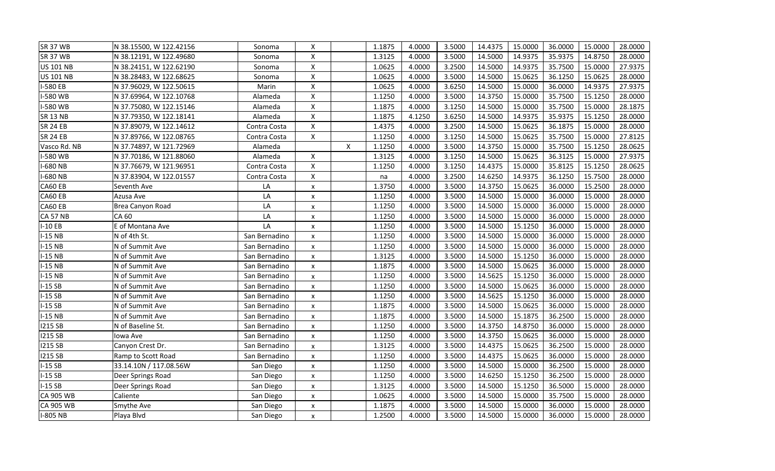| <b>SR 37 WB</b>  | N 38.15500, W 122.42156 | Sonoma        | $\boldsymbol{\mathsf{x}}$ |   | 1.1875 | 4.0000 | 3.5000 | 14.4375 | 15.0000 | 36.0000 | 15.0000 | 28.0000 |
|------------------|-------------------------|---------------|---------------------------|---|--------|--------|--------|---------|---------|---------|---------|---------|
| <b>SR 37 WB</b>  | N 38.12191, W 122.49680 | Sonoma        | $\pmb{\mathsf{X}}$        |   | 1.3125 | 4.0000 | 3.5000 | 14.5000 | 14.9375 | 35.9375 | 14.8750 | 28.0000 |
| <b>US 101 NB</b> | N 38.24151, W 122.62190 | Sonoma        | $\boldsymbol{\mathsf{x}}$ |   | 1.0625 | 4.0000 | 3.2500 | 14.5000 | 14.9375 | 35.7500 | 15.0000 | 27.9375 |
| <b>US 101 NB</b> | N 38.28483, W 122.68625 | Sonoma        | $\boldsymbol{\mathsf{x}}$ |   | 1.0625 | 4.0000 | 3.5000 | 14.5000 | 15.0625 | 36.1250 | 15.0625 | 28.0000 |
| I-580 EB         | N 37.96029, W 122.50615 | Marin         | $\mathsf{X}$              |   | 1.0625 | 4.0000 | 3.6250 | 14.5000 | 15.0000 | 36.0000 | 14.9375 | 27.9375 |
| I-580 WB         | N 37.69964, W 122.10768 | Alameda       | $\boldsymbol{\mathsf{X}}$ |   | 1.1250 | 4.0000 | 3.5000 | 14.3750 | 15.0000 | 35.7500 | 15.1250 | 28.0000 |
| I-580 WB         | N 37.75080, W 122.15146 | Alameda       | $\pmb{\times}$            |   | 1.1875 | 4.0000 | 3.1250 | 14.5000 | 15.0000 | 35.7500 | 15.0000 | 28.1875 |
| <b>SR 13 NB</b>  | N 37.79350, W 122.18141 | Alameda       | $\pmb{\mathsf{X}}$        |   | 1.1875 | 4.1250 | 3.6250 | 14.5000 | 14.9375 | 35.9375 | 15.1250 | 28.0000 |
| <b>SR 24 EB</b>  | N 37.89079, W 122.14612 | Contra Costa  | $\pmb{\mathsf{X}}$        |   | 1.4375 | 4.0000 | 3.2500 | 14.5000 | 15.0625 | 36.1875 | 15.0000 | 28.0000 |
| <b>SR 24 EB</b>  | N 37.89766, W 122.08765 | Contra Costa  | $\mathsf{X}$              |   | 1.1250 | 4.0000 | 3.1250 | 14.5000 | 15.0625 | 35.7500 | 15.0000 | 27.8125 |
| Vasco Rd. NB     | N 37.74897, W 121.72969 | Alameda       |                           | X | 1.1250 | 4.0000 | 3.5000 | 14.3750 | 15.0000 | 35.7500 | 15.1250 | 28.0625 |
| I-580 WB         | N 37.70186, W 121.88060 | Alameda       | $\boldsymbol{\mathsf{x}}$ |   | 1.3125 | 4.0000 | 3.1250 | 14.5000 | 15.0625 | 36.3125 | 15.0000 | 27.9375 |
| I-680 NB         | N 37.76679, W 121.96951 | Contra Costa  | $\pmb{\mathsf{X}}$        |   | 1.1250 | 4.0000 | 3.1250 | 14.4375 | 15.0000 | 35.8125 | 15.1250 | 28.0625 |
| I-680 NB         | N 37.83904, W 122.01557 | Contra Costa  | $\pmb{\mathsf{X}}$        |   | na     | 4.0000 | 3.2500 | 14.6250 | 14.9375 | 36.1250 | 15.7500 | 28.0000 |
| CA60 EB          | Seventh Ave             | LA            | $\pmb{\times}$            |   | 1.3750 | 4.0000 | 3.5000 | 14.3750 | 15.0625 | 36.0000 | 15.2500 | 28.0000 |
| CA60 EB          | Azusa Ave               | LA            | X                         |   | 1.1250 | 4.0000 | 3.5000 | 14.5000 | 15.0000 | 36.0000 | 15.0000 | 28.0000 |
| CA60 EB          | Brea Canyon Road        | LA            | x                         |   | 1.1250 | 4.0000 | 3.5000 | 14.5000 | 15.0000 | 36.0000 | 15.0000 | 28.0000 |
| <b>CA 57 NB</b>  | CA 60                   | LA            | X                         |   | 1.1250 | 4.0000 | 3.5000 | 14.5000 | 15.0000 | 36.0000 | 15.0000 | 28.0000 |
| $I-10EB$         | E of Montana Ave        | LA            | $\pmb{\times}$            |   | 1.1250 | 4.0000 | 3.5000 | 14.5000 | 15.1250 | 36.0000 | 15.0000 | 28.0000 |
| $I-15$ NB        | N of 4th St.            | San Bernadino | X                         |   | 1.1250 | 4.0000 | 3.5000 | 14.5000 | 15.0000 | 36.0000 | 15.0000 | 28.0000 |
| $I-15NB$         | N of Summit Ave         | San Bernadino | x                         |   | 1.1250 | 4.0000 | 3.5000 | 14.5000 | 15.0000 | 36.0000 | 15.0000 | 28.0000 |
| $I-15NB$         | N of Summit Ave         | San Bernadino | $\boldsymbol{\mathsf{x}}$ |   | 1.3125 | 4.0000 | 3.5000 | 14.5000 | 15.1250 | 36.0000 | 15.0000 | 28.0000 |
| $I-15NB$         | N of Summit Ave         | San Bernadino | $\pmb{\chi}$              |   | 1.1875 | 4.0000 | 3.5000 | 14.5000 | 15.0625 | 36.0000 | 15.0000 | 28.0000 |
| $I-15NB$         | N of Summit Ave         | San Bernadino | $\pmb{\chi}$              |   | 1.1250 | 4.0000 | 3.5000 | 14.5625 | 15.1250 | 36.0000 | 15.0000 | 28.0000 |
| $I-15SB$         | N of Summit Ave         | San Bernadino | X                         |   | 1.1250 | 4.0000 | 3.5000 | 14.5000 | 15.0625 | 36.0000 | 15.0000 | 28.0000 |
| $I-15SB$         | N of Summit Ave         | San Bernadino | x                         |   | 1.1250 | 4.0000 | 3.5000 | 14.5625 | 15.1250 | 36.0000 | 15.0000 | 28.0000 |
| $I-15SB$         | N of Summit Ave         | San Bernadino | $\pmb{\times}$            |   | 1.1875 | 4.0000 | 3.5000 | 14.5000 | 15.0625 | 36.0000 | 15.0000 | 28.0000 |
| $I-15NB$         | N of Summit Ave         | San Bernadino | x                         |   | 1.1875 | 4.0000 | 3.5000 | 14.5000 | 15.1875 | 36.2500 | 15.0000 | 28.0000 |
| 1215 SB          | N of Baseline St.       | San Bernadino | x                         |   | 1.1250 | 4.0000 | 3.5000 | 14.3750 | 14.8750 | 36.0000 | 15.0000 | 28.0000 |
| <b>I215 SB</b>   | lowa Ave                | San Bernadino | x                         |   | 1.1250 | 4.0000 | 3.5000 | 14.3750 | 15.0625 | 36.0000 | 15.0000 | 28.0000 |
| 1215 SB          | Canyon Crest Dr.        | San Bernadino | x                         |   | 1.3125 | 4.0000 | 3.5000 | 14.4375 | 15.0625 | 36.2500 | 15.0000 | 28.0000 |
| 1215 SB          | Ramp to Scott Road      | San Bernadino | X                         |   | 1.1250 | 4.0000 | 3.5000 | 14.4375 | 15.0625 | 36.0000 | 15.0000 | 28.0000 |
| $I-15SB$         | 33.14.10N / 117.08.56W  | San Diego     | $\pmb{\times}$            |   | 1.1250 | 4.0000 | 3.5000 | 14.5000 | 15.0000 | 36.2500 | 15.0000 | 28.0000 |
| $I-15SB$         | Deer Springs Road       | San Diego     | $\pmb{\times}$            |   | 1.1250 | 4.0000 | 3.5000 | 14.6250 | 15.1250 | 36.2500 | 15.0000 | 28.0000 |
| $I-15SB$         | Deer Springs Road       | San Diego     | X                         |   | 1.3125 | 4.0000 | 3.5000 | 14.5000 | 15.1250 | 36.5000 | 15.0000 | 28.0000 |
| CA 905 WB        | Caliente                | San Diego     | X                         |   | 1.0625 | 4.0000 | 3.5000 | 14.5000 | 15.0000 | 35.7500 | 15.0000 | 28.0000 |
| <b>CA 905 WB</b> | Smythe Ave              | San Diego     | $\pmb{\times}$            |   | 1.1875 | 4.0000 | 3.5000 | 14.5000 | 15.0000 | 36.0000 | 15.0000 | 28.0000 |
| <b>I-805 NB</b>  | Playa Blvd              | San Diego     | $\pmb{\times}$            |   | 1.2500 | 4.0000 | 3.5000 | 14.5000 | 15.0000 | 36.0000 | 15.0000 | 28.0000 |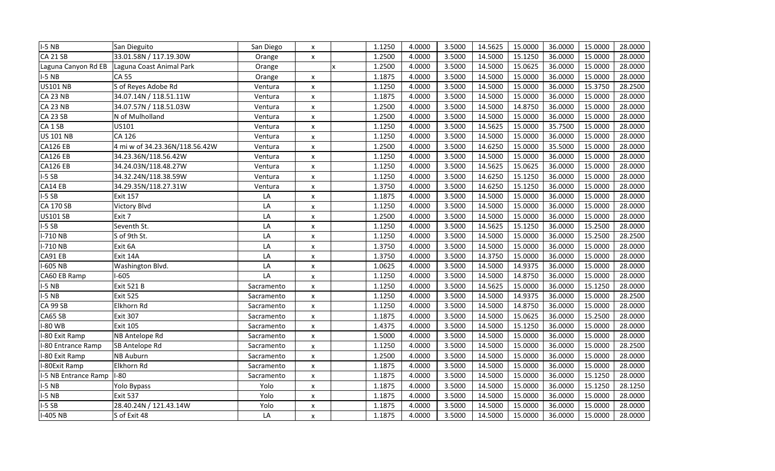| $I-5$ NB             | San Dieguito                   | San Diego  | $\pmb{\times}$            |                           | 1.1250 | 4.0000 | 3.5000 | 14.5625 | 15.0000 | 36.0000 | 15.0000 | 28.0000 |
|----------------------|--------------------------------|------------|---------------------------|---------------------------|--------|--------|--------|---------|---------|---------|---------|---------|
| <b>CA 21 SB</b>      | 33.01.58N / 117.19.30W         | Orange     | $\pmb{\times}$            |                           | 1.2500 | 4.0000 | 3.5000 | 14.5000 | 15.1250 | 36.0000 | 15.0000 | 28.0000 |
| Laguna Canyon Rd EB  | Laguna Coast Animal Park       | Orange     |                           | $\boldsymbol{\mathsf{x}}$ | 1.2500 | 4.0000 | 3.5000 | 14.5000 | 15.0625 | 36.0000 | 15.0000 | 28.0000 |
| $I-5$ NB             | <b>CA 55</b>                   | Orange     | X                         |                           | 1.1875 | 4.0000 | 3.5000 | 14.5000 | 15.0000 | 36.0000 | 15.0000 | 28.0000 |
| <b>US101 NB</b>      | S of Reyes Adobe Rd            | Ventura    | $\pmb{\times}$            |                           | 1.1250 | 4.0000 | 3.5000 | 14.5000 | 15.0000 | 36.0000 | 15.3750 | 28.2500 |
| <b>CA 23 NB</b>      | 34.07.14N / 118.51.11W         | Ventura    | X                         |                           | 1.1875 | 4.0000 | 3.5000 | 14.5000 | 15.0000 | 36.0000 | 15.0000 | 28.0000 |
| <b>CA 23 NB</b>      | 34.07.57N / 118.51.03W         | Ventura    | x                         |                           | 1.2500 | 4.0000 | 3.5000 | 14.5000 | 14.8750 | 36.0000 | 15.0000 | 28.0000 |
| CA 23 SB             | N of Mulholland                | Ventura    | X                         |                           | 1.2500 | 4.0000 | 3.5000 | 14.5000 | 15.0000 | 36.0000 | 15.0000 | 28.0000 |
| CA <sub>1</sub> SB   | US101                          | Ventura    | X                         |                           | 1.1250 | 4.0000 | 3.5000 | 14.5625 | 15.0000 | 35.7500 | 15.0000 | 28.0000 |
| <b>US 101 NB</b>     | CA 126                         | Ventura    | $\pmb{\times}$            |                           | 1.1250 | 4.0000 | 3.5000 | 14.5000 | 15.0000 | 36.0000 | 15.0000 | 28.0000 |
| <b>CA126 EB</b>      | 4 mi w of 34.23.36N/118.56.42W | Ventura    | $\pmb{\times}$            |                           | 1.2500 | 4.0000 | 3.5000 | 14.6250 | 15.0000 | 35.5000 | 15.0000 | 28.0000 |
| <b>CA126 EB</b>      | 34.23.36N/118.56.42W           | Ventura    | $\pmb{\times}$            |                           | 1.1250 | 4.0000 | 3.5000 | 14.5000 | 15.0000 | 36.0000 | 15.0000 | 28.0000 |
| <b>CA126 EB</b>      | 34.24.03N/118.48.27W           | Ventura    | x                         |                           | 1.1250 | 4.0000 | 3.5000 | 14.5625 | 15.0625 | 36.0000 | 15.0000 | 28.0000 |
| $I-5SB$              | 34.32.24N/118.38.59W           | Ventura    | X                         |                           | 1.1250 | 4.0000 | 3.5000 | 14.6250 | 15.1250 | 36.0000 | 15.0000 | 28.0000 |
| CA14 EB              | 34.29.35N/118.27.31W           | Ventura    | X                         |                           | 1.3750 | 4.0000 | 3.5000 | 14.6250 | 15.1250 | 36.0000 | 15.0000 | 28.0000 |
| $I-5SB$              | <b>Exit 157</b>                | LA         | $\boldsymbol{\mathsf{x}}$ |                           | 1.1875 | 4.0000 | 3.5000 | 14.5000 | 15.0000 | 36.0000 | 15.0000 | 28.0000 |
| <b>CA 170 SB</b>     | Victory Blvd                   | LA         | $\pmb{\times}$            |                           | 1.1250 | 4.0000 | 3.5000 | 14.5000 | 15.0000 | 36.0000 | 15.0000 | 28.0000 |
| <b>US101 SB</b>      | Exit 7                         | LA         | $\pmb{\times}$            |                           | 1.2500 | 4.0000 | 3.5000 | 14.5000 | 15.0000 | 36.0000 | 15.0000 | 28.0000 |
| $I-5SB$              | Seventh St.                    | LA         | $\pmb{\times}$            |                           | 1.1250 | 4.0000 | 3.5000 | 14.5625 | 15.1250 | 36.0000 | 15.2500 | 28.0000 |
| I-710 NB             | S of 9th St.                   | LA         | X                         |                           | 1.1250 | 4.0000 | 3.5000 | 14.5000 | 15.0000 | 36.0000 | 15.2500 | 28.2500 |
| I-710 NB             | Exit 6A                        | LA         | X                         |                           | 1.3750 | 4.0000 | 3.5000 | 14.5000 | 15.0000 | 36.0000 | 15.0000 | 28.0000 |
| CA91 EB              | Exit 14A                       | LA         | X                         |                           | 1.3750 | 4.0000 | 3.5000 | 14.3750 | 15.0000 | 36.0000 | 15.0000 | 28.0000 |
| I-605 NB             | Washington Blvd.               | LA         | $\boldsymbol{\mathsf{x}}$ |                           | 1.0625 | 4.0000 | 3.5000 | 14.5000 | 14.9375 | 36.0000 | 15.0000 | 28.0000 |
| CA60 EB Ramp         | $1 - 605$                      | LA         | $\pmb{\times}$            |                           | 1.1250 | 4.0000 | 3.5000 | 14.5000 | 14.8750 | 36.0000 | 15.0000 | 28.0000 |
| $I-5$ NB             | Exit 521 B                     | Sacramento | X                         |                           | 1.1250 | 4.0000 | 3.5000 | 14.5625 | 15.0000 | 36.0000 | 15.1250 | 28.0000 |
| $I-5$ NB             | <b>Exit 525</b>                | Sacramento | $\pmb{\times}$            |                           | 1.1250 | 4.0000 | 3.5000 | 14.5000 | 14.9375 | 36.0000 | 15.0000 | 28.2500 |
| CA 99 SB             | Elkhorn Rd                     | Sacramento | X                         |                           | 1.1250 | 4.0000 | 3.5000 | 14.5000 | 14.8750 | 36.0000 | 15.0000 | 28.0000 |
| CA65 SB              | <b>Exit 307</b>                | Sacramento | X                         |                           | 1.1875 | 4.0000 | 3.5000 | 14.5000 | 15.0625 | 36.0000 | 15.2500 | 28.0000 |
| I-80 WB              | <b>Exit 105</b>                | Sacramento | X                         |                           | 1.4375 | 4.0000 | 3.5000 | 14.5000 | 15.1250 | 36.0000 | 15.0000 | 28.0000 |
| I-80 Exit Ramp       | NB Antelope Rd                 | Sacramento | X                         |                           | 1.5000 | 4.0000 | 3.5000 | 14.5000 | 15.0000 | 36.0000 | 15.0000 | 28.0000 |
| I-80 Entrance Ramp   | SB Antelope Rd                 | Sacramento | X                         |                           | 1.1250 | 4.0000 | 3.5000 | 14.5000 | 15.0000 | 36.0000 | 15.0000 | 28.2500 |
| I-80 Exit Ramp       | NB Auburn                      | Sacramento | X                         |                           | 1.2500 | 4.0000 | 3.5000 | 14.5000 | 15.0000 | 36.0000 | 15.0000 | 28.0000 |
| I-80Exit Ramp        | Elkhorn Rd                     | Sacramento | x                         |                           | 1.1875 | 4.0000 | 3.5000 | 14.5000 | 15.0000 | 36.0000 | 15.0000 | 28.0000 |
| I-5 NB Entrance Ramp | $I-80$                         | Sacramento | X                         |                           | 1.1875 | 4.0000 | 3.5000 | 14.5000 | 15.0000 | 36.0000 | 15.1250 | 28.0000 |
| $I-5$ NB             | Yolo Bypass                    | Yolo       | X                         |                           | 1.1875 | 4.0000 | 3.5000 | 14.5000 | 15.0000 | 36.0000 | 15.1250 | 28.1250 |
| $I-5$ NB             | <b>Exit 537</b>                | Yolo       | X                         |                           | 1.1875 | 4.0000 | 3.5000 | 14.5000 | 15.0000 | 36.0000 | 15.0000 | 28.0000 |
| $I-5SB$              | 28.40.24N / 121.43.14W         | Yolo       | $\pmb{\times}$            |                           | 1.1875 | 4.0000 | 3.5000 | 14.5000 | 15.0000 | 36.0000 | 15.0000 | 28.0000 |
| I-405 NB             | S of Exit 48                   | LA         | $\pmb{\times}$            |                           | 1.1875 | 4.0000 | 3.5000 | 14.5000 | 15.0000 | 36.0000 | 15.0000 | 28.0000 |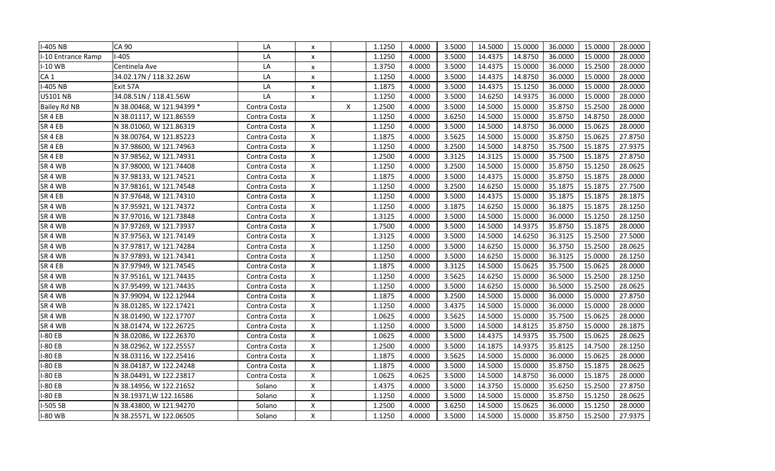| I-405 NB            | <b>CA 90</b>              | LA           | X                         |   | 1.1250 | 4.0000 | 3.5000 | 14.5000 | 15.0000 | 36.0000 | 15.0000 | 28.0000 |
|---------------------|---------------------------|--------------|---------------------------|---|--------|--------|--------|---------|---------|---------|---------|---------|
| I-10 Entrance Ramp  | $-405$                    | LA           | X                         |   | 1.1250 | 4.0000 | 3.5000 | 14.4375 | 14.8750 | 36.0000 | 15.0000 | 28.0000 |
| $I-10$ WB           | Centinela Ave             | LA           | X                         |   | 1.3750 | 4.0000 | 3.5000 | 14.4375 | 15.0000 | 36.0000 | 15.2500 | 28.0000 |
| CA <sub>1</sub>     | 34.02.17N / 118.32.26W    | LA           | X                         |   | 1.1250 | 4.0000 | 3.5000 | 14.4375 | 14.8750 | 36.0000 | 15.0000 | 28.0000 |
| I-405 NB            | Exit 57A                  | LA           | x                         |   | 1.1875 | 4.0000 | 3.5000 | 14.4375 | 15.1250 | 36.0000 | 15.0000 | 28.0000 |
| <b>US101 NB</b>     | 34.08.51N / 118.41.56W    | LA           | X                         |   | 1.1250 | 4.0000 | 3.5000 | 14.6250 | 14.9375 | 36.0000 | 15.0000 | 28.0000 |
| <b>Bailey Rd NB</b> | N 38.00468, W 121.94399 * | Contra Costa |                           | X | 1.2500 | 4.0000 | 3.5000 | 14.5000 | 15.0000 | 35.8750 | 15.2500 | 28.0000 |
| SR4EB               | N 38.01117, W 121.86559   | Contra Costa | X                         |   | 1.1250 | 4.0000 | 3.6250 | 14.5000 | 15.0000 | 35.8750 | 14.8750 | 28.0000 |
| SR <sub>4</sub> EB  | N 38.01060, W 121.86319   | Contra Costa | $\pmb{\times}$            |   | 1.1250 | 4.0000 | 3.5000 | 14.5000 | 14.8750 | 36.0000 | 15.0625 | 28.0000 |
| SR 4 EB             | N 38.00764, W 121.85223   | Contra Costa | $\pmb{\times}$            |   | 1.1875 | 4.0000 | 3.5625 | 14.5000 | 15.0000 | 35.8750 | 15.0625 | 27.8750 |
| SR 4 EB             | N 37.98600, W 121.74963   | Contra Costa | $\boldsymbol{\mathsf{X}}$ |   | 1.1250 | 4.0000 | 3.2500 | 14.5000 | 14.8750 | 35.7500 | 15.1875 | 27.9375 |
| SR4EB               | N 37.98562, W 121.74931   | Contra Costa | $\pmb{\times}$            |   | 1.2500 | 4.0000 | 3.3125 | 14.3125 | 15.0000 | 35.7500 | 15.1875 | 27.8750 |
| SR <sub>4</sub> WB  | N 37.98000, W 121.74408   | Contra Costa | $\pmb{\times}$            |   | 1.1250 | 4.0000 | 3.2500 | 14.5000 | 15.0000 | 35.8750 | 15.1250 | 28.0625 |
| SR 4 WB             | N 37.98133, W 121.74521   | Contra Costa | $\boldsymbol{\mathsf{x}}$ |   | 1.1875 | 4.0000 | 3.5000 | 14.4375 | 15.0000 | 35.8750 | 15.1875 | 28.0000 |
| SR 4 WB             | N 37.98161, W 121.74548   | Contra Costa | $\pmb{\mathsf{X}}$        |   | 1.1250 | 4.0000 | 3.2500 | 14.6250 | 15.0000 | 35.1875 | 15.1875 | 27.7500 |
| SR4EB               | N 37.97648, W 121.74310   | Contra Costa | $\pmb{\times}$            |   | 1.1250 | 4.0000 | 3.5000 | 14.4375 | 15.0000 | 35.1875 | 15.1875 | 28.1875 |
| SR 4 WB             | N 37.95921, W 121.74372   | Contra Costa | $\pmb{\mathsf{X}}$        |   | 1.1250 | 4.0000 | 3.1875 | 14.6250 | 15.0000 | 36.1875 | 15.1875 | 28.1250 |
| SR 4 WB             | N 37.97016, W 121.73848   | Contra Costa | $\pmb{\times}$            |   | 1.3125 | 4.0000 | 3.5000 | 14.5000 | 15.0000 | 36.0000 | 15.1250 | 28.1250 |
| SR 4 WB             | N 37.97269, W 121.73937   | Contra Costa | $\pmb{\times}$            |   | 1.7500 | 4.0000 | 3.5000 | 14.5000 | 14.9375 | 35.8750 | 15.1875 | 28.0000 |
| SR 4 WB             | N 37.97563, W 121.74149   | Contra Costa | $\pmb{\times}$            |   | 1.3125 | 4.0000 | 3.5000 | 14.5000 | 14.6250 | 36.3125 | 15.2500 | 27.5000 |
| SR 4 WB             | N 37.97817, W 121.74284   | Contra Costa | $\boldsymbol{\mathsf{X}}$ |   | 1.1250 | 4.0000 | 3.5000 | 14.6250 | 15.0000 | 36.3750 | 15.2500 | 28.0625 |
| SR <sub>4</sub> WB  | N 37.97893, W 121.74341   | Contra Costa | $\boldsymbol{\mathsf{X}}$ |   | 1.1250 | 4.0000 | 3.5000 | 14.6250 | 15.0000 | 36.3125 | 15.0000 | 28.1250 |
| SR <sub>4</sub> EB  | N 37.97949, W 121.74545   | Contra Costa | $\pmb{\times}$            |   | 1.1875 | 4.0000 | 3.3125 | 14.5000 | 15.0625 | 35.7500 | 15.0625 | 28.0000 |
| SR <sub>4</sub> WB  | N 37.95161, W 121.74435   | Contra Costa | X                         |   | 1.1250 | 4.0000 | 3.5625 | 14.6250 | 15.0000 | 36.5000 | 15.2500 | 28.1250 |
| SR 4 WB             | N 37.95499, W 121.74435   | Contra Costa | $\pmb{\times}$            |   | 1.1250 | 4.0000 | 3.5000 | 14.6250 | 15.0000 | 36.5000 | 15.2500 | 28.0625 |
| SR 4 WB             | N 37.99094, W 122.12944   | Contra Costa | $\boldsymbol{\mathsf{x}}$ |   | 1.1875 | 4.0000 | 3.2500 | 14.5000 | 15.0000 | 36.0000 | 15.0000 | 27.8750 |
| SR 4 WB             | N 38.01285, W 122.17421   | Contra Costa | $\pmb{\times}$            |   | 1.1250 | 4.0000 | 3.4375 | 14.5000 | 15.0000 | 36.0000 | 15.0000 | 28.0000 |
| SR 4 WB             | N 38.01490, W 122.17707   | Contra Costa | $\pmb{\times}$            |   | 1.0625 | 4.0000 | 3.5625 | 14.5000 | 15.0000 | 35.7500 | 15.0625 | 28.0000 |
| SR 4 WB             | N 38.01474, W 122.26725   | Contra Costa | $\pmb{\times}$            |   | 1.1250 | 4.0000 | 3.5000 | 14.5000 | 14.8125 | 35.8750 | 15.0000 | 28.1875 |
| $-80EB$             | N 38.02086, W 122.26370   | Contra Costa | $\pmb{\times}$            |   | 1.0625 | 4.0000 | 3.5000 | 14.4375 | 14.9375 | 35.7500 | 15.0625 | 28.0625 |
| -80 EB              | N 38.02962, W 122.25557   | Contra Costa | $\pmb{\times}$            |   | 1.2500 | 4.0000 | 3.5000 | 14.1875 | 14.9375 | 35.8125 | 14.7500 | 28.1250 |
| -80 EB              | N 38.03116, W 122.25416   | Contra Costa | $\pmb{\times}$            |   | 1.1875 | 4.0000 | 3.5625 | 14.5000 | 15.0000 | 36.0000 | 15.0625 | 28.0000 |
| -80 EB              | N 38.04187, W 122.24248   | Contra Costa | $\pmb{\times}$            |   | 1.1875 | 4.0000 | 3.5000 | 14.5000 | 15.0000 | 35.8750 | 15.1875 | 28.0625 |
| -80 EB              | N 38.04491, W 122.23817   | Contra Costa | $\pmb{\times}$            |   | 1.0625 | 4.0625 | 3.5000 | 14.5000 | 14.8750 | 36.0000 | 15.1875 | 28.0000 |
| -80 EB              | N 38.14956, W 122.21652   | Solano       | $\pmb{\mathsf{X}}$        |   | 1.4375 | 4.0000 | 3.5000 | 14.3750 | 15.0000 | 35.6250 | 15.2500 | 27.8750 |
| -80 EB              | N 38.19371, W 122.16586   | Solano       | $\pmb{\mathsf{X}}$        |   | 1.1250 | 4.0000 | 3.5000 | 14.5000 | 15.0000 | 35.8750 | 15.1250 | 28.0625 |
| I-505 SB            | N 38.43800, W 121.94270   | Solano       | $\pmb{\mathsf{X}}$        |   | 1.2500 | 4.0000 | 3.6250 | 14.5000 | 15.0625 | 36.0000 | 15.1250 | 28.0000 |
| <b>I-80 WB</b>      | N 38.25571, W 122.06505   | Solano       | $\pmb{\times}$            |   | 1.1250 | 4.0000 | 3.5000 | 14.5000 | 15.0000 | 35.8750 | 15.2500 | 27.9375 |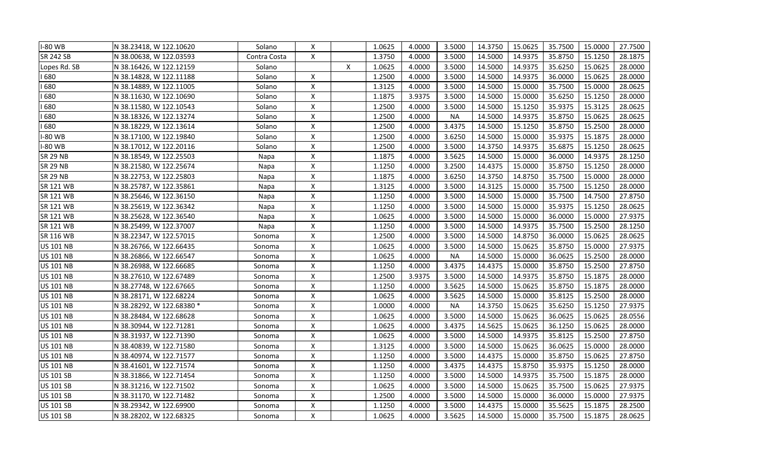| <b>I-80 WB</b>   | N 38.23418, W 122.10620   | Solano       | X                         |   | 1.0625 | 4.0000 | 3.5000    | 14.3750 | 15.0625 | 35.7500 | 15.0000 | 27.7500 |
|------------------|---------------------------|--------------|---------------------------|---|--------|--------|-----------|---------|---------|---------|---------|---------|
| <b>SR 242 SB</b> | N 38.00638, W 122.03593   | Contra Costa | X                         |   | 1.3750 | 4.0000 | 3.5000    | 14.5000 | 14.9375 | 35.8750 | 15.1250 | 28.1875 |
| Lopes Rd. SB     | N 38.16426, W 122.12159   | Solano       |                           | X | 1.0625 | 4.0000 | 3.5000    | 14.5000 | 14.9375 | 35.6250 | 15.0625 | 28.0000 |
| 680              | N 38.14828, W 122.11188   | Solano       | X                         |   | 1.2500 | 4.0000 | 3.5000    | 14.5000 | 14.9375 | 36.0000 | 15.0625 | 28.0000 |
| 680              | N 38.14889, W 122.11005   | Solano       | $\pmb{\times}$            |   | 1.3125 | 4.0000 | 3.5000    | 14.5000 | 15.0000 | 35.7500 | 15.0000 | 28.0625 |
| 680              | N 38.11630, W 122.10690   | Solano       | $\pmb{\times}$            |   | 1.1875 | 3.9375 | 3.5000    | 14.5000 | 15.0000 | 35.6250 | 15.1250 | 28.0000 |
| 680              | N 38.11580, W 122.10543   | Solano       | $\pmb{\times}$            |   | 1.2500 | 4.0000 | 3.5000    | 14.5000 | 15.1250 | 35.9375 | 15.3125 | 28.0625 |
| 680              | N 38.18326, W 122.13274   | Solano       | X                         |   | 1.2500 | 4.0000 | <b>NA</b> | 14.5000 | 14.9375 | 35.8750 | 15.0625 | 28.0625 |
| 680              | N 38.18229, W 122.13614   | Solano       | $\pmb{\times}$            |   | 1.2500 | 4.0000 | 3.4375    | 14.5000 | 15.1250 | 35.8750 | 15.2500 | 28.0000 |
| <b>I-80 WB</b>   | N 38.17100, W 122.19840   | Solano       | $\mathsf{X}$              |   | 1.2500 | 4.0000 | 3.6250    | 14.5000 | 15.0000 | 35.9375 | 15.1875 | 28.0000 |
| <b>I-80 WB</b>   | N 38.17012, W 122.20116   | Solano       | $\boldsymbol{\mathsf{x}}$ |   | 1.2500 | 4.0000 | 3.5000    | 14.3750 | 14.9375 | 35.6875 | 15.1250 | 28.0625 |
| <b>SR 29 NB</b>  | N 38.18549, W 122.25503   | Napa         | $\pmb{\times}$            |   | 1.1875 | 4.0000 | 3.5625    | 14.5000 | 15.0000 | 36.0000 | 14.9375 | 28.1250 |
| <b>SR 29 NB</b>  | N 38.21580, W 122.25674   | Napa         | $\pmb{\mathsf{X}}$        |   | 1.1250 | 4.0000 | 3.2500    | 14.4375 | 15.0000 | 35.8750 | 15.1250 | 28.0000 |
| <b>SR 29 NB</b>  | N 38.22753, W 122.25803   | Napa         | $\mathsf{X}$              |   | 1.1875 | 4.0000 | 3.6250    | 14.3750 | 14.8750 | 35.7500 | 15.0000 | 28.0000 |
| <b>SR 121 WB</b> | N 38.25787, W 122.35861   | Napa         | $\boldsymbol{\mathsf{x}}$ |   | 1.3125 | 4.0000 | 3.5000    | 14.3125 | 15.0000 | 35.7500 | 15.1250 | 28.0000 |
| <b>SR 121 WB</b> | N 38.25646, W 122.36150   | Napa         | $\pmb{\times}$            |   | 1.1250 | 4.0000 | 3.5000    | 14.5000 | 15.0000 | 35.7500 | 14.7500 | 27.8750 |
| <b>SR 121 WB</b> | N 38.25619, W 122.36342   | Napa         | $\pmb{\mathsf{X}}$        |   | 1.1250 | 4.0000 | 3.5000    | 14.5000 | 15.0000 | 35.9375 | 15.1250 | 28.0625 |
| <b>SR 121 WB</b> | N 38.25628, W 122.36540   | Napa         | $\pmb{\times}$            |   | 1.0625 | 4.0000 | 3.5000    | 14.5000 | 15.0000 | 36.0000 | 15.0000 | 27.9375 |
| <b>SR 121 WB</b> | N 38.25499, W 122.37007   | Napa         | $\pmb{\times}$            |   | 1.1250 | 4.0000 | 3.5000    | 14.5000 | 14.9375 | 35.7500 | 15.2500 | 28.1250 |
| <b>SR 116 WB</b> | N 38.22347, W 122.57015   | Sonoma       | $\pmb{\times}$            |   | 1.2500 | 4.0000 | 3.5000    | 14.5000 | 14.8750 | 36.0000 | 15.0625 | 28.0625 |
| <b>US 101 NB</b> | N 38.26766, W 122.66435   | Sonoma       | $\pmb{\times}$            |   | 1.0625 | 4.0000 | 3.5000    | 14.5000 | 15.0625 | 35.8750 | 15.0000 | 27.9375 |
| <b>US 101 NB</b> | N 38.26866, W 122.66547   | Sonoma       | $\pmb{\times}$            |   | 1.0625 | 4.0000 | <b>NA</b> | 14.5000 | 15.0000 | 36.0625 | 15.2500 | 28.0000 |
| <b>US 101 NB</b> | N 38.26988, W 122.66685   | Sonoma       | $\pmb{\times}$            |   | 1.1250 | 4.0000 | 3.4375    | 14.4375 | 15.0000 | 35.8750 | 15.2500 | 27.8750 |
| <b>US 101 NB</b> | N 38.27610, W 122.67489   | Sonoma       | $\boldsymbol{\mathsf{x}}$ |   | 1.2500 | 3.9375 | 3.5000    | 14.5000 | 14.9375 | 35.8750 | 15.1875 | 28.0000 |
| <b>US 101 NB</b> | N 38.27748, W 122.67665   | Sonoma       | $\pmb{\times}$            |   | 1.1250 | 4.0000 | 3.5625    | 14.5000 | 15.0625 | 35.8750 | 15.1875 | 28.0000 |
| <b>US 101 NB</b> | N 38.28171, W 122.68224   | Sonoma       | $\pmb{\times}$            |   | 1.0625 | 4.0000 | 3.5625    | 14.5000 | 15.0000 | 35.8125 | 15.2500 | 28.0000 |
| <b>US 101 NB</b> | N 38.28292, W 122.68380 * | Sonoma       | $\pmb{\times}$            |   | 1.0000 | 4.0000 | <b>NA</b> | 14.3750 | 15.0625 | 35.6250 | 15.1250 | 27.9375 |
| <b>US 101 NB</b> | N 38.28484, W 122.68628   | Sonoma       | $\pmb{\times}$            |   | 1.0625 | 4.0000 | 3.5000    | 14.5000 | 15.0625 | 36.0625 | 15.0625 | 28.0556 |
| <b>US 101 NB</b> | N 38.30944, W 122.71281   | Sonoma       | $\pmb{\times}$            |   | 1.0625 | 4.0000 | 3.4375    | 14.5625 | 15.0625 | 36.1250 | 15.0625 | 28.0000 |
| <b>US 101 NB</b> | N 38.31937, W 122.71390   | Sonoma       | $\pmb{\times}$            |   | 1.0625 | 4.0000 | 3.5000    | 14.5000 | 14.9375 | 35.8125 | 15.2500 | 27.8750 |
| <b>US 101 NB</b> | N 38.40839, W 122.71580   | Sonoma       | $\boldsymbol{\mathsf{X}}$ |   | 1.3125 | 4.0000 | 3.5000    | 14.5000 | 15.0625 | 36.0625 | 15.0000 | 28.0000 |
| <b>US 101 NB</b> | N 38.40974, W 122.71577   | Sonoma       | $\pmb{\times}$            |   | 1.1250 | 4.0000 | 3.5000    | 14.4375 | 15.0000 | 35.8750 | 15.0625 | 27.8750 |
| <b>US 101 NB</b> | N 38.41601, W 122.71574   | Sonoma       | $\pmb{\mathsf{X}}$        |   | 1.1250 | 4.0000 | 3.4375    | 14.4375 | 15.8750 | 35.9375 | 15.1250 | 28.0000 |
| <b>US 101 SB</b> | N 38.31866, W 122.71454   | Sonoma       | $\pmb{\times}$            |   | 1.1250 | 4.0000 | 3.5000    | 14.5000 | 14.9375 | 35.7500 | 15.1875 | 28.0000 |
| <b>US 101 SB</b> | N 38.31216, W 122.71502   | Sonoma       | $\boldsymbol{\mathsf{x}}$ |   | 1.0625 | 4.0000 | 3.5000    | 14.5000 | 15.0625 | 35.7500 | 15.0625 | 27.9375 |
| <b>US 101 SB</b> | N 38.31170, W 122.71482   | Sonoma       | $\boldsymbol{\mathsf{x}}$ |   | 1.2500 | 4.0000 | 3.5000    | 14.5000 | 15.0000 | 36.0000 | 15.0000 | 27.9375 |
| <b>US 101 SB</b> | N 38.29342, W 122.69900   | Sonoma       | $\mathsf{X}$              |   | 1.1250 | 4.0000 | 3.5000    | 14.4375 | 15.0000 | 35.5625 | 15.1875 | 28.2500 |
| <b>US 101 SB</b> | N 38.28202, W 122.68325   | Sonoma       | $\pmb{\mathsf{X}}$        |   | 1.0625 | 4.0000 | 3.5625    | 14.5000 | 15.0000 | 35.7500 | 15.1875 | 28.0625 |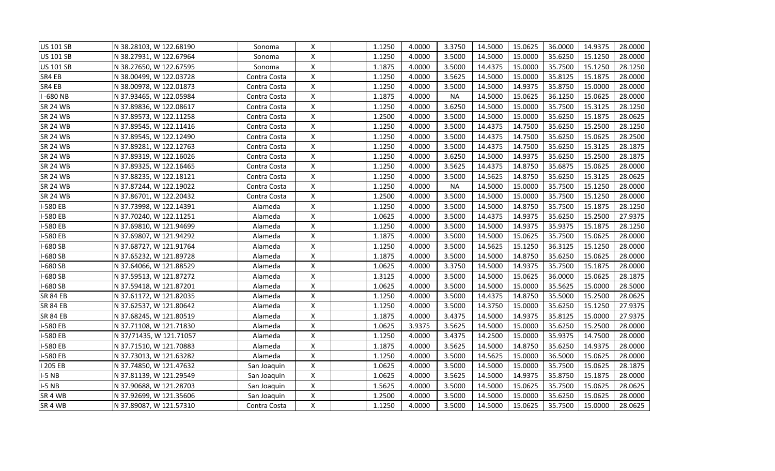| <b>US 101 SB</b> |                         |              |                           |        |        |           |         | 15.0625 | 36.0000 |         | 28.0000 |
|------------------|-------------------------|--------------|---------------------------|--------|--------|-----------|---------|---------|---------|---------|---------|
|                  | N 38.28103, W 122.68190 | Sonoma       | $\pmb{\times}$            | 1.1250 | 4.0000 | 3.3750    | 14.5000 |         |         | 14.9375 |         |
| <b>US 101 SB</b> | N 38.27931, W 122.67964 | Sonoma       | $\boldsymbol{\mathsf{x}}$ | 1.1250 | 4.0000 | 3.5000    | 14.5000 | 15.0000 | 35.6250 | 15.1250 | 28.0000 |
| <b>US 101 SB</b> | N 38.27650, W 122.67595 | Sonoma       | $\boldsymbol{\mathsf{X}}$ | 1.1875 | 4.0000 | 3.5000    | 14.4375 | 15.0000 | 35.7500 | 15.1250 | 28.1250 |
| SR4 EB           | N 38.00499, W 122.03728 | Contra Costa | $\boldsymbol{\mathsf{x}}$ | 1.1250 | 4.0000 | 3.5625    | 14.5000 | 15.0000 | 35.8125 | 15.1875 | 28.0000 |
| SR4 EB           | N 38.00978, W 122.01873 | Contra Costa | X                         | 1.1250 | 4.0000 | 3.5000    | 14.5000 | 14.9375 | 35.8750 | 15.0000 | 28.0000 |
| $-680$ NB        | N 37.93465, W 122.05984 | Contra Costa | X                         | 1.1875 | 4.0000 | <b>NA</b> | 14.5000 | 15.0625 | 36.1250 | 15.0625 | 28.0000 |
| <b>SR 24 WB</b>  | N 37.89836, W 122.08617 | Contra Costa | $\pmb{\times}$            | 1.1250 | 4.0000 | 3.6250    | 14.5000 | 15.0000 | 35.7500 | 15.3125 | 28.1250 |
| <b>SR 24 WB</b>  | N 37.89573, W 122.11258 | Contra Costa | X                         | 1.2500 | 4.0000 | 3.5000    | 14.5000 | 15.0000 | 35.6250 | 15.1875 | 28.0625 |
| <b>SR 24 WB</b>  | N 37.89545, W 122.11416 | Contra Costa | X                         | 1.1250 | 4.0000 | 3.5000    | 14.4375 | 14.7500 | 35.6250 | 15.2500 | 28.1250 |
| <b>SR 24 WB</b>  | N 37.89545, W 122.12490 | Contra Costa | $\pmb{\times}$            | 1.1250 | 4.0000 | 3.5000    | 14.4375 | 14.7500 | 35.6250 | 15.0625 | 28.2500 |
| <b>SR 24 WB</b>  | N 37.89281, W 122.12763 | Contra Costa | X                         | 1.1250 | 4.0000 | 3.5000    | 14.4375 | 14.7500 | 35.6250 | 15.3125 | 28.1875 |
| <b>SR 24 WB</b>  | N 37.89319, W 122.16026 | Contra Costa | $\boldsymbol{\mathsf{X}}$ | 1.1250 | 4.0000 | 3.6250    | 14.5000 | 14.9375 | 35.6250 | 15.2500 | 28.1875 |
| <b>SR 24 WB</b>  | N 37.89325, W 122.16465 | Contra Costa | $\pmb{\times}$            | 1.1250 | 4.0000 | 3.5625    | 14.4375 | 14.8750 | 35.6875 | 15.0625 | 28.0000 |
| <b>SR 24 WB</b>  | N 37.88235, W 122.18121 | Contra Costa | $\pmb{\times}$            | 1.1250 | 4.0000 | 3.5000    | 14.5625 | 14.8750 | 35.6250 | 15.3125 | 28.0625 |
| <b>SR 24 WB</b>  | N 37.87244, W 122.19022 | Contra Costa | $\boldsymbol{\mathsf{X}}$ | 1.1250 | 4.0000 | <b>NA</b> | 14.5000 | 15.0000 | 35.7500 | 15.1250 | 28.0000 |
| <b>SR 24 WB</b>  | N 37.86701, W 122.20432 | Contra Costa | $\pmb{\times}$            | 1.2500 | 4.0000 | 3.5000    | 14.5000 | 15.0000 | 35.7500 | 15.1250 | 28.0000 |
| I-580 EB         | N 37.73998, W 122.14391 | Alameda      | $\mathsf X$               | 1.1250 | 4.0000 | 3.5000    | 14.5000 | 14.8750 | 35.7500 | 15.1875 | 28.1250 |
| I-580 EB         | N 37.70240, W 122.11251 | Alameda      | $\boldsymbol{\mathsf{X}}$ | 1.0625 | 4.0000 | 3.5000    | 14.4375 | 14.9375 | 35.6250 | 15.2500 | 27.9375 |
| I-580 EB         | N 37.69810, W 121.94699 | Alameda      | $\pmb{\times}$            | 1.1250 | 4.0000 | 3.5000    | 14.5000 | 14.9375 | 35.9375 | 15.1875 | 28.1250 |
| -580 EB          | N 37.69807, W 121.94292 | Alameda      | $\pmb{\times}$            | 1.1875 | 4.0000 | 3.5000    | 14.5000 | 15.0625 | 35.7500 | 15.0625 | 28.0000 |
| $-680$ SB        | N 37.68727, W 121.91764 | Alameda      | $\boldsymbol{\mathsf{x}}$ | 1.1250 | 4.0000 | 3.5000    | 14.5625 | 15.1250 | 36.3125 | 15.1250 | 28.0000 |
| $-680$ SB        | N 37.65232, W 121.89728 | Alameda      | $\boldsymbol{\mathsf{x}}$ | 1.1875 | 4.0000 | 3.5000    | 14.5000 | 14.8750 | 35.6250 | 15.0625 | 28.0000 |
| $-680$ SB        | N 37.64066, W 121.88529 | Alameda      | $\pmb{\mathsf{X}}$        | 1.0625 | 4.0000 | 3.3750    | 14.5000 | 14.9375 | 35.7500 | 15.1875 | 28.0000 |
| $-680$ SB        | N 37.59513, W 121.87272 | Alameda      | $\pmb{\mathsf{X}}$        | 1.3125 | 4.0000 | 3.5000    | 14.5000 | 15.0625 | 36.0000 | 15.0625 | 28.1875 |
| I-680 SB         | N 37.59418, W 121.87201 | Alameda      | $\boldsymbol{\mathsf{x}}$ | 1.0625 | 4.0000 | 3.5000    | 14.5000 | 15.0000 | 35.5625 | 15.0000 | 28.5000 |
| <b>SR 84 EB</b>  | N 37.61172, W 121.82035 | Alameda      | $\boldsymbol{\mathsf{x}}$ | 1.1250 | 4.0000 | 3.5000    | 14.4375 | 14.8750 | 35.5000 | 15.2500 | 28.0625 |
| <b>SR 84 EB</b>  | N 37.62537, W 121.80642 | Alameda      | $\mathsf{X}$              | 1.1250 | 4.0000 | 3.5000    | 14.3750 | 15.0000 | 35.6250 | 15.1250 | 27.9375 |
| <b>SR 84 EB</b>  | N 37.68245, W 121.80519 | Alameda      | $\boldsymbol{\mathsf{x}}$ | 1.1875 | 4.0000 | 3.4375    | 14.5000 | 14.9375 | 35.8125 | 15.0000 | 27.9375 |
| I-580 EB         | N 37.71108, W 121.71830 | Alameda      | $\pmb{\times}$            | 1.0625 | 3.9375 | 3.5625    | 14.5000 | 15.0000 | 35.6250 | 15.2500 | 28.0000 |
| <b>I-580 EB</b>  | N 37/71435, W 121.71057 | Alameda      | $\mathsf{X}$              | 1.1250 | 4.0000 | 3.4375    | 14.2500 | 15.0000 | 35.9375 | 14.7500 | 28.0000 |
| I-580 EB         | N 37.71510, W 121.70883 | Alameda      | $\pmb{\mathsf{X}}$        | 1.1875 | 4.0000 | 3.5625    | 14.5000 | 14.8750 | 35.6250 | 14.9375 | 28.0000 |
| I-580 EB         | N 37.73013, W 121.63282 | Alameda      | $\mathsf{X}$              | 1.1250 | 4.0000 | 3.5000    | 14.5625 | 15.0000 | 36.5000 | 15.0625 | 28.0000 |
| 1205 EB          | N 37.74850, W 121.47632 | San Joaquin  | $\pmb{\mathsf{X}}$        | 1.0625 | 4.0000 | 3.5000    | 14.5000 | 15.0000 | 35.7500 | 15.0625 | 28.1875 |
| $I-5NB$          | N 37.81139, W 121.29549 | San Joaquin  | $\pmb{\times}$            | 1.0625 | 4.0000 | 3.5625    | 14.5000 | 14.9375 | 35.8750 | 15.1875 | 28.0000 |
| $I-5NB$          | N 37.90688, W 121.28703 | San Joaquin  | $\boldsymbol{\mathsf{X}}$ | 1.5625 | 4.0000 | 3.5000    | 14.5000 | 15.0625 | 35.7500 | 15.0625 | 28.0625 |
| SR 4 WB          | N 37.92699, W 121.35606 | San Joaquin  | $\pmb{\mathsf{X}}$        | 1.2500 | 4.0000 | 3.5000    | 14.5000 | 15.0000 | 35.6250 | 15.0625 | 28.0000 |
| SR 4 WB          | N 37.89087, W 121.57310 | Contra Costa | $\pmb{\times}$            | 1.1250 | 4.0000 | 3.5000    | 14.5000 | 15.0625 | 35.7500 | 15.0000 | 28.0625 |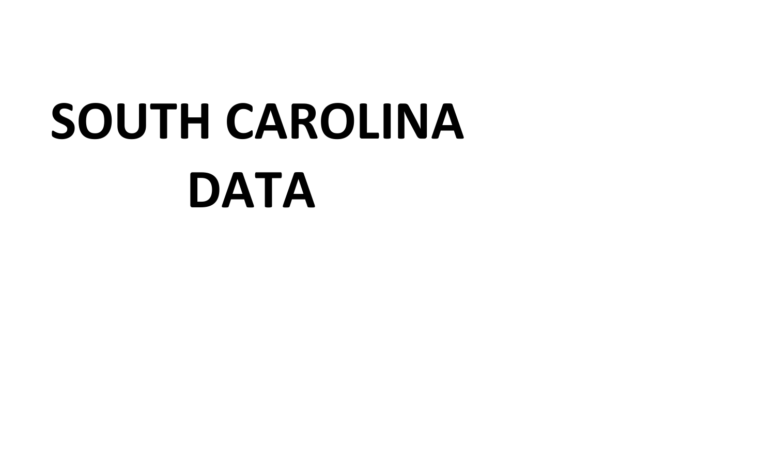## **SOUTH CAROLINA DATA**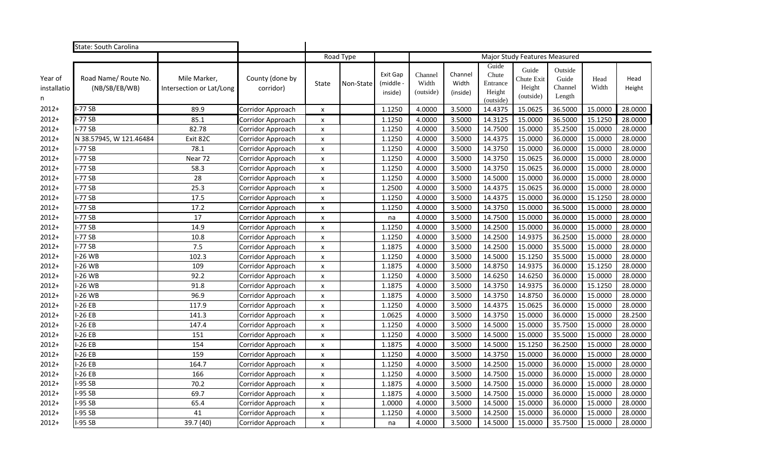|                             | State: South Carolina                 |                                          |                              |                           |           |                                  |                               |                              |                                                   |                                            |                                       |               |                |
|-----------------------------|---------------------------------------|------------------------------------------|------------------------------|---------------------------|-----------|----------------------------------|-------------------------------|------------------------------|---------------------------------------------------|--------------------------------------------|---------------------------------------|---------------|----------------|
|                             |                                       |                                          |                              |                           | Road Type |                                  |                               |                              |                                                   | <b>Major Study Features Measured</b>       |                                       |               |                |
| Year of<br>installatio<br>n | Road Name/ Route No.<br>(NB/SB/EB/WB) | Mile Marker,<br>Intersection or Lat/Long | County (done by<br>corridor) | <b>State</b>              | Non-State | Exit Gap<br>(middle -<br>inside) | Channel<br>Width<br>(outside) | Channel<br>Width<br>(inside) | Guide<br>Chute<br>Entrance<br>Height<br>(outside) | Guide<br>Chute Exit<br>Height<br>(outside) | Outside<br>Guide<br>Channel<br>Length | Head<br>Width | Head<br>Height |
| $2012+$                     | $I-77$ SB                             | 89.9                                     | Corridor Approach            | X                         |           | 1.1250                           | 4.0000                        | 3.5000                       | 14.4375                                           | 15.0625                                    | 36.5000                               | 15.0000       | 28.0000        |
| $2012+$                     | $I-77$ SB                             | 85.1                                     | Corridor Approach            | X                         |           | 1.1250                           | 4.0000                        | 3.5000                       | 14.3125                                           | 15.0000                                    | 36.5000                               | 15.1250       | 28.0000        |
| $2012+$                     | <b>I-77 SB</b>                        | 82.78                                    | Corridor Approach            | $\pmb{\times}$            |           | 1.1250                           | 4.0000                        | 3.5000                       | 14.7500                                           | 15.0000                                    | 35.2500                               | 15.0000       | 28.0000        |
| $2012+$                     | N 38.57945, W 121.46484               | Exit 82C                                 | Corridor Approach            | $\pmb{\times}$            |           | 1.1250                           | 4.0000                        | 3.5000                       | 14.4375                                           | 15.0000                                    | 36.0000                               | 15.0000       | 28.0000        |
| $2012+$                     | -77 SB                                | 78.1                                     | Corridor Approach            | $\pmb{\times}$            |           | 1.1250                           | 4.0000                        | 3.5000                       | 14.3750                                           | 15.0000                                    | 36.0000                               | 15.0000       | 28.0000        |
| $2012+$                     | <b>I-77 SB</b>                        | Near 72                                  | Corridor Approach            | X                         |           | 1.1250                           | 4.0000                        | 3.5000                       | 14.3750                                           | 15.0625                                    | 36.0000                               | 15.0000       | 28.0000        |
| $2012+$                     | $I-77$ SB                             | 58.3                                     | Corridor Approach            | $\pmb{\times}$            |           | 1.1250                           | 4.0000                        | 3.5000                       | 14.3750                                           | 15.0625                                    | 36.0000                               | 15.0000       | 28.0000        |
| $2012+$                     | <b>I-77 SB</b>                        | 28                                       | Corridor Approach            | $\pmb{\times}$            |           | 1.1250                           | 4.0000                        | 3.5000                       | 14.5000                                           | 15.0000                                    | 36.0000                               | 15.0000       | 28.0000        |
| $2012+$                     | $I-77$ SB                             | 25.3                                     | Corridor Approach            | $\pmb{\times}$            |           | 1.2500                           | 4.0000                        | 3.5000                       | 14.4375                                           | 15.0625                                    | 36.0000                               | 15.0000       | 28.0000        |
| $2012+$                     | <b>I-77 SB</b>                        | 17.5                                     | Corridor Approach            | $\pmb{\times}$            |           | 1.1250                           | 4.0000                        | 3.5000                       | 14.4375                                           | 15.0000                                    | 36.0000                               | 15.1250       | 28.0000        |
| $2012+$                     | -77 SB                                | 17.2                                     | Corridor Approach            | $\pmb{\times}$            |           | 1.1250                           | 4.0000                        | 3.5000                       | 14.3750                                           | 15.0000                                    | 36.5000                               | 15.0000       | 28.0000        |
| $2012+$                     | $I-77$ SB                             | 17                                       | Corridor Approach            | X                         |           | na                               | 4.0000                        | 3.5000                       | 14.7500                                           | 15.0000                                    | 36.0000                               | 15.0000       | 28.0000        |
| $2012+$                     | $I-77$ SB                             | 14.9                                     | Corridor Approach            | $\boldsymbol{\mathsf{x}}$ |           | 1.1250                           | 4.0000                        | 3.5000                       | 14.2500                                           | 15.0000                                    | 36.0000                               | 15.0000       | 28.0000        |
| $2012+$                     | $I-77$ SB                             | 10.8                                     | Corridor Approach            | $\pmb{\times}$            |           | 1.1250                           | 4.0000                        | 3.5000                       | 14.2500                                           | 14.9375                                    | 36.2500                               | 15.0000       | 28.0000        |
| $2012+$                     | $I-77$ SB                             | 7.5                                      | Corridor Approach            | $\pmb{\times}$            |           | 1.1875                           | 4.0000                        | 3.5000                       | 14.2500                                           | 15.0000                                    | 35.5000                               | 15.0000       | 28.0000        |
| $2012+$                     | <b>I-26 WB</b>                        | 102.3                                    | Corridor Approach            | $\pmb{\times}$            |           | 1.1250                           | 4.0000                        | 3.5000                       | 14.5000                                           | 15.1250                                    | 35.5000                               | 15.0000       | 28.0000        |
| $2012+$                     | -26 WB                                | 109                                      | Corridor Approach            | X                         |           | 1.1875                           | 4.0000                        | 3.5000                       | 14.8750                                           | 14.9375                                    | 36.0000                               | 15.1250       | 28.0000        |
| $2012+$                     | $-26$ WB                              | 92.2                                     | Corridor Approach            | $\pmb{\times}$            |           | 1.1250                           | 4.0000                        | 3.5000                       | 14.6250                                           | 14.6250                                    | 36.0000                               | 15.0000       | 28.0000        |
| $2012+$                     | -26 WB                                | 91.8                                     | Corridor Approach            | $\pmb{\times}$            |           | 1.1875                           | 4.0000                        | 3.5000                       | 14.3750                                           | 14.9375                                    | 36.0000                               | 15.1250       | 28.0000        |
| $2012+$                     | <b>I-26 WB</b>                        | 96.9                                     | Corridor Approach            | $\pmb{\times}$            |           | 1.1875                           | 4.0000                        | 3.5000                       | 14.3750                                           | 14.8750                                    | 36.0000                               | 15.0000       | 28.0000        |
| $2012+$                     | I-26 EB                               | 117.9                                    | Corridor Approach            | $\pmb{\times}$            |           | 1.1250                           | 4.0000                        | 3.5000                       | 14.4375                                           | 15.0625                                    | 36.0000                               | 15.0000       | 28.0000        |
| $2012+$                     | $-26EB$                               | 141.3                                    | Corridor Approach            | $\pmb{\times}$            |           | 1.0625                           | 4.0000                        | 3.5000                       | 14.3750                                           | 15.0000                                    | 36.0000                               | 15.0000       | 28.2500        |
| $2012+$                     | -26 EB                                | 147.4                                    | Corridor Approach            | X                         |           | 1.1250                           | 4.0000                        | 3.5000                       | 14.5000                                           | 15.0000                                    | 35.7500                               | 15.0000       | 28.0000        |
| $2012+$                     | <b>I-26 EB</b>                        | 151                                      | Corridor Approach            | $\pmb{\times}$            |           | 1.1250                           | 4.0000                        | 3.5000                       | 14.5000                                           | 15.0000                                    | 35.5000                               | 15.0000       | 28.0000        |
| $2012+$                     | $I-26EB$                              | 154                                      | Corridor Approach            | $\pmb{\times}$            |           | 1.1875                           | 4.0000                        | 3.5000                       | 14.5000                                           | 15.1250                                    | 36.2500                               | 15.0000       | 28.0000        |
| $2012+$                     | $-26EB$                               | 159                                      | Corridor Approach            | $\pmb{\times}$            |           | 1.1250                           | 4.0000                        | 3.5000                       | 14.3750                                           | 15.0000                                    | 36.0000                               | 15.0000       | 28.0000        |
| $2012+$                     | $-26EB$                               | 164.7                                    | Corridor Approach            | X                         |           | 1.1250                           | 4.0000                        | 3.5000                       | 14.2500                                           | 15.0000                                    | 36.0000                               | 15.0000       | 28.0000        |
| $2012+$                     | -26 EB                                | 166                                      | Corridor Approach            | $\pmb{\times}$            |           | 1.1250                           | 4.0000                        | 3.5000                       | 14.7500                                           | 15.0000                                    | 36.0000                               | 15.0000       | 28.0000        |
| $2012+$                     | <b>I-95 SB</b>                        | 70.2                                     | Corridor Approach            | $\pmb{\times}$            |           | 1.1875                           | 4.0000                        | 3.5000                       | 14.7500                                           | 15.0000                                    | 36.0000                               | 15.0000       | 28.0000        |
| $2012+$                     | -95 SB                                | 69.7                                     | Corridor Approach            | $\pmb{\times}$            |           | 1.1875                           | 4.0000                        | 3.5000                       | 14.7500                                           | 15.0000                                    | 36.0000                               | 15.0000       | 28.0000        |
| $2012+$                     | -95 SB                                | 65.4                                     | Corridor Approach            | X                         |           | 1.0000                           | 4.0000                        | 3.5000                       | 14.5000                                           | 15.0000                                    | 36.0000                               | 15.0000       | 28.0000        |
| $2012+$                     | -95 SB                                | 41                                       | Corridor Approach            | X                         |           | 1.1250                           | 4.0000                        | 3.5000                       | 14.2500                                           | 15.0000                                    | 36.0000                               | 15.0000       | 28.0000        |
| $2012+$                     | -95 SB                                | 39.7 (40)                                | Corridor Approach            | X                         |           | na                               | 4.0000                        | 3.5000                       | 14.5000                                           | 15.0000                                    | 35.7500                               | 15.0000       | 28.0000        |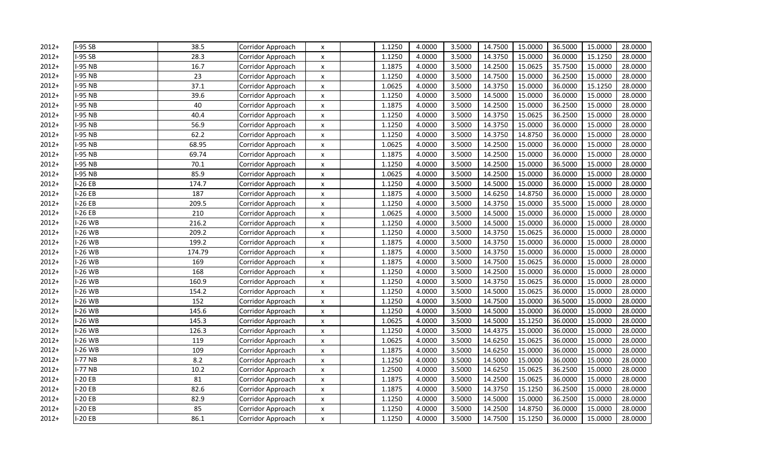| $2012+$ | I-95 SB  | 38.5   | Corridor Approach | X                         | 1.1250 | 4.0000 | 3.5000 | 14.7500 | 15.0000 | 36.5000 | 15.0000 | 28.0000 |
|---------|----------|--------|-------------------|---------------------------|--------|--------|--------|---------|---------|---------|---------|---------|
| $2012+$ | $-95$ SB | 28.3   | Corridor Approach | X                         | 1.1250 | 4.0000 | 3.5000 | 14.3750 | 15.0000 | 36.0000 | 15.1250 | 28.0000 |
| $2012+$ | -95 NB   | 16.7   | Corridor Approach | $\pmb{\mathsf{x}}$        | 1.1875 | 4.0000 | 3.5000 | 14.2500 | 15.0625 | 35.7500 | 15.0000 | 28.0000 |
| $2012+$ | -95 NB   | 23     | Corridor Approach | $\pmb{\times}$            | 1.1250 | 4.0000 | 3.5000 | 14.7500 | 15.0000 | 36.2500 | 15.0000 | 28.0000 |
| $2012+$ | -95 NB   | 37.1   | Corridor Approach | X                         | 1.0625 | 4.0000 | 3.5000 | 14.3750 | 15.0000 | 36.0000 | 15.1250 | 28.0000 |
| $2012+$ | -95 NB   | 39.6   | Corridor Approach | X                         | 1.1250 | 4.0000 | 3.5000 | 14.5000 | 15.0000 | 36.0000 | 15.0000 | 28.0000 |
| $2012+$ | -95 NB   | 40     | Corridor Approach | $\boldsymbol{\mathsf{x}}$ | 1.1875 | 4.0000 | 3.5000 | 14.2500 | 15.0000 | 36.2500 | 15.0000 | 28.0000 |
| $2012+$ | -95 NB   | 40.4   | Corridor Approach | $\boldsymbol{\mathsf{x}}$ | 1.1250 | 4.0000 | 3.5000 | 14.3750 | 15.0625 | 36.2500 | 15.0000 | 28.0000 |
| $2012+$ | -95 NB   | 56.9   | Corridor Approach | X                         | 1.1250 | 4.0000 | 3.5000 | 14.3750 | 15.0000 | 36.0000 | 15.0000 | 28.0000 |
| $2012+$ | -95 NB   | 62.2   | Corridor Approach | $\pmb{\times}$            | 1.1250 | 4.0000 | 3.5000 | 14.3750 | 14.8750 | 36.0000 | 15.0000 | 28.0000 |
| $2012+$ | -95 NB   | 68.95  | Corridor Approach | $\boldsymbol{\mathsf{x}}$ | 1.0625 | 4.0000 | 3.5000 | 14.2500 | 15.0000 | 36.0000 | 15.0000 | 28.0000 |
| $2012+$ | -95 NB   | 69.74  | Corridor Approach | X                         | 1.1875 | 4.0000 | 3.5000 | 14.2500 | 15.0000 | 36.0000 | 15.0000 | 28.0000 |
| $2012+$ | -95 NB   | 70.1   | Corridor Approach | X                         | 1.1250 | 4.0000 | 3.5000 | 14.2500 | 15.0000 | 36.5000 | 15.0000 | 28.0000 |
| $2012+$ | -95 NB   | 85.9   | Corridor Approach | X                         | 1.0625 | 4.0000 | 3.5000 | 14.2500 | 15.0000 | 36.0000 | 15.0000 | 28.0000 |
| $2012+$ | $-26EB$  | 174.7  | Corridor Approach | $\pmb{\times}$            | 1.1250 | 4.0000 | 3.5000 | 14.5000 | 15.0000 | 36.0000 | 15.0000 | 28.0000 |
| $2012+$ | -26 EB   | 187    | Corridor Approach | X                         | 1.1875 | 4.0000 | 3.5000 | 14.6250 | 14.8750 | 36.0000 | 15.0000 | 28.0000 |
| $2012+$ | $-26EB$  | 209.5  | Corridor Approach | $\boldsymbol{\mathsf{x}}$ | 1.1250 | 4.0000 | 3.5000 | 14.3750 | 15.0000 | 35.5000 | 15.0000 | 28.0000 |
| $2012+$ | $-26EB$  | 210    | Corridor Approach | X                         | 1.0625 | 4.0000 | 3.5000 | 14.5000 | 15.0000 | 36.0000 | 15.0000 | 28.0000 |
| $2012+$ | -26 WB   | 216.2  | Corridor Approach | $\pmb{\times}$            | 1.1250 | 4.0000 | 3.5000 | 14.5000 | 15.0000 | 36.0000 | 15.0000 | 28.0000 |
| $2012+$ | $-26$ WB | 209.2  | Corridor Approach | $\boldsymbol{\mathsf{x}}$ | 1.1250 | 4.0000 | 3.5000 | 14.3750 | 15.0625 | 36.0000 | 15.0000 | 28.0000 |
| $2012+$ | $-26$ WB | 199.2  | Corridor Approach | X                         | 1.1875 | 4.0000 | 3.5000 | 14.3750 | 15.0000 | 36.0000 | 15.0000 | 28.0000 |
| $2012+$ | -26 WB   | 174.79 | Corridor Approach | $\pmb{\times}$            | 1.1875 | 4.0000 | 3.5000 | 14.3750 | 15.0000 | 36.0000 | 15.0000 | 28.0000 |
| $2012+$ | -26 WB   | 169    | Corridor Approach | X                         | 1.1875 | 4.0000 | 3.5000 | 14.7500 | 15.0625 | 36.0000 | 15.0000 | 28.0000 |
| $2012+$ | -26 WB   | 168    | Corridor Approach | $\pmb{\times}$            | 1.1250 | 4.0000 | 3.5000 | 14.2500 | 15.0000 | 36.0000 | 15.0000 | 28.0000 |
| $2012+$ | $-26$ WB | 160.9  | Corridor Approach | $\boldsymbol{\mathsf{x}}$ | 1.1250 | 4.0000 | 3.5000 | 14.3750 | 15.0625 | 36.0000 | 15.0000 | 28.0000 |
| $2012+$ | -26 WB   | 154.2  | Corridor Approach | $\pmb{\mathsf{x}}$        | 1.1250 | 4.0000 | 3.5000 | 14.5000 | 15.0625 | 36.0000 | 15.0000 | 28.0000 |
| $2012+$ | $-26$ WB | 152    | Corridor Approach | $\pmb{\times}$            | 1.1250 | 4.0000 | 3.5000 | 14.7500 | 15.0000 | 36.5000 | 15.0000 | 28.0000 |
| $2012+$ | $-26$ WB | 145.6  | Corridor Approach | $\pmb{\times}$            | 1.1250 | 4.0000 | 3.5000 | 14.5000 | 15.0000 | 36.0000 | 15.0000 | 28.0000 |
| $2012+$ | $-26$ WB | 145.3  | Corridor Approach | X                         | 1.0625 | 4.0000 | 3.5000 | 14.5000 | 15.1250 | 36.0000 | 15.0000 | 28.0000 |
| $2012+$ | -26 WB   | 126.3  | Corridor Approach | X                         | 1.1250 | 4.0000 | 3.5000 | 14.4375 | 15.0000 | 36.0000 | 15.0000 | 28.0000 |
| $2012+$ | $-26$ WB | 119    | Corridor Approach | $\boldsymbol{\mathsf{x}}$ | 1.0625 | 4.0000 | 3.5000 | 14.6250 | 15.0625 | 36.0000 | 15.0000 | 28.0000 |
| $2012+$ | $-26$ WB | 109    | Corridor Approach | $\boldsymbol{\mathsf{x}}$ | 1.1875 | 4.0000 | 3.5000 | 14.6250 | 15.0000 | 36.0000 | 15.0000 | 28.0000 |
| $2012+$ | $-77$ NB | 8.2    | Corridor Approach | X                         | 1.1250 | 4.0000 | 3.5000 | 14.5000 | 15.0000 | 36.0000 | 15.0000 | 28.0000 |
| $2012+$ | -77 NB   | 10.2   | Corridor Approach | $\boldsymbol{\mathsf{x}}$ | 1.2500 | 4.0000 | 3.5000 | 14.6250 | 15.0625 | 36.2500 | 15.0000 | 28.0000 |
| $2012+$ | $-20EB$  | 81     | Corridor Approach | $\boldsymbol{\mathsf{x}}$ | 1.1875 | 4.0000 | 3.5000 | 14.2500 | 15.0625 | 36.0000 | 15.0000 | 28.0000 |
| $2012+$ | $-20EB$  | 82.6   | Corridor Approach | $\pmb{\times}$            | 1.1875 | 4.0000 | 3.5000 | 14.3750 | 15.1250 | 36.2500 | 15.0000 | 28.0000 |
| $2012+$ | $-20EB$  | 82.9   | Corridor Approach | X                         | 1.1250 | 4.0000 | 3.5000 | 14.5000 | 15.0000 | 36.2500 | 15.0000 | 28.0000 |
| $2012+$ | $-20EB$  | 85     | Corridor Approach | $\pmb{\times}$            | 1.1250 | 4.0000 | 3.5000 | 14.2500 | 14.8750 | 36.0000 | 15.0000 | 28.0000 |
| $2012+$ | $-20EB$  | 86.1   | Corridor Approach | $\boldsymbol{\mathsf{x}}$ | 1.1250 | 4.0000 | 3.5000 | 14.7500 | 15.1250 | 36.0000 | 15.0000 | 28.0000 |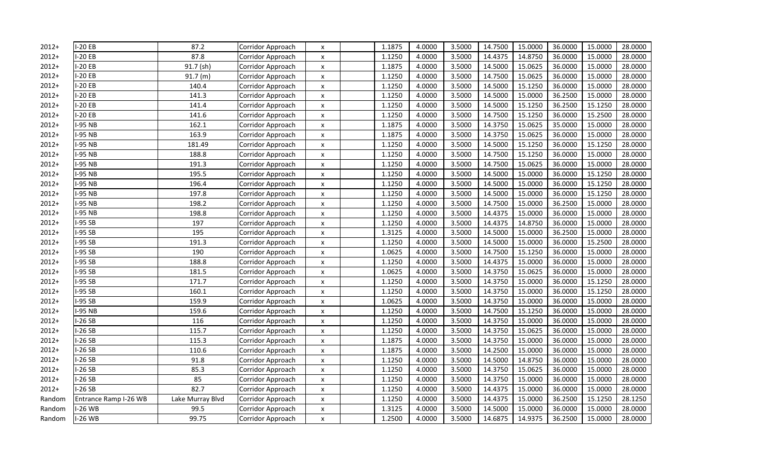| $2012+$ | $-20EB$               | 87.2             | Corridor Approach | X                         | 1.1875 | 4.0000 | 3.5000 | 14.7500 | 15.0000 | 36.0000 | 15.0000 | 28.0000 |
|---------|-----------------------|------------------|-------------------|---------------------------|--------|--------|--------|---------|---------|---------|---------|---------|
| $2012+$ | $-20EB$               | 87.8             | Corridor Approach | $\pmb{\times}$            | 1.1250 | 4.0000 | 3.5000 | 14.4375 | 14.8750 | 36.0000 | 15.0000 | 28.0000 |
| $2012+$ | $-20EB$               | 91.7 (sh)        | Corridor Approach | $\pmb{\times}$            | 1.1875 | 4.0000 | 3.5000 | 14.5000 | 15.0625 | 36.0000 | 15.0000 | 28.0000 |
| $2012+$ | $-20EB$               | 91.7(m)          | Corridor Approach | $\pmb{\times}$            | 1.1250 | 4.0000 | 3.5000 | 14.7500 | 15.0625 | 36.0000 | 15.0000 | 28.0000 |
| $2012+$ | $-20EB$               | 140.4            | Corridor Approach | $\pmb{\times}$            | 1.1250 | 4.0000 | 3.5000 | 14.5000 | 15.1250 | 36.0000 | 15.0000 | 28.0000 |
| $2012+$ | $-20EB$               | 141.3            | Corridor Approach | $\boldsymbol{\mathsf{x}}$ | 1.1250 | 4.0000 | 3.5000 | 14.5000 | 15.0000 | 36.2500 | 15.0000 | 28.0000 |
| $2012+$ | $-20EB$               | 141.4            | Corridor Approach | $\boldsymbol{\mathsf{x}}$ | 1.1250 | 4.0000 | 3.5000 | 14.5000 | 15.1250 | 36.2500 | 15.1250 | 28.0000 |
| $2012+$ | $-20EB$               | 141.6            | Corridor Approach | $\boldsymbol{\mathsf{x}}$ | 1.1250 | 4.0000 | 3.5000 | 14.7500 | 15.1250 | 36.0000 | 15.2500 | 28.0000 |
| $2012+$ | $-95$ NB              | 162.1            | Corridor Approach | X                         | 1.1875 | 4.0000 | 3.5000 | 14.3750 | 15.0625 | 35.0000 | 15.0000 | 28.0000 |
| $2012+$ | -95 NB                | 163.9            | Corridor Approach | $\boldsymbol{\mathsf{x}}$ | 1.1875 | 4.0000 | 3.5000 | 14.3750 | 15.0625 | 36.0000 | 15.0000 | 28.0000 |
| $2012+$ | -95 NB                | 181.49           | Corridor Approach | $\pmb{\times}$            | 1.1250 | 4.0000 | 3.5000 | 14.5000 | 15.1250 | 36.0000 | 15.1250 | 28.0000 |
| $2012+$ | -95 NB                | 188.8            | Corridor Approach | X                         | 1.1250 | 4.0000 | 3.5000 | 14.7500 | 15.1250 | 36.0000 | 15.0000 | 28.0000 |
| $2012+$ | -95 NB                | 191.3            | Corridor Approach | X                         | 1.1250 | 4.0000 | 3.5000 | 14.7500 | 15.0625 | 36.0000 | 15.0000 | 28.0000 |
| $2012+$ | -95 NB                | 195.5            | Corridor Approach | $\pmb{\times}$            | 1.1250 | 4.0000 | 3.5000 | 14.5000 | 15.0000 | 36.0000 | 15.1250 | 28.0000 |
| $2012+$ | -95 NB                | 196.4            | Corridor Approach | $\boldsymbol{\mathsf{x}}$ | 1.1250 | 4.0000 | 3.5000 | 14.5000 | 15.0000 | 36.0000 | 15.1250 | 28.0000 |
| $2012+$ | -95 NB                | 197.8            | Corridor Approach | $\boldsymbol{\mathsf{x}}$ | 1.1250 | 4.0000 | 3.5000 | 14.5000 | 15.0000 | 36.0000 | 15.1250 | 28.0000 |
| $2012+$ | -95 NB                | 198.2            | Corridor Approach | X                         | 1.1250 | 4.0000 | 3.5000 | 14.7500 | 15.0000 | 36.2500 | 15.0000 | 28.0000 |
| $2012+$ | -95 NB                | 198.8            | Corridor Approach | X                         | 1.1250 | 4.0000 | 3.5000 | 14.4375 | 15.0000 | 36.0000 | 15.0000 | 28.0000 |
| $2012+$ | -95 SB                | 197              | Corridor Approach | $\boldsymbol{\mathsf{x}}$ | 1.1250 | 4.0000 | 3.5000 | 14.4375 | 14.8750 | 36.0000 | 15.0000 | 28.0000 |
| $2012+$ | -95 SB                | 195              | Corridor Approach | $\pmb{\times}$            | 1.3125 | 4.0000 | 3.5000 | 14.5000 | 15.0000 | 36.2500 | 15.0000 | 28.0000 |
| $2012+$ | $-95SB$               | 191.3            | Corridor Approach | X                         | 1.1250 | 4.0000 | 3.5000 | 14.5000 | 15.0000 | 36.0000 | 15.2500 | 28.0000 |
| $2012+$ | -95 SB                | 190              | Corridor Approach | $\pmb{\times}$            | 1.0625 | 4.0000 | 3.5000 | 14.7500 | 15.1250 | 36.0000 | 15.0000 | 28.0000 |
| $2012+$ | -95 SB                | 188.8            | Corridor Approach | $\pmb{\times}$            | 1.1250 | 4.0000 | 3.5000 | 14.4375 | 15.0000 | 36.0000 | 15.0000 | 28.0000 |
| $2012+$ | $-95SB$               | 181.5            | Corridor Approach | $\pmb{\times}$            | 1.0625 | 4.0000 | 3.5000 | 14.3750 | 15.0625 | 36.0000 | 15.0000 | 28.0000 |
| $2012+$ | $-95SB$               | 171.7            | Corridor Approach | X                         | 1.1250 | 4.0000 | 3.5000 | 14.3750 | 15.0000 | 36.0000 | 15.1250 | 28.0000 |
| $2012+$ | $-95SB$               | 160.1            | Corridor Approach | $\pmb{\times}$            | 1.1250 | 4.0000 | 3.5000 | 14.3750 | 15.0000 | 36.0000 | 15.1250 | 28.0000 |
| $2012+$ | $-95SB$               | 159.9            | Corridor Approach | $\boldsymbol{\mathsf{x}}$ | 1.0625 | 4.0000 | 3.5000 | 14.3750 | 15.0000 | 36.0000 | 15.0000 | 28.0000 |
| $2012+$ | -95 NB                | 159.6            | Corridor Approach | $\boldsymbol{\mathsf{x}}$ | 1.1250 | 4.0000 | 3.5000 | 14.7500 | 15.1250 | 36.0000 | 15.0000 | 28.0000 |
| $2012+$ | $-26SB$               | 116              | Corridor Approach | $\pmb{\times}$            | 1.1250 | 4.0000 | 3.5000 | 14.3750 | 15.0000 | 36.0000 | 15.0000 | 28.0000 |
| $2012+$ | $-26SB$               | 115.7            | Corridor Approach | X                         | 1.1250 | 4.0000 | 3.5000 | 14.3750 | 15.0625 | 36.0000 | 15.0000 | 28.0000 |
| $2012+$ | $-26SB$               | 115.3            | Corridor Approach | $\boldsymbol{\mathsf{x}}$ | 1.1875 | 4.0000 | 3.5000 | 14.3750 | 15.0000 | 36.0000 | 15.0000 | 28.0000 |
| $2012+$ | $-26SB$               | 110.6            | Corridor Approach | $\boldsymbol{\mathsf{x}}$ | 1.1875 | 4.0000 | 3.5000 | 14.2500 | 15.0000 | 36.0000 | 15.0000 | 28.0000 |
| $2012+$ | $-26SB$               | 91.8             | Corridor Approach | X                         | 1.1250 | 4.0000 | 3.5000 | 14.5000 | 14.8750 | 36.0000 | 15.0000 | 28.0000 |
| $2012+$ | $-26SB$               | 85.3             | Corridor Approach | X                         | 1.1250 | 4.0000 | 3.5000 | 14.3750 | 15.0625 | 36.0000 | 15.0000 | 28.0000 |
| $2012+$ | $-26SB$               | 85               | Corridor Approach | $\pmb{\times}$            | 1.1250 | 4.0000 | 3.5000 | 14.3750 | 15.0000 | 36.0000 | 15.0000 | 28.0000 |
| $2012+$ | $-26SB$               | 82.7             | Corridor Approach | $\boldsymbol{\mathsf{x}}$ | 1.1250 | 4.0000 | 3.5000 | 14.4375 | 15.0000 | 36.0000 | 15.0000 | 28.0000 |
| Random  | Entrance Ramp I-26 WB | Lake Murray Blvd | Corridor Approach | X                         | 1.1250 | 4.0000 | 3.5000 | 14.4375 | 15.0000 | 36.2500 | 15.1250 | 28.1250 |
| Random  | $-26$ WB              | 99.5             | Corridor Approach | $\pmb{\times}$            | 1.3125 | 4.0000 | 3.5000 | 14.5000 | 15.0000 | 36.0000 | 15.0000 | 28.0000 |
| Random  | $-26$ WB              | 99.75            | Corridor Approach | $\boldsymbol{\mathsf{x}}$ | 1.2500 | 4.0000 | 3.5000 | 14.6875 | 14.9375 | 36.2500 | 15.0000 | 28.0000 |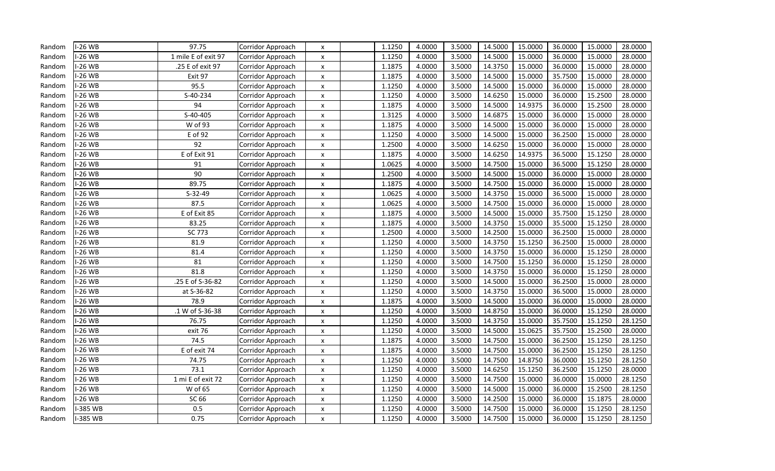| Random | -26 WB        | 97.75                     | Corridor Approach | $\boldsymbol{\mathsf{x}}$ | 1.1250 | 4.0000 | 3.5000 | 14.5000 | 15.0000 | 36.0000 | 15.0000 | 28.0000 |
|--------|---------------|---------------------------|-------------------|---------------------------|--------|--------|--------|---------|---------|---------|---------|---------|
| Random | $-26$ WB      | 1 mile E of exit 97       | Corridor Approach | X                         | 1.1250 | 4.0000 | 3.5000 | 14.5000 | 15.0000 | 36.0000 | 15.0000 | 28.0000 |
| Random | <b>-26 WB</b> | .25 E of exit 97          | Corridor Approach | X                         | 1.1875 | 4.0000 | 3.5000 | 14.3750 | 15.0000 | 36.0000 | 15.0000 | 28.0000 |
| Random | $-26$ WB      | Exit 97                   | Corridor Approach | X                         | 1.1875 | 4.0000 | 3.5000 | 14.5000 | 15.0000 | 35.7500 | 15.0000 | 28.0000 |
| Random | -26 WB        | 95.5                      | Corridor Approach | $\boldsymbol{\mathsf{x}}$ | 1.1250 | 4.0000 | 3.5000 | 14.5000 | 15.0000 | 36.0000 | 15.0000 | 28.0000 |
| Random | $-26$ WB      | $\overline{S} - 40 - 234$ | Corridor Approach | $\boldsymbol{\mathsf{x}}$ | 1.1250 | 4.0000 | 3.5000 | 14.6250 | 15.0000 | 36.0000 | 15.2500 | 28.0000 |
| Random | $-26$ WB      | 94                        | Corridor Approach | X                         | 1.1875 | 4.0000 | 3.5000 | 14.5000 | 14.9375 | 36.0000 | 15.2500 | 28.0000 |
| Random | $-26$ WB      | S-40-405                  | Corridor Approach | $\boldsymbol{\mathsf{x}}$ | 1.3125 | 4.0000 | 3.5000 | 14.6875 | 15.0000 | 36.0000 | 15.0000 | 28.0000 |
| Random | $-26$ WB      | W of 93                   | Corridor Approach | $\boldsymbol{\mathsf{x}}$ | 1.1875 | 4.0000 | 3.5000 | 14.5000 | 15.0000 | 36.0000 | 15.0000 | 28.0000 |
| Random | $-26$ WB      | E of 92                   | Corridor Approach | X                         | 1.1250 | 4.0000 | 3.5000 | 14.5000 | 15.0000 | 36.2500 | 15.0000 | 28.0000 |
| Random | -26 WB        | 92                        | Corridor Approach | X                         | 1.2500 | 4.0000 | 3.5000 | 14.6250 | 15.0000 | 36.0000 | 15.0000 | 28.0000 |
| Random | -26 WB        | E of Exit 91              | Corridor Approach | $\boldsymbol{\mathsf{x}}$ | 1.1875 | 4.0000 | 3.5000 | 14.6250 | 14.9375 | 36.5000 | 15.1250 | 28.0000 |
| Random | -26 WB        | 91                        | Corridor Approach | X                         | 1.0625 | 4.0000 | 3.5000 | 14.7500 | 15.0000 | 36.5000 | 15.1250 | 28.0000 |
| Random | $-26$ WB      | 90                        | Corridor Approach | $\boldsymbol{\mathsf{x}}$ | 1.2500 | 4.0000 | 3.5000 | 14.5000 | 15.0000 | 36.0000 | 15.0000 | 28.0000 |
| Random | $-26$ WB      | 89.75                     | Corridor Approach | X                         | 1.1875 | 4.0000 | 3.5000 | 14.7500 | 15.0000 | 36.0000 | 15.0000 | 28.0000 |
| Random | -26 WB        | $S-32-49$                 | Corridor Approach | $\boldsymbol{\mathsf{x}}$ | 1.0625 | 4.0000 | 3.5000 | 14.3750 | 15.0000 | 36.5000 | 15.0000 | 28.0000 |
| Random | -26 WB        | 87.5                      | Corridor Approach | $\pmb{\times}$            | 1.0625 | 4.0000 | 3.5000 | 14.7500 | 15.0000 | 36.0000 | 15.0000 | 28.0000 |
| Random | -26 WB        | E of Exit 85              | Corridor Approach | X                         | 1.1875 | 4.0000 | 3.5000 | 14.5000 | 15.0000 | 35.7500 | 15.1250 | 28.0000 |
| Random | $-26$ WB      | 83.25                     | Corridor Approach | X                         | 1.1875 | 4.0000 | 3.5000 | 14.3750 | 15.0000 | 35.5000 | 15.1250 | 28.0000 |
| Random | -26 WB        | SC 773                    | Corridor Approach | $\boldsymbol{\mathsf{x}}$ | 1.2500 | 4.0000 | 3.5000 | 14.2500 | 15.0000 | 36.2500 | 15.0000 | 28.0000 |
| Random | $-26$ WB      | 81.9                      | Corridor Approach | $\boldsymbol{\mathsf{x}}$ | 1.1250 | 4.0000 | 3.5000 | 14.3750 | 15.1250 | 36.2500 | 15.0000 | 28.0000 |
| Random | $-26$ WB      | 81.4                      | Corridor Approach | X                         | 1.1250 | 4.0000 | 3.5000 | 14.3750 | 15.0000 | 36.0000 | 15.1250 | 28.0000 |
| Random | -26 WB        | 81                        | Corridor Approach | X                         | 1.1250 | 4.0000 | 3.5000 | 14.7500 | 15.1250 | 36.0000 | 15.1250 | 28.0000 |
| Random | -26 WB        | 81.8                      | Corridor Approach | $\boldsymbol{\mathsf{x}}$ | 1.1250 | 4.0000 | 3.5000 | 14.3750 | 15.0000 | 36.0000 | 15.1250 | 28.0000 |
| Random | $-26$ WB      | 25 E of S-36-82           | Corridor Approach | X                         | 1.1250 | 4.0000 | 3.5000 | 14.5000 | 15.0000 | 36.2500 | 15.0000 | 28.0000 |
| Random | $-26$ WB      | at S-36-82                | Corridor Approach | X                         | 1.1250 | 4.0000 | 3.5000 | 14.3750 | 15.0000 | 36.5000 | 15.0000 | 28.0000 |
| Random | $-26$ WB      | 78.9                      | Corridor Approach | $\boldsymbol{\mathsf{x}}$ | 1.1875 | 4.0000 | 3.5000 | 14.5000 | 15.0000 | 36.0000 | 15.0000 | 28.0000 |
| Random | $-26$ WB      | .1 W of S-36-38           | Corridor Approach | $\boldsymbol{\mathsf{x}}$ | 1.1250 | 4.0000 | 3.5000 | 14.8750 | 15.0000 | 36.0000 | 15.1250 | 28.0000 |
| Random | $-26$ WB      | 76.75                     | Corridor Approach | X                         | 1.1250 | 4.0000 | 3.5000 | 14.3750 | 15.0000 | 35.7500 | 15.1250 | 28.1250 |
| Random | $-26$ WB      | exit 76                   | Corridor Approach | X                         | 1.1250 | 4.0000 | 3.5000 | 14.5000 | 15.0625 | 35.7500 | 15.2500 | 28.0000 |
| Random | -26 WB        | 74.5                      | Corridor Approach | X                         | 1.1875 | 4.0000 | 3.5000 | 14.7500 | 15.0000 | 36.2500 | 15.1250 | 28.1250 |
| Random | $-26$ WB      | E of exit 74              | Corridor Approach | $\boldsymbol{\mathsf{x}}$ | 1.1875 | 4.0000 | 3.5000 | 14.7500 | 15.0000 | 36.2500 | 15.1250 | 28.1250 |
| Random | $-26$ WB      | 74.75                     | Corridor Approach | X                         | 1.1250 | 4.0000 | 3.5000 | 14.7500 | 14.8750 | 36.0000 | 15.1250 | 28.1250 |
| Random | $-26$ WB      | 73.1                      | Corridor Approach | X                         | 1.1250 | 4.0000 | 3.5000 | 14.6250 | 15.1250 | 36.2500 | 15.1250 | 28.0000 |
| Random | -26 WB        | 1 mi E of exit 72         | Corridor Approach | X                         | 1.1250 | 4.0000 | 3.5000 | 14.7500 | 15.0000 | 36.0000 | 15.0000 | 28.1250 |
| Random | -26 WB        | W of 65                   | Corridor Approach | X                         | 1.1250 | 4.0000 | 3.5000 | 14.5000 | 15.0000 | 36.0000 | 15.2500 | 28.1250 |
| Random | $-26$ WB      | SC 66                     | Corridor Approach | X                         | 1.1250 | 4.0000 | 3.5000 | 14.2500 | 15.0000 | 36.0000 | 15.1875 | 28.0000 |
| Random | -385 WB       | 0.5                       | Corridor Approach | $\boldsymbol{\mathsf{x}}$ | 1.1250 | 4.0000 | 3.5000 | 14.7500 | 15.0000 | 36.0000 | 15.1250 | 28.1250 |
| Random | I-385 WB      | 0.75                      | Corridor Approach | $\boldsymbol{\mathsf{x}}$ | 1.1250 | 4.0000 | 3.5000 | 14.7500 | 15.0000 | 36.0000 | 15.1250 | 28.1250 |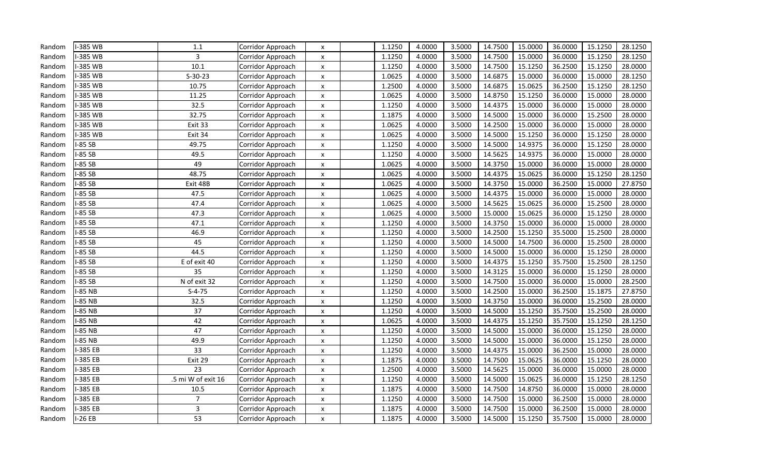| Random | -385 WB  | 1.1                | Corridor Approach | X                         | 1.1250 | 4.0000 | 3.5000 | 14.7500 | 15.0000 | 36.0000 | 15.1250 | 28.1250 |
|--------|----------|--------------------|-------------------|---------------------------|--------|--------|--------|---------|---------|---------|---------|---------|
| Random | -385 WB  | 3                  | Corridor Approach | X                         | 1.1250 | 4.0000 | 3.5000 | 14.7500 | 15.0000 | 36.0000 | 15.1250 | 28.1250 |
| Random | -385 WB  | 10.1               | Corridor Approach | X                         | 1.1250 | 4.0000 | 3.5000 | 14.7500 | 15.1250 | 36.2500 | 15.1250 | 28.0000 |
| Random | -385 WB  | $S-30-23$          | Corridor Approach | X                         | 1.0625 | 4.0000 | 3.5000 | 14.6875 | 15.0000 | 36.0000 | 15.0000 | 28.1250 |
| Random | -385 WB  | 10.75              | Corridor Approach | $\pmb{\times}$            | 1.2500 | 4.0000 | 3.5000 | 14.6875 | 15.0625 | 36.2500 | 15.1250 | 28.1250 |
| Random | -385 WB  | 11.25              | Corridor Approach | $\boldsymbol{\mathsf{x}}$ | 1.0625 | 4.0000 | 3.5000 | 14.8750 | 15.1250 | 36.0000 | 15.0000 | 28.0000 |
| Random | -385 WB  | 32.5               | Corridor Approach | X                         | 1.1250 | 4.0000 | 3.5000 | 14.4375 | 15.0000 | 36.0000 | 15.0000 | 28.0000 |
| Random | -385 WB  | 32.75              | Corridor Approach | X                         | 1.1875 | 4.0000 | 3.5000 | 14.5000 | 15.0000 | 36.0000 | 15.2500 | 28.0000 |
| Random | -385 WB  | Exit 33            | Corridor Approach | X                         | 1.0625 | 4.0000 | 3.5000 | 14.2500 | 15.0000 | 36.0000 | 15.0000 | 28.0000 |
| Random | -385 WB  | Exit 34            | Corridor Approach | X                         | 1.0625 | 4.0000 | 3.5000 | 14.5000 | 15.1250 | 36.0000 | 15.1250 | 28.0000 |
| Random | -85 SB   | 49.75              | Corridor Approach | X                         | 1.1250 | 4.0000 | 3.5000 | 14.5000 | 14.9375 | 36.0000 | 15.1250 | 28.0000 |
| Random | $-85SB$  | 49.5               | Corridor Approach | X                         | 1.1250 | 4.0000 | 3.5000 | 14.5625 | 14.9375 | 36.0000 | 15.0000 | 28.0000 |
| Random | $-85SB$  | 49                 | Corridor Approach | X                         | 1.0625 | 4.0000 | 3.5000 | 14.3750 | 15.0000 | 36.0000 | 15.0000 | 28.0000 |
| Random | $-85SB$  | 48.75              | Corridor Approach | X                         | 1.0625 | 4.0000 | 3.5000 | 14.4375 | 15.0625 | 36.0000 | 15.1250 | 28.1250 |
| Random | $-85SB$  | Exit 48B           | Corridor Approach | X                         | 1.0625 | 4.0000 | 3.5000 | 14.3750 | 15.0000 | 36.2500 | 15.0000 | 27.8750 |
| Random | $-85SB$  | 47.5               | Corridor Approach | X                         | 1.0625 | 4.0000 | 3.5000 | 14.4375 | 15.0000 | 36.0000 | 15.0000 | 28.0000 |
| Random | $-85SB$  | 47.4               | Corridor Approach | $\pmb{\times}$            | 1.0625 | 4.0000 | 3.5000 | 14.5625 | 15.0625 | 36.0000 | 15.2500 | 28.0000 |
| Random | $-85SB$  | 47.3               | Corridor Approach | X                         | 1.0625 | 4.0000 | 3.5000 | 15.0000 | 15.0625 | 36.0000 | 15.1250 | 28.0000 |
| Random | $-85SB$  | 47.1               | Corridor Approach | X                         | 1.1250 | 4.0000 | 3.5000 | 14.3750 | 15.0000 | 36.0000 | 15.0000 | 28.0000 |
| Random | $-85SB$  | 46.9               | Corridor Approach | X                         | 1.1250 | 4.0000 | 3.5000 | 14.2500 | 15.1250 | 35.5000 | 15.2500 | 28.0000 |
| Random | $-85SB$  | 45                 | Corridor Approach | X                         | 1.1250 | 4.0000 | 3.5000 | 14.5000 | 14.7500 | 36.0000 | 15.2500 | 28.0000 |
| Random | $-85SB$  | 44.5               | Corridor Approach | X                         | 1.1250 | 4.0000 | 3.5000 | 14.5000 | 15.0000 | 36.0000 | 15.1250 | 28.0000 |
| Random | -85 SB   | E of exit 40       | Corridor Approach | X                         | 1.1250 | 4.0000 | 3.5000 | 14.4375 | 15.1250 | 35.7500 | 15.2500 | 28.1250 |
| Random | $-85SB$  | 35                 | Corridor Approach | $\pmb{\times}$            | 1.1250 | 4.0000 | 3.5000 | 14.3125 | 15.0000 | 36.0000 | 15.1250 | 28.0000 |
| Random | $-85SB$  | N of exit 32       | Corridor Approach | X                         | 1.1250 | 4.0000 | 3.5000 | 14.7500 | 15.0000 | 36.0000 | 15.0000 | 28.2500 |
| Random | $-85$ NB | $S-4-75$           | Corridor Approach | X                         | 1.1250 | 4.0000 | 3.5000 | 14.2500 | 15.0000 | 36.2500 | 15.1875 | 27.8750 |
| Random | $-85$ NB | 32.5               | Corridor Approach | $\pmb{\times}$            | 1.1250 | 4.0000 | 3.5000 | 14.3750 | 15.0000 | 36.0000 | 15.2500 | 28.0000 |
| Random | -85 NB   | 37                 | Corridor Approach | $\pmb{\times}$            | 1.1250 | 4.0000 | 3.5000 | 14.5000 | 15.1250 | 35.7500 | 15.2500 | 28.0000 |
| Random | -85 NB   | 42                 | Corridor Approach | X                         | 1.0625 | 4.0000 | 3.5000 | 14.4375 | 15.1250 | 35.7500 | 15.1250 | 28.1250 |
| Random | -85 NB   | 47                 | Corridor Approach | X                         | 1.1250 | 4.0000 | 3.5000 | 14.5000 | 15.0000 | 36.0000 | 15.1250 | 28.0000 |
| Random | -85 NB   | 49.9               | Corridor Approach | X                         | 1.1250 | 4.0000 | 3.5000 | 14.5000 | 15.0000 | 36.0000 | 15.1250 | 28.0000 |
| Random | -385 EB  | 33                 | Corridor Approach | $\boldsymbol{\mathsf{x}}$ | 1.1250 | 4.0000 | 3.5000 | 14.4375 | 15.0000 | 36.2500 | 15.0000 | 28.0000 |
| Random | -385 EB  | Exit 29            | Corridor Approach | X                         | 1.1875 | 4.0000 | 3.5000 | 14.7500 | 15.0625 | 36.0000 | 15.1250 | 28.0000 |
| Random | -385 EB  | 23                 | Corridor Approach | X                         | 1.2500 | 4.0000 | 3.5000 | 14.5625 | 15.0000 | 36.0000 | 15.0000 | 28.0000 |
| Random | -385 EB  | .5 mi W of exit 16 | Corridor Approach | X                         | 1.1250 | 4.0000 | 3.5000 | 14.5000 | 15.0625 | 36.0000 | 15.1250 | 28.1250 |
| Random | -385 EB  | 10.5               | Corridor Approach | X                         | 1.1875 | 4.0000 | 3.5000 | 14.7500 | 14.8750 | 36.0000 | 15.0000 | 28.0000 |
| Random | -385 EB  | $\overline{7}$     | Corridor Approach | X                         | 1.1250 | 4.0000 | 3.5000 | 14.7500 | 15.0000 | 36.2500 | 15.0000 | 28.0000 |
| Random | -385 EB  | 3                  | Corridor Approach | X                         | 1.1875 | 4.0000 | 3.5000 | 14.7500 | 15.0000 | 36.2500 | 15.0000 | 28.0000 |
| Random | $-26EB$  | 53                 | Corridor Approach | X                         | 1.1875 | 4.0000 | 3.5000 | 14.5000 | 15.1250 | 35.7500 | 15.0000 | 28.0000 |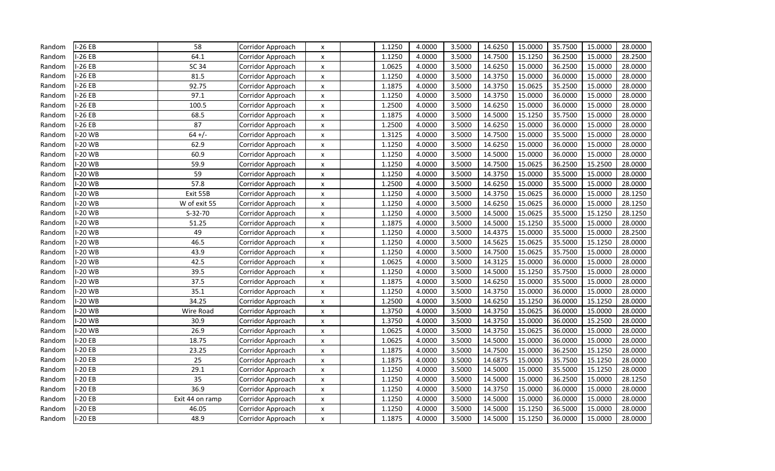| Random | $-26EB$        | 58              | Corridor Approach | $\boldsymbol{\mathsf{x}}$ | 1.1250 | 4.0000 | 3.5000 | 14.6250 | 15.0000 | 35.7500 | 15.0000 | 28.0000 |
|--------|----------------|-----------------|-------------------|---------------------------|--------|--------|--------|---------|---------|---------|---------|---------|
| Random | $-26EB$        | 64.1            | Corridor Approach | $\boldsymbol{\mathsf{x}}$ | 1.1250 | 4.0000 | 3.5000 | 14.7500 | 15.1250 | 36.2500 | 15.0000 | 28.2500 |
| Random | $-26EB$        | SC 34           | Corridor Approach | $\boldsymbol{\mathsf{x}}$ | 1.0625 | 4.0000 | 3.5000 | 14.6250 | 15.0000 | 36.2500 | 15.0000 | 28.0000 |
| Random | $-26EB$        | 81.5            | Corridor Approach | X                         | 1.1250 | 4.0000 | 3.5000 | 14.3750 | 15.0000 | 36.0000 | 15.0000 | 28.0000 |
| Random | $-26EB$        | 92.75           | Corridor Approach | $\mathsf{x}$              | 1.1875 | 4.0000 | 3.5000 | 14.3750 | 15.0625 | 35.2500 | 15.0000 | 28.0000 |
| Random | $-26EB$        | 97.1            | Corridor Approach | X                         | 1.1250 | 4.0000 | 3.5000 | 14.3750 | 15.0000 | 36.0000 | 15.0000 | 28.0000 |
| Random | $-26EB$        | 100.5           | Corridor Approach | $\boldsymbol{\mathsf{x}}$ | 1.2500 | 4.0000 | 3.5000 | 14.6250 | 15.0000 | 36.0000 | 15.0000 | 28.0000 |
| Random | $-26EB$        | 68.5            | Corridor Approach | $\boldsymbol{\mathsf{x}}$ | 1.1875 | 4.0000 | 3.5000 | 14.5000 | 15.1250 | 35.7500 | 15.0000 | 28.0000 |
| Random | -26 EB         | 87              | Corridor Approach | $\boldsymbol{\mathsf{x}}$ | 1.2500 | 4.0000 | 3.5000 | 14.6250 | 15.0000 | 36.0000 | 15.0000 | 28.0000 |
| Random | $-20$ WB       | $64 +/-$        | Corridor Approach | $\boldsymbol{\mathsf{x}}$ | 1.3125 | 4.0000 | 3.5000 | 14.7500 | 15.0000 | 35.5000 | 15.0000 | 28.0000 |
| Random | $-20$ WB       | 62.9            | Corridor Approach | $\boldsymbol{\mathsf{x}}$ | 1.1250 | 4.0000 | 3.5000 | 14.6250 | 15.0000 | 36.0000 | 15.0000 | 28.0000 |
| Random | $-20$ WB       | 60.9            | Corridor Approach | $\boldsymbol{\mathsf{x}}$ | 1.1250 | 4.0000 | 3.5000 | 14.5000 | 15.0000 | 36.0000 | 15.0000 | 28.0000 |
| Random | -20 WB         | 59.9            | Corridor Approach | X                         | 1.1250 | 4.0000 | 3.5000 | 14.7500 | 15.0625 | 36.2500 | 15.2500 | 28.0000 |
| Random | $-20$ WB       | 59              | Corridor Approach | $\boldsymbol{\mathsf{x}}$ | 1.1250 | 4.0000 | 3.5000 | 14.3750 | 15.0000 | 35.5000 | 15.0000 | 28.0000 |
| Random | -20 WB         | 57.8            | Corridor Approach | $\boldsymbol{\mathsf{x}}$ | 1.2500 | 4.0000 | 3.5000 | 14.6250 | 15.0000 | 35.5000 | 15.0000 | 28.0000 |
| Random | $-20$ WB       | Exit 55B        | Corridor Approach | $\boldsymbol{\mathsf{x}}$ | 1.1250 | 4.0000 | 3.5000 | 14.3750 | 15.0625 | 36.0000 | 15.0000 | 28.1250 |
| Random | -20 WB         | W of exit 55    | Corridor Approach | $\boldsymbol{\mathsf{x}}$ | 1.1250 | 4.0000 | 3.5000 | 14.6250 | 15.0625 | 36.0000 | 15.0000 | 28.1250 |
| Random | $-20$ WB       | $S-32-70$       | Corridor Approach | X                         | 1.1250 | 4.0000 | 3.5000 | 14.5000 | 15.0625 | 35.5000 | 15.1250 | 28.1250 |
| Random | $-20$ WB       | 51.25           | Corridor Approach | $\boldsymbol{\mathsf{x}}$ | 1.1875 | 4.0000 | 3.5000 | 14.5000 | 15.1250 | 35.5000 | 15.0000 | 28.0000 |
| Random | $-20$ WB       | 49              | Corridor Approach | $\boldsymbol{\mathsf{x}}$ | 1.1250 | 4.0000 | 3.5000 | 14.4375 | 15.0000 | 35.5000 | 15.0000 | 28.2500 |
| Random | $-20$ WB       | 46.5            | Corridor Approach | X                         | 1.1250 | 4.0000 | 3.5000 | 14.5625 | 15.0625 | 35.5000 | 15.1250 | 28.0000 |
| Random | $-20$ WB       | 43.9            | Corridor Approach | X                         | 1.1250 | 4.0000 | 3.5000 | 14.7500 | 15.0625 | 35.7500 | 15.0000 | 28.0000 |
| Random | $-20$ WB       | 42.5            | Corridor Approach | $\boldsymbol{\mathsf{x}}$ | 1.0625 | 4.0000 | 3.5000 | 14.3125 | 15.0000 | 36.0000 | 15.0000 | 28.0000 |
| Random | $-20$ WB       | 39.5            | Corridor Approach | $\boldsymbol{\mathsf{x}}$ | 1.1250 | 4.0000 | 3.5000 | 14.5000 | 15.1250 | 35.7500 | 15.0000 | 28.0000 |
| Random | $-20$ WB       | 37.5            | Corridor Approach | X                         | 1.1875 | 4.0000 | 3.5000 | 14.6250 | 15.0000 | 35.5000 | 15.0000 | 28.0000 |
| Random | $-20$ WB       | 35.1            | Corridor Approach | $\boldsymbol{\mathsf{x}}$ | 1.1250 | 4.0000 | 3.5000 | 14.3750 | 15.0000 | 36.0000 | 15.0000 | 28.0000 |
| Random | -20 WB         | 34.25           | Corridor Approach | $\boldsymbol{\mathsf{x}}$ | 1.2500 | 4.0000 | 3.5000 | 14.6250 | 15.1250 | 36.0000 | 15.1250 | 28.0000 |
| Random | $-20$ WB       | Wire Road       | Corridor Approach | X                         | 1.3750 | 4.0000 | 3.5000 | 14.3750 | 15.0625 | 36.0000 | 15.0000 | 28.0000 |
| Random | $-20$ WB       | 30.9            | Corridor Approach | $\boldsymbol{\mathsf{x}}$ | 1.3750 | 4.0000 | 3.5000 | 14.3750 | 15.0000 | 36.0000 | 15.2500 | 28.0000 |
| Random | $-20$ WB       | 26.9            | Corridor Approach | $\boldsymbol{\mathsf{x}}$ | 1.0625 | 4.0000 | 3.5000 | 14.3750 | 15.0625 | 36.0000 | 15.0000 | 28.0000 |
| Random | $-20EB$        | 18.75           | Corridor Approach | $\boldsymbol{\mathsf{x}}$ | 1.0625 | 4.0000 | 3.5000 | 14.5000 | 15.0000 | 36.0000 | 15.0000 | 28.0000 |
| Random | $-20EB$        | 23.25           | Corridor Approach | $\boldsymbol{\mathsf{x}}$ | 1.1875 | 4.0000 | 3.5000 | 14.7500 | 15.0000 | 36.2500 | 15.1250 | 28.0000 |
| Random | $-20EB$        | 25              | Corridor Approach | $\boldsymbol{\mathsf{x}}$ | 1.1875 | 4.0000 | 3.5000 | 14.6875 | 15.0000 | 35.7500 | 15.1250 | 28.0000 |
| Random | $-20EB$        | 29.1            | Corridor Approach | X                         | 1.1250 | 4.0000 | 3.5000 | 14.5000 | 15.0000 | 35.5000 | 15.1250 | 28.0000 |
| Random | $-20EB$        | 35              | Corridor Approach | X                         | 1.1250 | 4.0000 | 3.5000 | 14.5000 | 15.0000 | 36.2500 | 15.0000 | 28.1250 |
| Random | $-20EB$        | 36.9            | Corridor Approach | X                         | 1.1250 | 4.0000 | 3.5000 | 14.3750 | 15.0000 | 36.0000 | 15.0000 | 28.0000 |
| Random | $-20EB$        | Exit 44 on ramp | Corridor Approach | X                         | 1.1250 | 4.0000 | 3.5000 | 14.5000 | 15.0000 | 36.0000 | 15.0000 | 28.0000 |
| Random | $-20EB$        | 46.05           | Corridor Approach | $\boldsymbol{\mathsf{x}}$ | 1.1250 | 4.0000 | 3.5000 | 14.5000 | 15.1250 | 36.5000 | 15.0000 | 28.0000 |
| Random | <b>I-20 EB</b> | 48.9            | Corridor Approach | $\boldsymbol{\mathsf{x}}$ | 1.1875 | 4.0000 | 3.5000 | 14.5000 | 15.1250 | 36.0000 | 15.0000 | 28.0000 |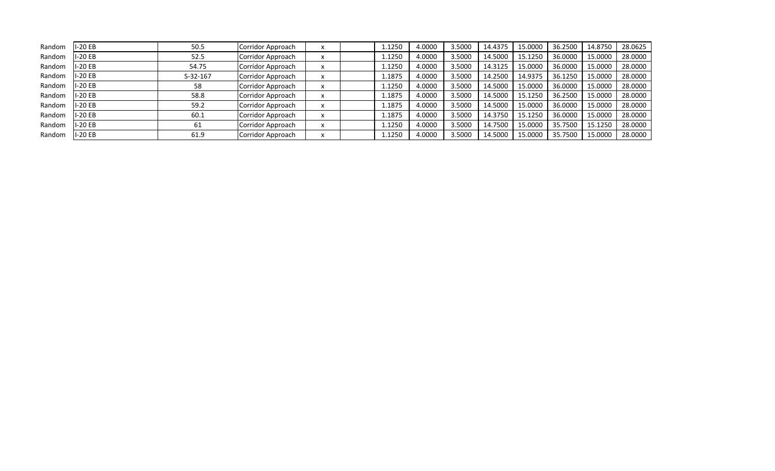| Random | $-20EB$  | 50.5       | Corridor Approach | ↗                        | 1.1250 | 4.0000 | 3.5000 | 14.4375 | 15.0000 | 36.2500 | 14.8750 | 28.0625 |
|--------|----------|------------|-------------------|--------------------------|--------|--------|--------|---------|---------|---------|---------|---------|
| Random | I-20 EB  | 52.5       | Corridor Approach |                          | 1.1250 | 4.0000 | 3.5000 | 14.5000 | 15.1250 | 36.0000 | 15.0000 | 28.0000 |
| Random | I-20 EB  | 54.75      | Corridor Approach | ж                        | 1.1250 | 4.0000 | 3.5000 | 14.3125 | 15.0000 | 36.0000 | 15.0000 | 28.0000 |
| Random | I-20 EB  | $S-32-167$ | Corridor Approach | ↗                        | 1.1875 | 4.0000 | 3.5000 | 14.2500 | 14.9375 | 36.1250 | 15.0000 | 28.0000 |
| Random | I-20 EB  | 58         | Corridor Approach |                          | 1.1250 | 4.0000 | 3.5000 | 14.5000 | 15.0000 | 36.0000 | 15.0000 | 28.0000 |
| Random | -20 EB   | 58.8       | Corridor Approach | ᄉ                        | 1.1875 | 4.0000 | 3.5000 | 14.5000 | 15.1250 | 36.2500 | 15.0000 | 28.0000 |
| Random | $I-20EB$ | 59.2       | Corridor Approach | $\overline{\phantom{a}}$ | 1.1875 | 4.0000 | .5000  | 14.5000 | 15.0000 | 36.0000 | 15.0000 | 28.0000 |
| Random | I-20 EB  | 60.1       | Corridor Approach | X                        | 1.1875 | 4.0000 | .5000  | 14.3750 | 15.1250 | 36.0000 | 15.0000 | 28.0000 |
| Random | -20 EB   | 61         | Corridor Approach |                          | 1.1250 | 4.0000 | 3.5000 | 14.7500 | 15.0000 | 35.7500 | 15.1250 | 28.0000 |
| Random | I-20 EB  | 61.9       | Corridor Approach |                          | 1.1250 | 4.0000 | 3.5000 | 14.5000 | 15.0000 | 35.7500 | 15.0000 | 28.0000 |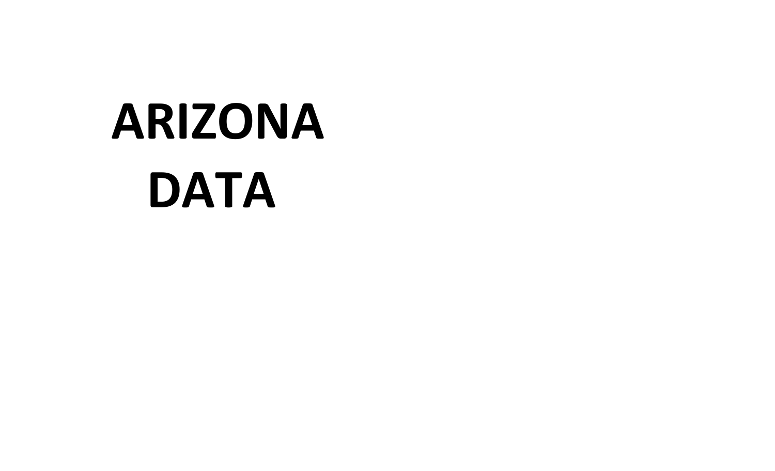## **ARIZONA DATA**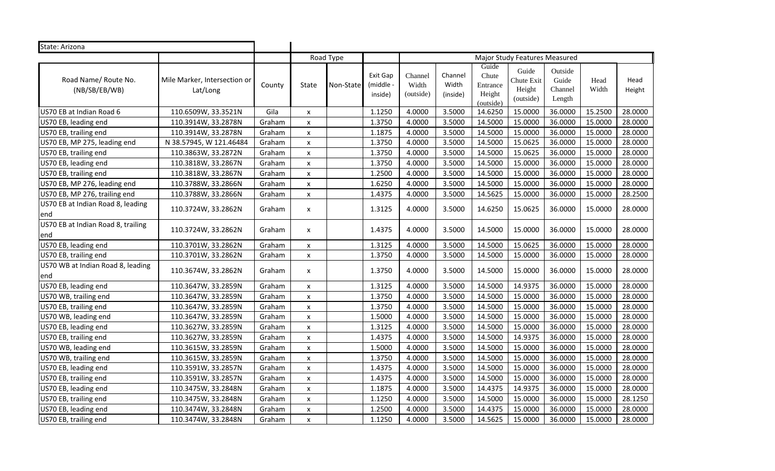| State: Arizona                             |                                          |        |                    |           |                               |                               |                              |                                                   |                                            |                                       |               |                |
|--------------------------------------------|------------------------------------------|--------|--------------------|-----------|-------------------------------|-------------------------------|------------------------------|---------------------------------------------------|--------------------------------------------|---------------------------------------|---------------|----------------|
|                                            |                                          |        |                    | Road Type |                               |                               |                              |                                                   | Major Study Features Measured              |                                       |               |                |
| Road Name/ Route No.<br>(NB/SB/EB/WB)      | Mile Marker, Intersection or<br>Lat/Long | County | State              | Non-State | Exit Gap<br>middle<br>inside) | Channel<br>Width<br>(outside) | Channel<br>Width<br>(inside) | Guide<br>Chute<br>Entrance<br>Height<br>(outside) | Guide<br>Chute Exit<br>Height<br>(outside) | Outside<br>Guide<br>Channel<br>Length | Head<br>Width | Head<br>Height |
| US70 EB at Indian Road 6                   | 110.6509W, 33.3521N                      | Gila   | X                  |           | 1.1250                        | 4.0000                        | 3.5000                       | 14.6250                                           | 15.0000                                    | 36.0000                               | 15.2500       | 28.0000        |
| US70 EB, leading end                       | 110.3914W, 33.2878N                      | Graham | X                  |           | 1.3750                        | 4.0000                        | 3.5000                       | 14.5000                                           | 15.0000                                    | 36.0000                               | 15.0000       | 28.0000        |
| US70 EB, trailing end                      | 110.3914W, 33.2878N                      | Graham | $\pmb{\times}$     |           | 1.1875                        | 4.0000                        | 3.5000                       | 14.5000                                           | 15.0000                                    | 36.0000                               | 15.0000       | 28.0000        |
| US70 EB, MP 275, leading end               | N 38.57945, W 121.46484                  | Graham | $\pmb{\times}$     |           | 1.3750                        | 4.0000                        | 3.5000                       | 14.5000                                           | 15.0625                                    | 36.0000                               | 15.0000       | 28.0000        |
| US70 EB, trailing end                      | 110.3863W, 33.2872N                      | Graham | $\pmb{\times}$     |           | 1.3750                        | 4.0000                        | 3.5000                       | 14.5000                                           | 15.0625                                    | 36.0000                               | 15.0000       | 28.0000        |
| US70 EB, leading end                       | 110.3818W, 33.2867N                      | Graham | $\pmb{\times}$     |           | 1.3750                        | 4.0000                        | 3.5000                       | 14.5000                                           | 15.0000                                    | 36.0000                               | 15.0000       | 28.0000        |
| US70 EB, trailing end                      | 110.3818W, 33.2867N                      | Graham | $\pmb{\times}$     |           | 1.2500                        | 4.0000                        | 3.5000                       | 14.5000                                           | 15.0000                                    | 36.0000                               | 15.0000       | 28.0000        |
| US70 EB, MP 276, leading end               | 110.3788W, 33.2866N                      | Graham | $\pmb{\times}$     |           | 1.6250                        | 4.0000                        | 3.5000                       | 14.5000                                           | 15.0000                                    | 36.0000                               | 15.0000       | 28.0000        |
| US70 EB, MP 276, trailing end              | 110.3788W, 33.2866N                      | Graham | X                  |           | 1.4375                        | 4.0000                        | 3.5000                       | 14.5625                                           | 15.0000                                    | 36.0000                               | 15.0000       | 28.2500        |
| US70 EB at Indian Road 8, leading<br>end   | 110.3724W, 33.2862N                      | Graham | x                  |           | 1.3125                        | 4.0000                        | 3.5000                       | 14.6250                                           | 15.0625                                    | 36.0000                               | 15.0000       | 28.0000        |
| US70 EB at Indian Road 8, trailing<br>lend | 110.3724W, 33.2862N                      | Graham | X                  |           | 1.4375                        | 4.0000                        | 3.5000                       | 14.5000                                           | 15.0000                                    | 36.0000                               | 15.0000       | 28.0000        |
| US70 EB, leading end                       | 110.3701W, 33.2862N                      | Graham | X                  |           | 1.3125                        | 4.0000                        | 3.5000                       | 14.5000                                           | 15.0625                                    | 36.0000                               | 15.0000       | 28.0000        |
| US70 EB, trailing end                      | 110.3701W, 33.2862N                      | Graham | X                  |           | 1.3750                        | 4.0000                        | 3.5000                       | 14.5000                                           | 15.0000                                    | 36.0000                               | 15.0000       | 28.0000        |
| US70 WB at Indian Road 8, leading<br>end   | 110.3674W, 33.2862N                      | Graham | X                  |           | 1.3750                        | 4.0000                        | 3.5000                       | 14.5000                                           | 15.0000                                    | 36.0000                               | 15.0000       | 28.0000        |
| US70 EB, leading end                       | 110.3647W, 33.2859N                      | Graham | X                  |           | 1.3125                        | 4.0000                        | 3.5000                       | 14.5000                                           | 14.9375                                    | 36.0000                               | 15.0000       | 28.0000        |
| US70 WB, trailing end                      | 110.3647W, 33.2859N                      | Graham | $\pmb{\times}$     |           | 1.3750                        | 4.0000                        | 3.5000                       | 14.5000                                           | 15.0000                                    | 36.0000                               | 15.0000       | 28.0000        |
| US70 EB, trailing end                      | 110.3647W, 33.2859N                      | Graham | $\pmb{\times}$     |           | 1.3750                        | 4.0000                        | 3.5000                       | 14.5000                                           | 15.0000                                    | 36.0000                               | 15.0000       | 28.0000        |
| US70 WB, leading end                       | 110.3647W, 33.2859N                      | Graham | $\pmb{\times}$     |           | 1.5000                        | 4.0000                        | 3.5000                       | 14.5000                                           | 15.0000                                    | 36.0000                               | 15.0000       | 28.0000        |
| US70 EB, leading end                       | 110.3627W, 33.2859N                      | Graham | X                  |           | 1.3125                        | 4.0000                        | 3.5000                       | 14.5000                                           | 15.0000                                    | 36.0000                               | 15.0000       | 28.0000        |
| US70 EB, trailing end                      | 110.3627W, 33.2859N                      | Graham | $\pmb{\times}$     |           | 1.4375                        | 4.0000                        | 3.5000                       | 14.5000                                           | 14.9375                                    | 36.0000                               | 15.0000       | 28.0000        |
| US70 WB, leading end                       | 110.3615W, 33.2859N                      | Graham | $\pmb{\times}$     |           | 1.5000                        | 4.0000                        | 3.5000                       | 14.5000                                           | 15.0000                                    | 36.0000                               | 15.0000       | 28.0000        |
| US70 WB, trailing end                      | 110.3615W, 33.2859N                      | Graham | X                  |           | 1.3750                        | 4.0000                        | 3.5000                       | 14.5000                                           | 15.0000                                    | 36.0000                               | 15.0000       | 28.0000        |
| US70 EB, leading end                       | 110.3591W, 33.2857N                      | Graham | $\pmb{\mathsf{x}}$ |           | 1.4375                        | 4.0000                        | 3.5000                       | 14.5000                                           | 15.0000                                    | 36.0000                               | 15.0000       | 28.0000        |
| US70 EB, trailing end                      | 110.3591W, 33.2857N                      | Graham | $\pmb{\mathsf{x}}$ |           | 1.4375                        | 4.0000                        | 3.5000                       | 14.5000                                           | 15.0000                                    | 36.0000                               | 15.0000       | 28.0000        |
| US70 EB, leading end                       | 110.3475W, 33.2848N                      | Graham | $\pmb{\times}$     |           | 1.1875                        | 4.0000                        | 3.5000                       | 14.4375                                           | 14.9375                                    | 36.0000                               | 15.0000       | 28.0000        |
| US70 EB, trailing end                      | 110.3475W, 33.2848N                      | Graham | $\pmb{\times}$     |           | 1.1250                        | 4.0000                        | 3.5000                       | 14.5000                                           | 15.0000                                    | 36.0000                               | 15.0000       | 28.1250        |
| US70 EB, leading end                       | 110.3474W, 33.2848N                      | Graham | X                  |           | 1.2500                        | 4.0000                        | 3.5000                       | 14.4375                                           | 15.0000                                    | 36.0000                               | 15.0000       | 28.0000        |
| US70 EB, trailing end                      | 110.3474W, 33.2848N                      | Graham | $\pmb{\times}$     |           | 1.1250                        | 4.0000                        | 3.5000                       | 14.5625                                           | 15.0000                                    | 36.0000                               | 15.0000       | 28.0000        |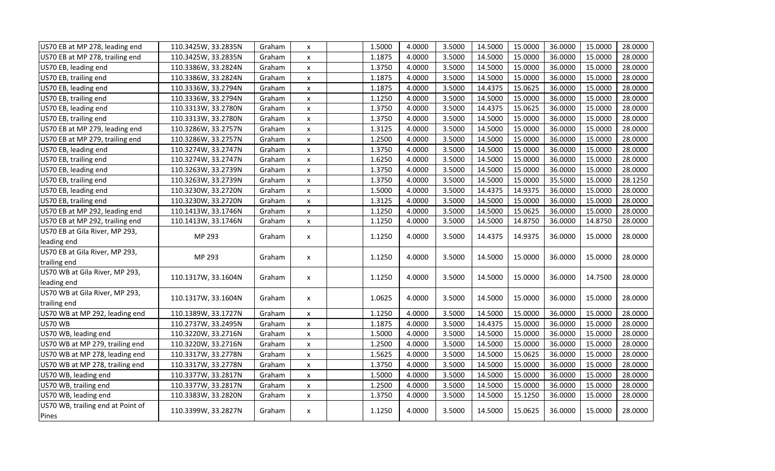| US70 EB at MP 278, leading end    | 110.3425W, 33.2835N | Graham | X                  | 1.5000 | 4.0000 | 3.5000 | 14.5000 | 15.0000 | 36.0000 | 15.0000 | 28.0000 |
|-----------------------------------|---------------------|--------|--------------------|--------|--------|--------|---------|---------|---------|---------|---------|
| US70 EB at MP 278, trailing end   | 110.3425W, 33.2835N | Graham | $\pmb{\mathsf{x}}$ | 1.1875 | 4.0000 | 3.5000 | 14.5000 | 15.0000 | 36.0000 | 15.0000 | 28.0000 |
| US70 EB, leading end              | 110.3386W, 33.2824N | Graham | X                  | 1.3750 | 4.0000 | 3.5000 | 14.5000 | 15.0000 | 36.0000 | 15.0000 | 28.0000 |
| US70 EB, trailing end             | 110.3386W, 33.2824N | Graham | X                  | 1.1875 | 4.0000 | 3.5000 | 14.5000 | 15.0000 | 36.0000 | 15.0000 | 28.0000 |
| US70 EB, leading end              | 110.3336W, 33.2794N | Graham | $\pmb{\mathsf{x}}$ | 1.1875 | 4.0000 | 3.5000 | 14.4375 | 15.0625 | 36.0000 | 15.0000 | 28.0000 |
| US70 EB, trailing end             | 110.3336W, 33.2794N | Graham | X                  | 1.1250 | 4.0000 | 3.5000 | 14.5000 | 15.0000 | 36.0000 | 15.0000 | 28.0000 |
| US70 EB, leading end              | 110.3313W, 33.2780N | Graham | X                  | 1.3750 | 4.0000 | 3.5000 | 14.4375 | 15.0625 | 36.0000 | 15.0000 | 28.0000 |
| US70 EB, trailing end             | 110.3313W, 33.2780N | Graham | $\pmb{\mathsf{x}}$ | 1.3750 | 4.0000 | 3.5000 | 14.5000 | 15.0000 | 36.0000 | 15.0000 | 28.0000 |
| US70 EB at MP 279, leading end    | 110.3286W, 33.2757N | Graham | $\pmb{\mathsf{X}}$ | 1.3125 | 4.0000 | 3.5000 | 14.5000 | 15.0000 | 36.0000 | 15.0000 | 28.0000 |
| US70 EB at MP 279, trailing end   | 110.3286W, 33.2757N | Graham | x                  | 1.2500 | 4.0000 | 3.5000 | 14.5000 | 15.0000 | 36.0000 | 15.0000 | 28.0000 |
| US70 EB, leading end              | 110.3274W, 33.2747N | Graham | X                  | 1.3750 | 4.0000 | 3.5000 | 14.5000 | 15.0000 | 36.0000 | 15.0000 | 28.0000 |
| US70 EB, trailing end             | 110.3274W, 33.2747N | Graham | X                  | 1.6250 | 4.0000 | 3.5000 | 14.5000 | 15.0000 | 36.0000 | 15.0000 | 28.0000 |
| US70 EB, leading end              | 110.3263W, 33.2739N | Graham | X                  | 1.3750 | 4.0000 | 3.5000 | 14.5000 | 15.0000 | 36.0000 | 15.0000 | 28.0000 |
| US70 EB, trailing end             | 110.3263W, 33.2739N | Graham | $\pmb{\mathsf{X}}$ | 1.3750 | 4.0000 | 3.5000 | 14.5000 | 15.0000 | 35.5000 | 15.0000 | 28.1250 |
| US70 EB, leading end              | 110.3230W, 33.2720N | Graham | $\pmb{\mathsf{X}}$ | 1.5000 | 4.0000 | 3.5000 | 14.4375 | 14.9375 | 36.0000 | 15.0000 | 28.0000 |
| US70 EB, trailing end             | 110.3230W, 33.2720N | Graham | X                  | 1.3125 | 4.0000 | 3.5000 | 14.5000 | 15.0000 | 36.0000 | 15.0000 | 28.0000 |
| US70 EB at MP 292, leading end    | 110.1413W, 33.1746N | Graham | $\pmb{\mathsf{x}}$ | 1.1250 | 4.0000 | 3.5000 | 14.5000 | 15.0625 | 36.0000 | 15.0000 | 28.0000 |
| US70 EB at MP 292, trailing end   | 110.1413W, 33.1746N | Graham | $\pmb{\mathsf{X}}$ | 1.1250 | 4.0000 | 3.5000 | 14.5000 | 14.8750 | 36.0000 | 14.8750 | 28.0000 |
| US70 EB at Gila River, MP 293,    | MP 293              | Graham |                    | 1.1250 | 4.0000 | 3.5000 | 14.4375 | 14.9375 | 36.0000 | 15.0000 | 28.0000 |
| leading end                       |                     |        | X                  |        |        |        |         |         |         |         |         |
| US70 EB at Gila River, MP 293,    | MP 293              | Graham | X                  | 1.1250 | 4.0000 | 3.5000 | 14.5000 | 15.0000 | 36.0000 | 15.0000 | 28.0000 |
| trailing end                      |                     |        |                    |        |        |        |         |         |         |         |         |
| US70 WB at Gila River, MP 293,    | 110.1317W, 33.1604N | Graham | X                  | 1.1250 | 4.0000 | 3.5000 | 14.5000 | 15.0000 | 36.0000 | 14.7500 | 28.0000 |
| leading end                       |                     |        |                    |        |        |        |         |         |         |         |         |
| US70 WB at Gila River, MP 293,    | 110.1317W, 33.1604N | Graham | X                  | 1.0625 | 4.0000 | 3.5000 | 14.5000 | 15.0000 | 36.0000 | 15.0000 | 28.0000 |
| trailing end                      |                     |        |                    |        |        |        |         |         |         |         |         |
| US70 WB at MP 292, leading end    | 110.1389W, 33.1727N | Graham | X                  | 1.1250 | 4.0000 | 3.5000 | 14.5000 | 15.0000 | 36.0000 | 15.0000 | 28.0000 |
| US70 WB                           | 110.2737W, 33.2495N | Graham | $\pmb{\mathsf{x}}$ | 1.1875 | 4.0000 | 3.5000 | 14.4375 | 15.0000 | 36.0000 | 15.0000 | 28.0000 |
| US70 WB, leading end              | 110.3220W, 33.2716N | Graham | X                  | 1.5000 | 4.0000 | 3.5000 | 14.5000 | 15.0000 | 36.0000 | 15.0000 | 28.0000 |
| US70 WB at MP 279, trailing end   | 110.3220W, 33.2716N | Graham | X                  | 1.2500 | 4.0000 | 3.5000 | 14.5000 | 15.0000 | 36.0000 | 15.0000 | 28.0000 |
| US70 WB at MP 278, leading end    | 110.3317W, 33.2778N | Graham | X                  | 1.5625 | 4.0000 | 3.5000 | 14.5000 | 15.0625 | 36.0000 | 15.0000 | 28.0000 |
| US70 WB at MP 278, trailing end   | 110.3317W, 33.2778N | Graham | $\pmb{\mathsf{X}}$ | 1.3750 | 4.0000 | 3.5000 | 14.5000 | 15.0000 | 36.0000 | 15.0000 | 28.0000 |
| US70 WB, leading end              | 110.3377W, 33.2817N | Graham | X                  | 1.5000 | 4.0000 | 3.5000 | 14.5000 | 15.0000 | 36.0000 | 15.0000 | 28.0000 |
| US70 WB, trailing end             | 110.3377W, 33.2817N | Graham | X                  | 1.2500 | 4.0000 | 3.5000 | 14.5000 | 15.0000 | 36.0000 | 15.0000 | 28.0000 |
| US70 WB, leading end              | 110.3383W, 33.2820N | Graham | X                  | 1.3750 | 4.0000 | 3.5000 | 14.5000 | 15.1250 | 36.0000 | 15.0000 | 28.0000 |
| US70 WB, trailing end at Point of | 110.3399W, 33.2827N | Graham | X                  | 1.1250 | 4.0000 | 3.5000 | 14.5000 | 15.0625 | 36.0000 | 15.0000 | 28.0000 |
| Pines                             |                     |        |                    |        |        |        |         |         |         |         |         |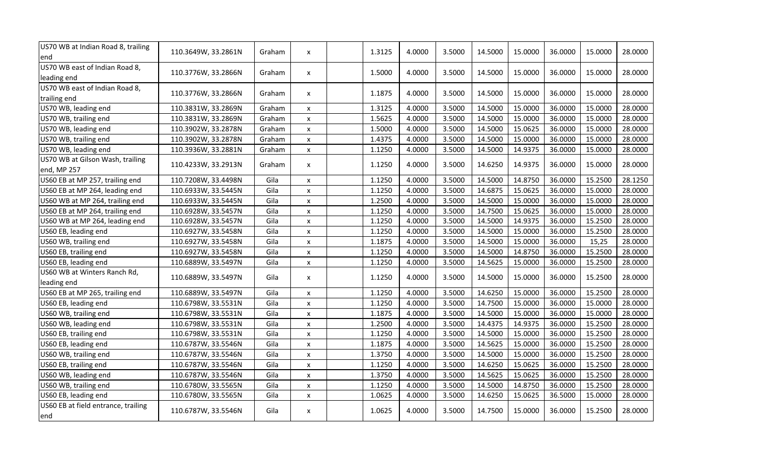| US70 WB at Indian Road 8, trailing<br>end       | 110.3649W, 33.2861N | Graham | x                  | 1.3125 | 4.0000 | 3.5000 | 14.5000 | 15.0000 | 36.0000 | 15.0000 | 28.0000 |
|-------------------------------------------------|---------------------|--------|--------------------|--------|--------|--------|---------|---------|---------|---------|---------|
| US70 WB east of Indian Road 8,<br>leading end   | 110.3776W, 33.2866N | Graham | X                  | 1.5000 | 4.0000 | 3.5000 | 14.5000 | 15.0000 | 36.0000 | 15.0000 | 28.0000 |
| US70 WB east of Indian Road 8,<br>trailing end  | 110.3776W, 33.2866N | Graham | $\mathsf{x}$       | 1.1875 | 4.0000 | 3.5000 | 14.5000 | 15.0000 | 36.0000 | 15.0000 | 28.0000 |
| US70 WB, leading end                            | 110.3831W, 33.2869N | Graham | X                  | 1.3125 | 4.0000 | 3.5000 | 14.5000 | 15.0000 | 36.0000 | 15.0000 | 28.0000 |
| US70 WB, trailing end                           | 110.3831W, 33.2869N | Graham | X                  | 1.5625 | 4.0000 | 3.5000 | 14.5000 | 15.0000 | 36.0000 | 15.0000 | 28.0000 |
| US70 WB, leading end                            | 110.3902W, 33.2878N | Graham | $\pmb{\mathsf{x}}$ | 1.5000 | 4.0000 | 3.5000 | 14.5000 | 15.0625 | 36.0000 | 15.0000 | 28.0000 |
| US70 WB, trailing end                           | 110.3902W, 33.2878N | Graham | $\pmb{\mathsf{X}}$ | 1.4375 | 4.0000 | 3.5000 | 14.5000 | 15.0000 | 36.0000 | 15.0000 | 28.0000 |
| US70 WB, leading end                            | 110.3936W, 33.2881N | Graham | X                  | 1.1250 | 4.0000 | 3.5000 | 14.5000 | 14.9375 | 36.0000 | 15.0000 | 28.0000 |
| US70 WB at Gilson Wash, trailing<br>end, MP 257 | 110.4233W, 33.2913N | Graham | X                  | 1.1250 | 4.0000 | 3.5000 | 14.6250 | 14.9375 | 36.0000 | 15.0000 | 28.0000 |
| US60 EB at MP 257, trailing end                 | 110.7208W, 33.4498N | Gila   | X                  | 1.1250 | 4.0000 | 3.5000 | 14.5000 | 14.8750 | 36.0000 | 15.2500 | 28.1250 |
| US60 EB at MP 264, leading end                  | 110.6933W, 33.5445N | Gila   | x                  | 1.1250 | 4.0000 | 3.5000 | 14.6875 | 15.0625 | 36.0000 | 15.0000 | 28.0000 |
| US60 WB at MP 264, trailing end                 | 110.6933W, 33.5445N | Gila   | $\mathsf{x}$       | 1.2500 | 4.0000 | 3.5000 | 14.5000 | 15.0000 | 36.0000 | 15.0000 | 28.0000 |
| US60 EB at MP 264, trailing end                 | 110.6928W, 33.5457N | Gila   | $\mathsf{x}$       | 1.1250 | 4.0000 | 3.5000 | 14.7500 | 15.0625 | 36.0000 | 15.0000 | 28.0000 |
| US60 WB at MP 264, leading end                  | 110.6928W, 33.5457N | Gila   | x                  | 1.1250 | 4.0000 | 3.5000 | 14.5000 | 14.9375 | 36.0000 | 15.2500 | 28.0000 |
| US60 EB, leading end                            | 110.6927W, 33.5458N | Gila   | X                  | 1.1250 | 4.0000 | 3.5000 | 14.5000 | 15.0000 | 36.0000 | 15.2500 | 28.0000 |
| US60 WB, trailing end                           | 110.6927W, 33.5458N | Gila   | $\mathsf{x}$       | 1.1875 | 4.0000 | 3.5000 | 14.5000 | 15.0000 | 36.0000 | 15,25   | 28.0000 |
| US60 EB, trailing end                           | 110.6927W, 33.5458N | Gila   | $\mathsf{x}$       | 1.1250 | 4.0000 | 3.5000 | 14.5000 | 14.8750 | 36.0000 | 15.2500 | 28.0000 |
| US60 EB, leading end                            | 110.6889W, 33.5497N | Gila   | x                  | 1.1250 | 4.0000 | 3.5000 | 14.5625 | 15.0000 | 36.0000 | 15.2500 | 28.0000 |
| US60 WB at Winters Ranch Rd,<br>leading end     | 110.6889W, 33.5497N | Gila   | x                  | 1.1250 | 4.0000 | 3.5000 | 14.5000 | 15.0000 | 36.0000 | 15.2500 | 28.0000 |
| US60 EB at MP 265, trailing end                 | 110.6889W, 33.5497N | Gila   | x                  | 1.1250 | 4.0000 | 3.5000 | 14.6250 | 15.0000 | 36.0000 | 15.2500 | 28.0000 |
| US60 EB, leading end                            | 110.6798W, 33.5531N | Gila   | X                  | 1.1250 | 4.0000 | 3.5000 | 14.7500 | 15.0000 | 36.0000 | 15.0000 | 28.0000 |
| US60 WB, trailing end                           | 110.6798W, 33.5531N | Gila   | $\mathsf{x}$       | 1.1875 | 4.0000 | 3.5000 | 14.5000 | 15.0000 | 36.0000 | 15.0000 | 28.0000 |
| US60 WB, leading end                            | 110.6798W, 33.5531N | Gila   | $\pmb{\mathsf{x}}$ | 1.2500 | 4.0000 | 3.5000 | 14.4375 | 14.9375 | 36.0000 | 15.2500 | 28.0000 |
| US60 EB, trailing end                           | 110.6798W, 33.5531N | Gila   | X                  | 1.1250 | 4.0000 | 3.5000 | 14.5000 | 15.0000 | 36.0000 | 15.2500 | 28.0000 |
| US60 EB, leading end                            | 110.6787W, 33.5546N | Gila   | $\mathsf{x}$       | 1.1875 | 4.0000 | 3.5000 | 14.5625 | 15.0000 | 36.0000 | 15.2500 | 28.0000 |
| US60 WB, trailing end                           | 110.6787W, 33.5546N | Gila   | $\mathsf{x}$       | 1.3750 | 4.0000 | 3.5000 | 14.5000 | 15.0000 | 36.0000 | 15.2500 | 28.0000 |
| US60 EB, trailing end                           | 110.6787W, 33.5546N | Gila   | $\mathsf{x}$       | 1.1250 | 4.0000 | 3.5000 | 14.6250 | 15.0625 | 36.0000 | 15.2500 | 28.0000 |
| US60 WB, leading end                            | 110.6787W, 33.5546N | Gila   | x                  | 1.3750 | 4.0000 | 3.5000 | 14.5625 | 15.0625 | 36.0000 | 15.2500 | 28.0000 |
| US60 WB, trailing end                           | 110.6780W, 33.5565N | Gila   | X                  | 1.1250 | 4.0000 | 3.5000 | 14.5000 | 14.8750 | 36.0000 | 15.2500 | 28.0000 |
| US60 EB, leading end                            | 110.6780W, 33.5565N | Gila   | x                  | 1.0625 | 4.0000 | 3.5000 | 14.6250 | 15.0625 | 36.5000 | 15.0000 | 28.0000 |
| US60 EB at field entrance, trailing<br>end      | 110.6787W, 33.5546N | Gila   | x                  | 1.0625 | 4.0000 | 3.5000 | 14.7500 | 15.0000 | 36.0000 | 15.2500 | 28.0000 |